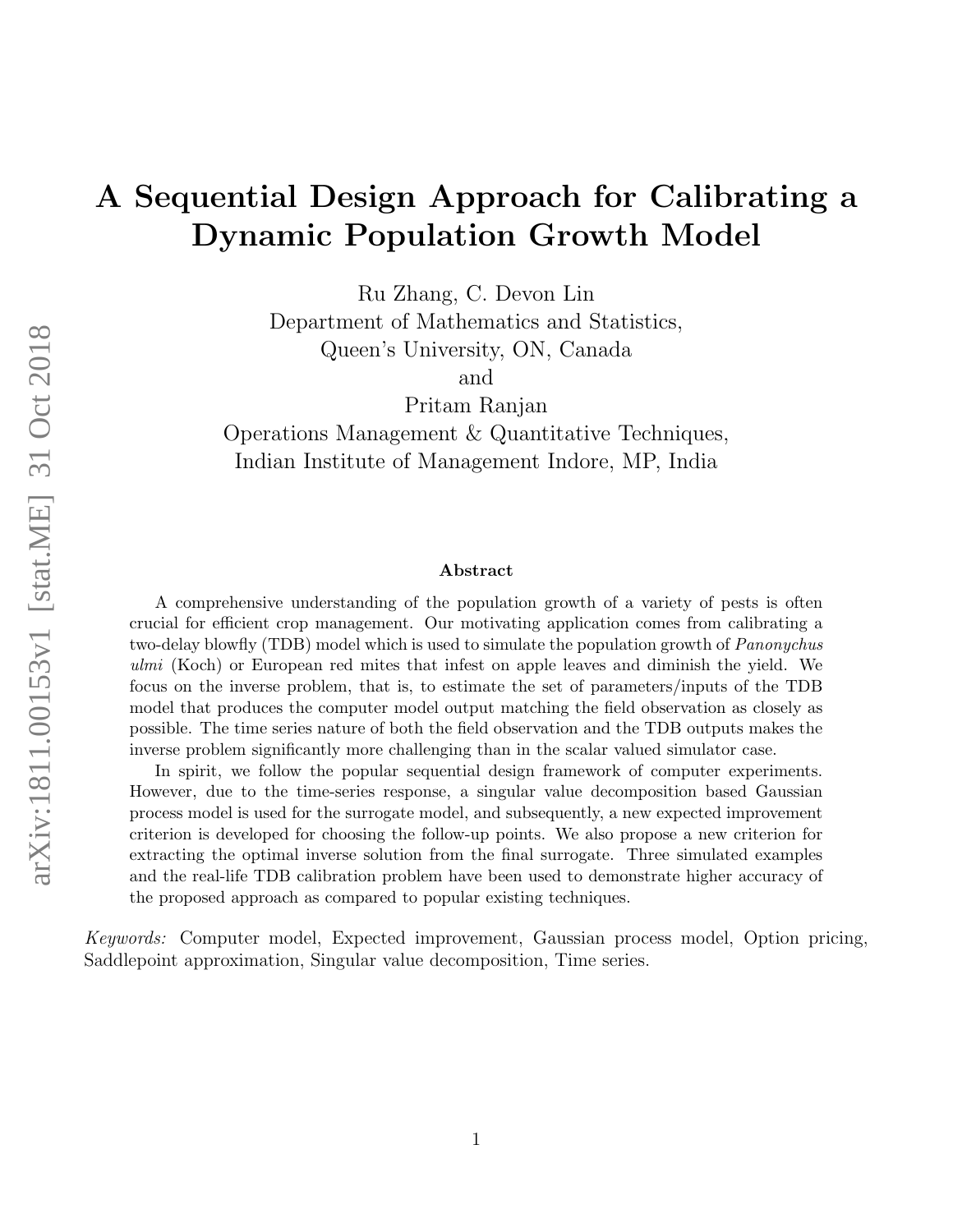# A Sequential Design Approach for Calibrating a Dynamic Population Growth Model

Ru Zhang, C. Devon Lin

Department of Mathematics and Statistics,

Queen's University, ON, Canada

and

Pritam Ranjan

Operations Management & Quantitative Techniques, Indian Institute of Management Indore, MP, India

#### Abstract

A comprehensive understanding of the population growth of a variety of pests is often crucial for efficient crop management. Our motivating application comes from calibrating a two-delay blowfly (TDB) model which is used to simulate the population growth of *Panonychus* ulmi (Koch) or European red mites that infest on apple leaves and diminish the yield. We focus on the inverse problem, that is, to estimate the set of parameters/inputs of the TDB model that produces the computer model output matching the field observation as closely as possible. The time series nature of both the field observation and the TDB outputs makes the inverse problem significantly more challenging than in the scalar valued simulator case.

In spirit, we follow the popular sequential design framework of computer experiments. However, due to the time-series response, a singular value decomposition based Gaussian process model is used for the surrogate model, and subsequently, a new expected improvement criterion is developed for choosing the follow-up points. We also propose a new criterion for extracting the optimal inverse solution from the final surrogate. Three simulated examples and the real-life TDB calibration problem have been used to demonstrate higher accuracy of the proposed approach as compared to popular existing techniques.

*Keywords:* Computer model, Expected improvement, Gaussian process model, Option pricing, Saddlepoint approximation, Singular value decomposition, Time series.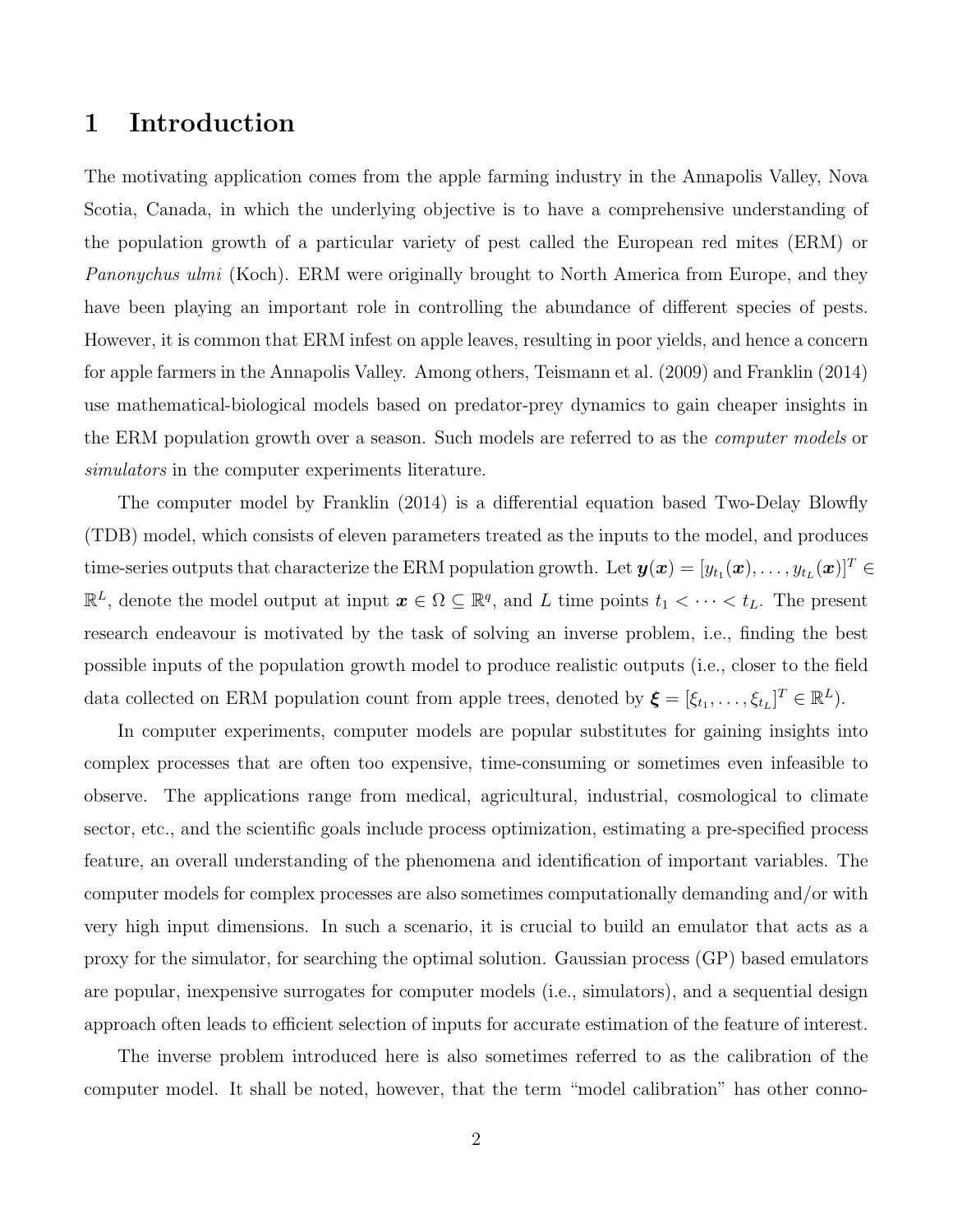### 1 Introduction

The motivating application comes from the apple farming industry in the Annapolis Valley, Nova Scotia, Canada, in which the underlying objective is to have a comprehensive understanding of the population growth of a particular variety of pest called the European red mites (ERM) or *Panonychus ulmi* (Koch). ERM were originally brought to North America from Europe, and they have been playing an important role in controlling the abundance of different species of pests. However, it is common that ERM infest on apple leaves, resulting in poor yields, and hence a concern for apple farmers in the Annapolis Valley. Among others, Teismann et al. (2009) and Franklin (2014) use mathematical-biological models based on predator-prey dynamics to gain cheaper insights in the ERM population growth over a season. Such models are referred to as the *computer models* or *simulators* in the computer experiments literature.

The computer model by Franklin (2014) is a differential equation based Two-Delay Blowfly (TDB) model, which consists of eleven parameters treated as the inputs to the model, and produces time-series outputs that characterize the ERM population growth. Let  $\bm{y}(\bm{x}) = [y_{t_1}(\bm{x}), \dots, y_{t_L}(\bm{x})]^T \in$  $\mathbb{R}^L$ , denote the model output at input  $\boldsymbol{x} \in \Omega \subseteq \mathbb{R}^q$ , and L time points  $t_1 < \cdots < t_L$ . The present research endeavour is motivated by the task of solving an inverse problem, i.e., finding the best possible inputs of the population growth model to produce realistic outputs (i.e., closer to the field data collected on ERM population count from apple trees, denoted by  $\boldsymbol{\xi} = [\xi_{t_1}, \dots, \xi_{t_L}]^T \in \mathbb{R}^L$ .

In computer experiments, computer models are popular substitutes for gaining insights into complex processes that are often too expensive, time-consuming or sometimes even infeasible to observe. The applications range from medical, agricultural, industrial, cosmological to climate sector, etc., and the scientific goals include process optimization, estimating a pre-specified process feature, an overall understanding of the phenomena and identification of important variables. The computer models for complex processes are also sometimes computationally demanding and/or with very high input dimensions. In such a scenario, it is crucial to build an emulator that acts as a proxy for the simulator, for searching the optimal solution. Gaussian process (GP) based emulators are popular, inexpensive surrogates for computer models (i.e., simulators), and a sequential design approach often leads to efficient selection of inputs for accurate estimation of the feature of interest.

The inverse problem introduced here is also sometimes referred to as the calibration of the computer model. It shall be noted, however, that the term "model calibration" has other conno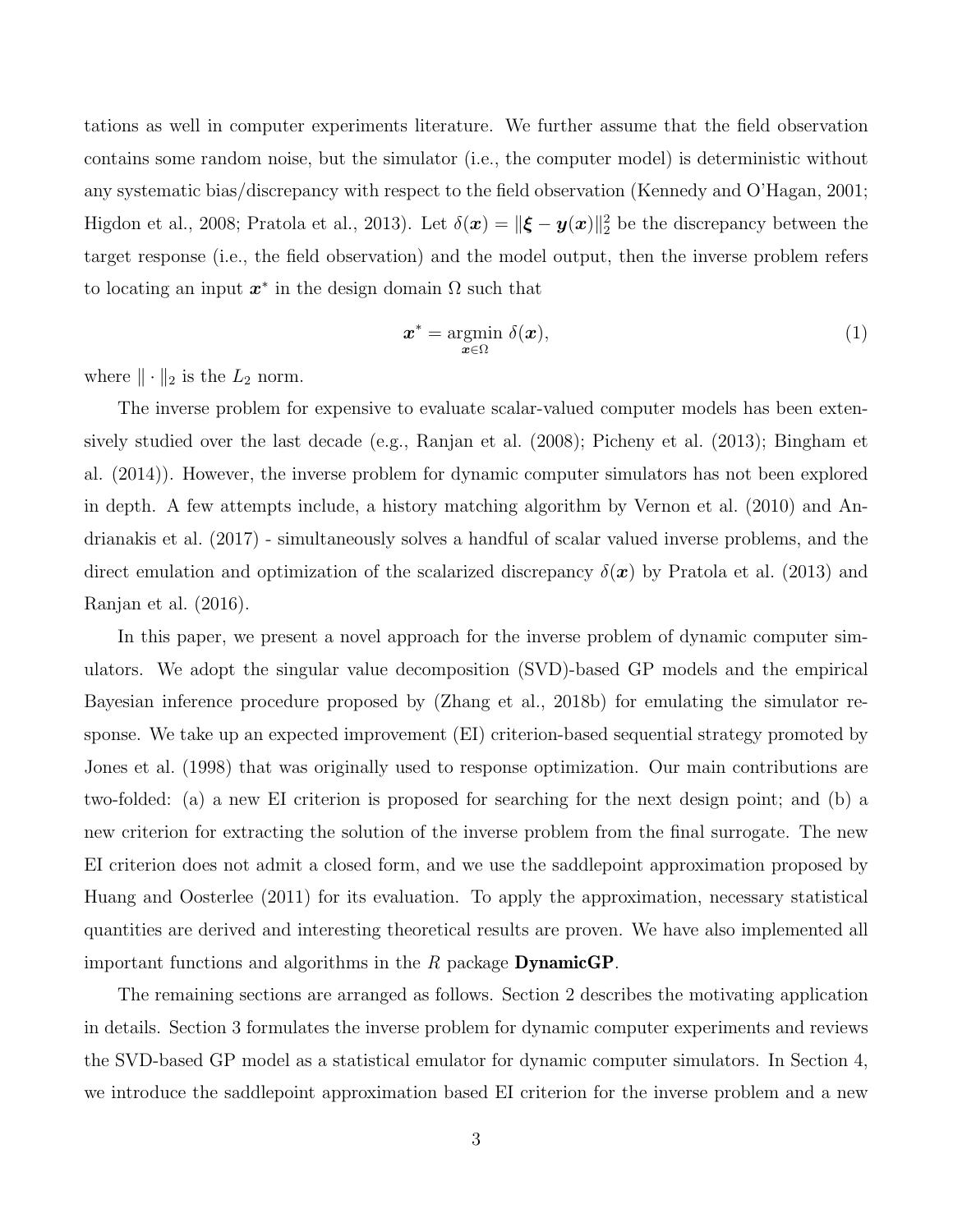tations as well in computer experiments literature. We further assume that the field observation contains some random noise, but the simulator (i.e., the computer model) is deterministic without any systematic bias/discrepancy with respect to the field observation (Kennedy and O'Hagan, 2001; Higdon et al., 2008; Pratola et al., 2013). Let  $\delta(\bm{x}) = ||\bm{\xi} - \bm{y}(\bm{x})||_2^2$  be the discrepancy between the target response (i.e., the field observation) and the model output, then the inverse problem refers to locating an input  $x^*$  in the design domain  $\Omega$  such that

$$
\boldsymbol{x}^* = \underset{\boldsymbol{x} \in \Omega}{\operatorname{argmin}} \ \delta(\boldsymbol{x}), \tag{1}
$$

where  $\|\cdot\|_2$  is the  $L_2$  norm.

The inverse problem for expensive to evaluate scalar-valued computer models has been extensively studied over the last decade (e.g., Ranjan et al. (2008); Picheny et al. (2013); Bingham et al. (2014)). However, the inverse problem for dynamic computer simulators has not been explored in depth. A few attempts include, a history matching algorithm by Vernon et al. (2010) and Andrianakis et al. (2017) - simultaneously solves a handful of scalar valued inverse problems, and the direct emulation and optimization of the scalarized discrepancy  $\delta(\mathbf{x})$  by Pratola et al. (2013) and Ranjan et al. (2016).

In this paper, we present a novel approach for the inverse problem of dynamic computer simulators. We adopt the singular value decomposition (SVD)-based GP models and the empirical Bayesian inference procedure proposed by (Zhang et al., 2018b) for emulating the simulator response. We take up an expected improvement (EI) criterion-based sequential strategy promoted by Jones et al. (1998) that was originally used to response optimization. Our main contributions are two-folded: (a) a new EI criterion is proposed for searching for the next design point; and (b) a new criterion for extracting the solution of the inverse problem from the final surrogate. The new EI criterion does not admit a closed form, and we use the saddlepoint approximation proposed by Huang and Oosterlee (2011) for its evaluation. To apply the approximation, necessary statistical quantities are derived and interesting theoretical results are proven. We have also implemented all important functions and algorithms in the *R* package DynamicGP.

The remaining sections are arranged as follows. Section 2 describes the motivating application in details. Section 3 formulates the inverse problem for dynamic computer experiments and reviews the SVD-based GP model as a statistical emulator for dynamic computer simulators. In Section 4, we introduce the saddlepoint approximation based EI criterion for the inverse problem and a new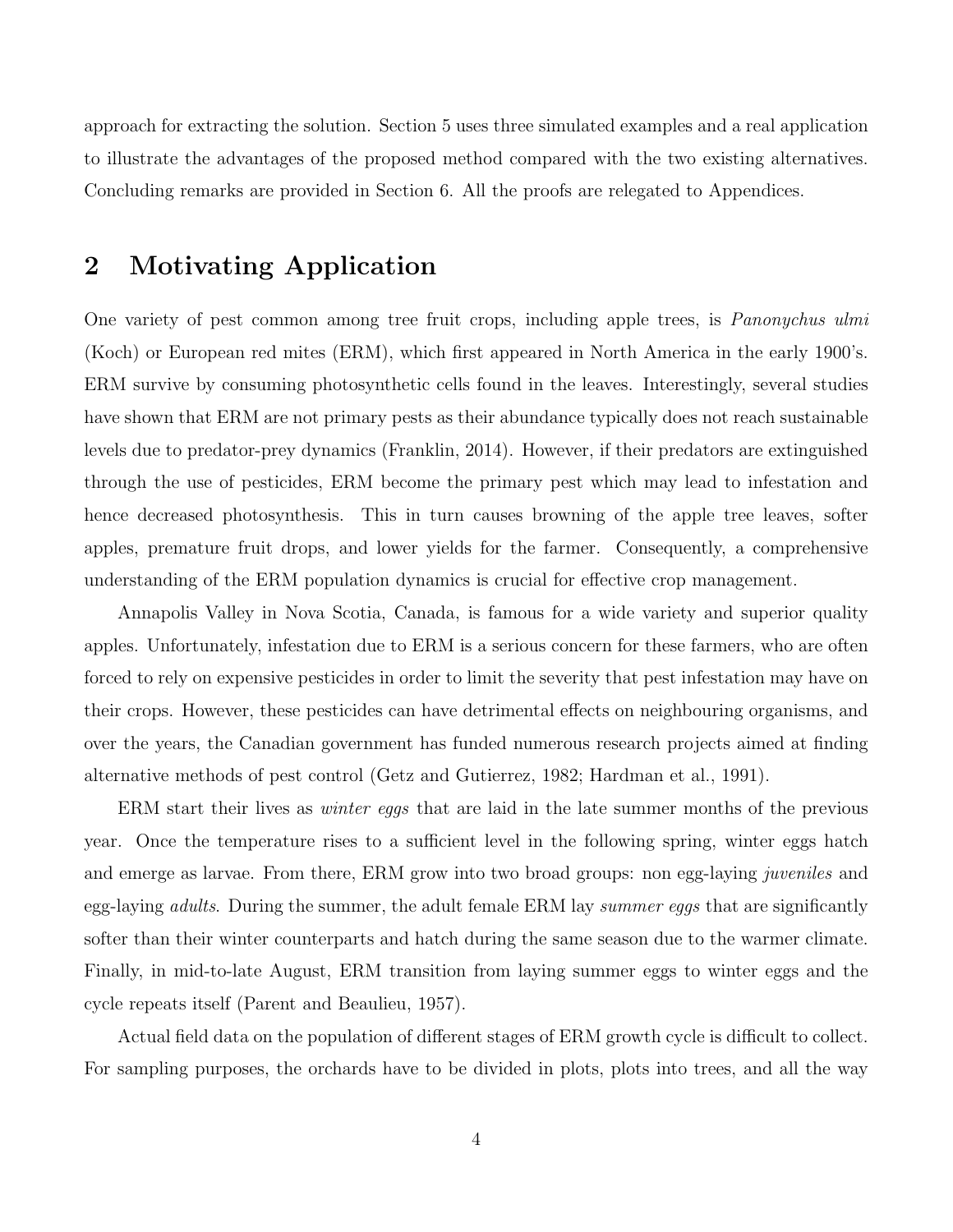approach for extracting the solution. Section 5 uses three simulated examples and a real application to illustrate the advantages of the proposed method compared with the two existing alternatives. Concluding remarks are provided in Section 6. All the proofs are relegated to Appendices.

## 2 Motivating Application

One variety of pest common among tree fruit crops, including apple trees, is *Panonychus ulmi* (Koch) or European red mites (ERM), which first appeared in North America in the early 1900's. ERM survive by consuming photosynthetic cells found in the leaves. Interestingly, several studies have shown that ERM are not primary pests as their abundance typically does not reach sustainable levels due to predator-prey dynamics (Franklin, 2014). However, if their predators are extinguished through the use of pesticides, ERM become the primary pest which may lead to infestation and hence decreased photosynthesis. This in turn causes browning of the apple tree leaves, softer apples, premature fruit drops, and lower yields for the farmer. Consequently, a comprehensive understanding of the ERM population dynamics is crucial for effective crop management.

Annapolis Valley in Nova Scotia, Canada, is famous for a wide variety and superior quality apples. Unfortunately, infestation due to ERM is a serious concern for these farmers, who are often forced to rely on expensive pesticides in order to limit the severity that pest infestation may have on their crops. However, these pesticides can have detrimental effects on neighbouring organisms, and over the years, the Canadian government has funded numerous research projects aimed at finding alternative methods of pest control (Getz and Gutierrez, 1982; Hardman et al., 1991).

ERM start their lives as *winter eggs* that are laid in the late summer months of the previous year. Once the temperature rises to a sufficient level in the following spring, winter eggs hatch and emerge as larvae. From there, ERM grow into two broad groups: non egg-laying *juveniles* and egg-laying *adults*. During the summer, the adult female ERM lay *summer eggs* that are significantly softer than their winter counterparts and hatch during the same season due to the warmer climate. Finally, in mid-to-late August, ERM transition from laying summer eggs to winter eggs and the cycle repeats itself (Parent and Beaulieu, 1957).

Actual field data on the population of different stages of ERM growth cycle is difficult to collect. For sampling purposes, the orchards have to be divided in plots, plots into trees, and all the way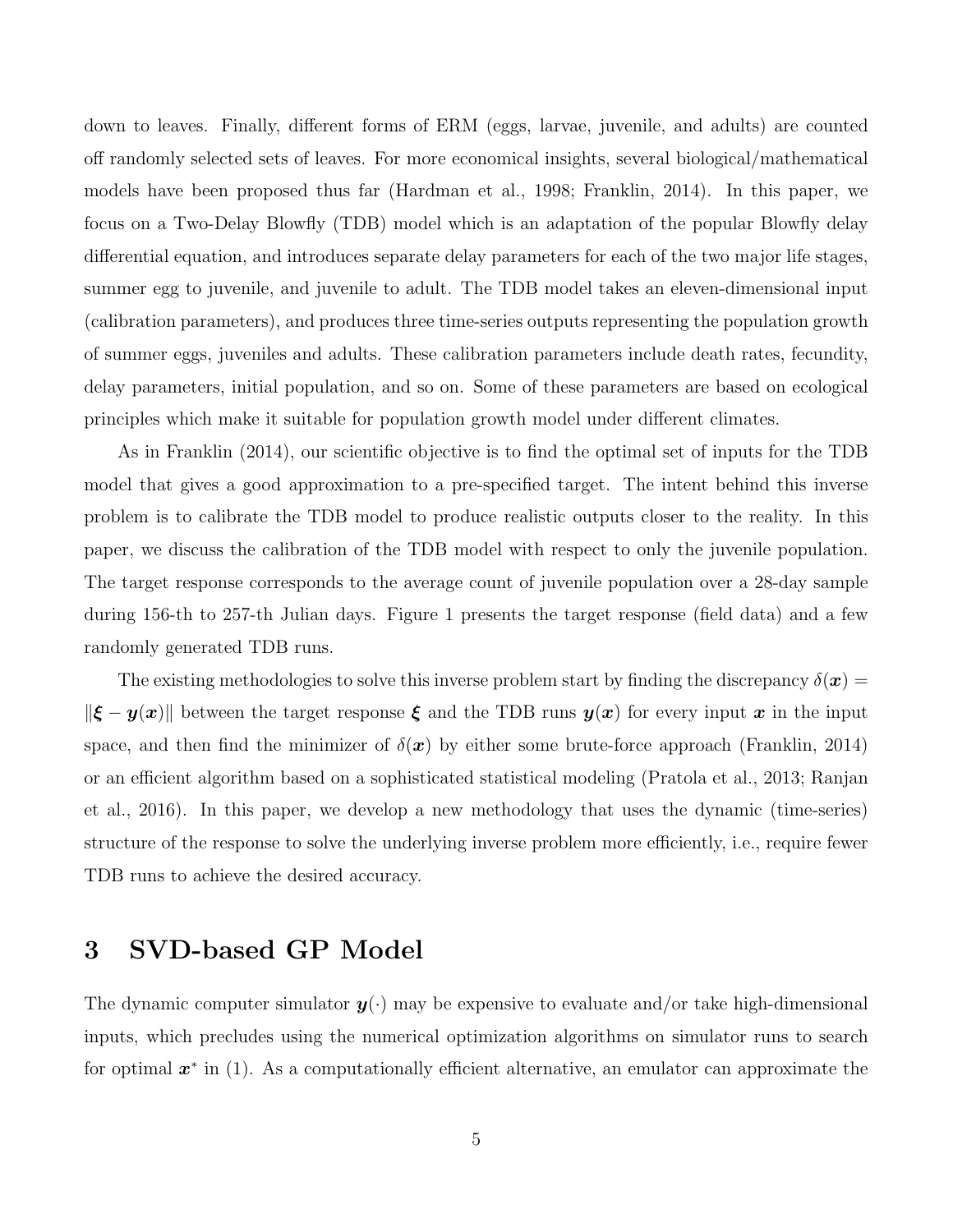down to leaves. Finally, different forms of ERM (eggs, larvae, juvenile, and adults) are counted off randomly selected sets of leaves. For more economical insights, several biological/mathematical models have been proposed thus far (Hardman et al., 1998; Franklin, 2014). In this paper, we focus on a Two-Delay Blowfly (TDB) model which is an adaptation of the popular Blowfly delay differential equation, and introduces separate delay parameters for each of the two major life stages, summer egg to juvenile, and juvenile to adult. The TDB model takes an eleven-dimensional input (calibration parameters), and produces three time-series outputs representing the population growth of summer eggs, juveniles and adults. These calibration parameters include death rates, fecundity, delay parameters, initial population, and so on. Some of these parameters are based on ecological principles which make it suitable for population growth model under different climates.

As in Franklin (2014), our scientific objective is to find the optimal set of inputs for the TDB model that gives a good approximation to a pre-specified target. The intent behind this inverse problem is to calibrate the TDB model to produce realistic outputs closer to the reality. In this paper, we discuss the calibration of the TDB model with respect to only the juvenile population. The target response corresponds to the average count of juvenile population over a 28-day sample during 156-th to 257-th Julian days. Figure 1 presents the target response (field data) and a few randomly generated TDB runs.

The existing methodologies to solve this inverse problem start by finding the discrepancy  $\delta(\bm{x}) =$  $\|\boldsymbol{\xi} - \boldsymbol{y}(\boldsymbol{x})\|$  between the target response  $\boldsymbol{\xi}$  and the TDB runs  $\boldsymbol{y}(\boldsymbol{x})$  for every input  $\boldsymbol{x}$  in the input space, and then find the minimizer of  $\delta(x)$  by either some brute-force approach (Franklin, 2014) or an efficient algorithm based on a sophisticated statistical modeling (Pratola et al., 2013; Ranjan et al., 2016). In this paper, we develop a new methodology that uses the dynamic (time-series) structure of the response to solve the underlying inverse problem more efficiently, i.e., require fewer TDB runs to achieve the desired accuracy.

### 3 SVD-based GP Model

The dynamic computer simulator  $y(\cdot)$  may be expensive to evaluate and/or take high-dimensional inputs, which precludes using the numerical optimization algorithms on simulator runs to search for optimal  $x^*$  in (1). As a computationally efficient alternative, an emulator can approximate the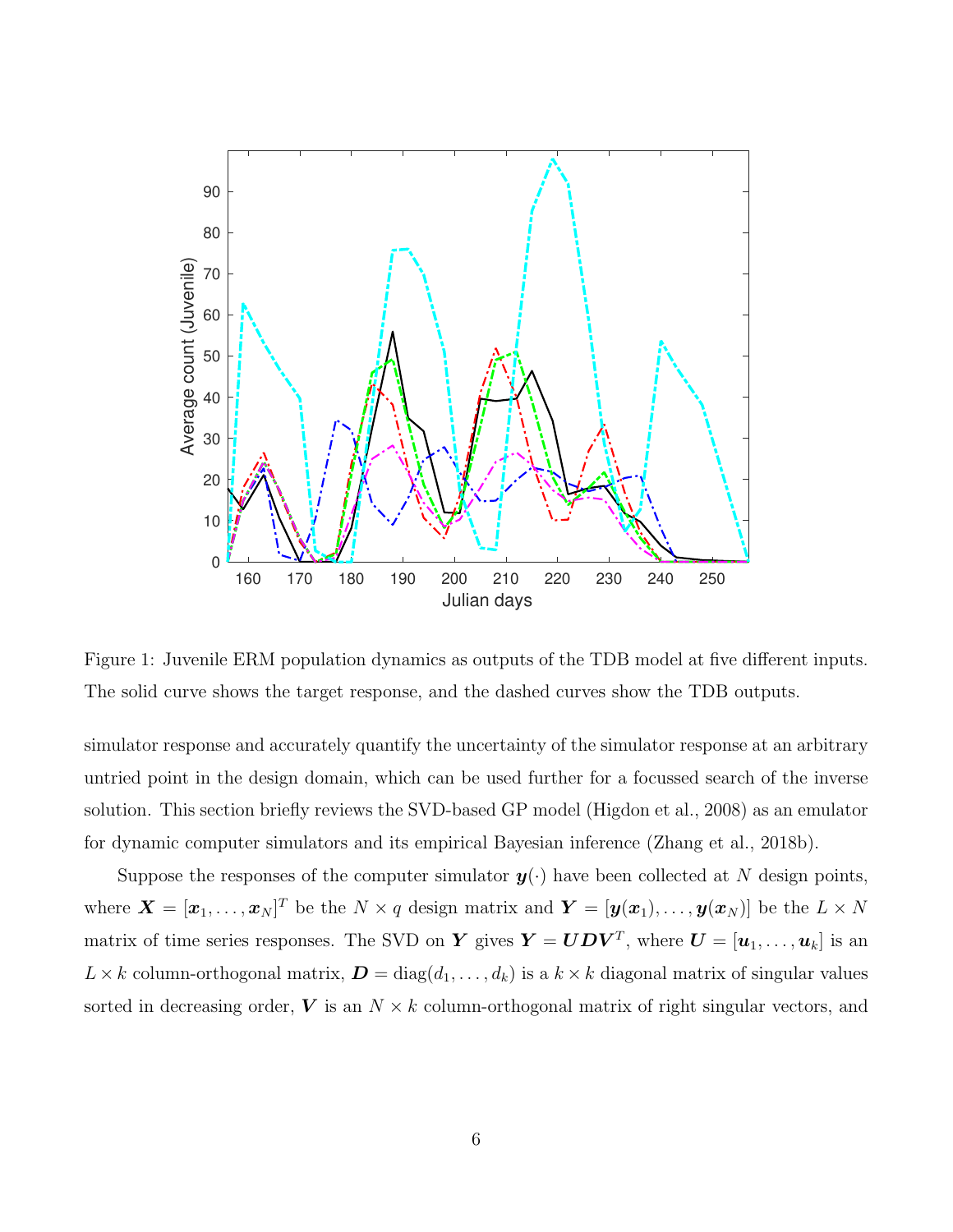

Figure 1: Juvenile ERM population dynamics as outputs of the TDB model at five different inputs. The solid curve shows the target response, and the dashed curves show the TDB outputs.

simulator response and accurately quantify the uncertainty of the simulator response at an arbitrary untried point in the design domain, which can be used further for a focussed search of the inverse solution. This section briefly reviews the SVD-based GP model (Higdon et al., 2008) as an emulator for dynamic computer simulators and its empirical Bayesian inference (Zhang et al., 2018b).

Suppose the responses of the computer simulator  $y(\cdot)$  have been collected at N design points, where  $\boldsymbol{X} = [\boldsymbol{x}_1,\ldots,\boldsymbol{x}_N]^T$  be the  $N \times q$  design matrix and  $\boldsymbol{Y} = [\boldsymbol{y}(\boldsymbol{x}_1),\ldots,\boldsymbol{y}(\boldsymbol{x}_N)]$  be the  $L \times N$ matrix of time series responses. The SVD on Y gives  $Y = UDV^T$ , where  $U = [\boldsymbol{u}_1, \dots, \boldsymbol{u}_k]$  is an  $L \times k$  column-orthogonal matrix,  $\mathbf{D} = \text{diag}(d_1, \ldots, d_k)$  is a  $k \times k$  diagonal matrix of singular values sorted in decreasing order,  $V$  is an  $N \times k$  column-orthogonal matrix of right singular vectors, and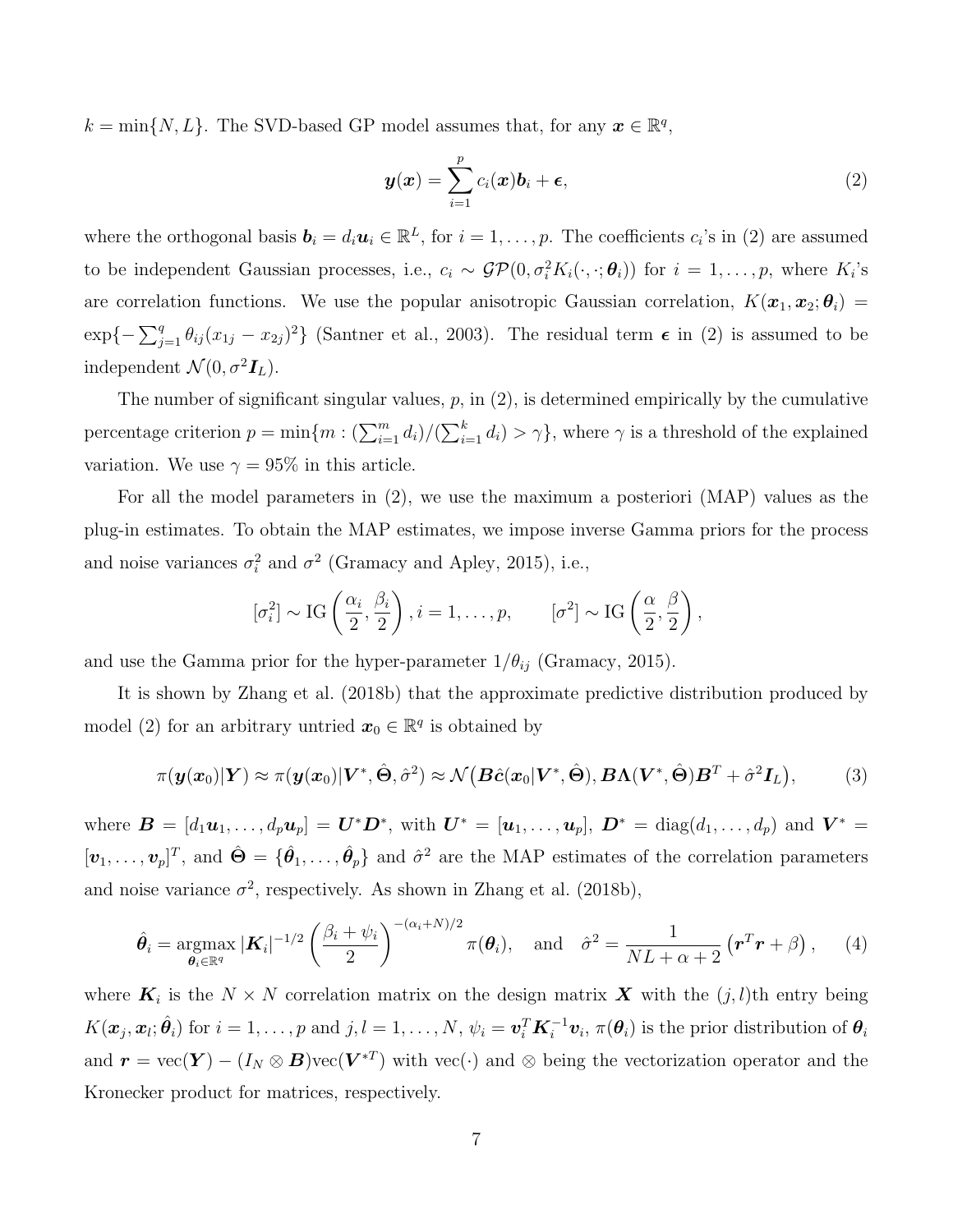$k = \min\{N, L\}$ . The SVD-based GP model assumes that, for any  $\mathbf{x} \in \mathbb{R}^q$ ,

$$
\boldsymbol{y}(\boldsymbol{x}) = \sum_{i=1}^{p} c_i(\boldsymbol{x}) \boldsymbol{b}_i + \boldsymbol{\epsilon},
$$
\n(2)

where the orthogonal basis  $\mathbf{b}_i = d_i \mathbf{u}_i \in \mathbb{R}^L$ , for  $i = 1, \ldots, p$ . The coefficients  $c_i$ 's in (2) are assumed to be independent Gaussian processes, i.e.,  $c_i \sim \mathcal{GP}(0, \sigma_i^2 K_i(\cdot, \cdot; \theta_i))$  for  $i = 1, \ldots, p$ , where  $K_i$ 's are correlation functions. We use the popular anisotropic Gaussian correlation,  $K(\mathbf{x}_1, \mathbf{x}_2; \theta_i)$  $\exp\{-\sum_{j=1}^q \theta_{ij} (x_{1j} - x_{2j})^2\}$  (Santner et al., 2003). The residual term  $\epsilon$  in (2) is assumed to be independent  $\mathcal{N}(0, \sigma^2 \mathbf{I}_L)$ .

The number of significant singular values,  $p$ , in  $(2)$ , is determined empirically by the cumulative percentage criterion  $p = \min\{m : (\sum_{i=1}^m d_i)/(\sum_{i=1}^k d_i) > \gamma\}$ , where  $\gamma$  is a threshold of the explained variation. We use  $\gamma = 95\%$  in this article.

For all the model parameters in (2), we use the maximum a posteriori (MAP) values as the plug-in estimates. To obtain the MAP estimates, we impose inverse Gamma priors for the process and noise variances  $\sigma_i^2$  and  $\sigma^2$  (Gramacy and Apley, 2015), i.e.,

$$
[\sigma_i^2] \sim \text{IG}\left(\frac{\alpha_i}{2}, \frac{\beta_i}{2}\right), i = 1, \dots, p, \qquad [\sigma^2] \sim \text{IG}\left(\frac{\alpha}{2}, \frac{\beta}{2}\right),
$$

and use the Gamma prior for the hyper-parameter  $1/\theta_{ij}$  (Gramacy, 2015).

It is shown by Zhang et al. (2018b) that the approximate predictive distribution produced by model (2) for an arbitrary untried  $\mathbf{x}_0 \in \mathbb{R}^q$  is obtained by

$$
\pi(\boldsymbol{y}(\boldsymbol{x}_0)|\boldsymbol{Y}) \approx \pi(\boldsymbol{y}(\boldsymbol{x}_0)|\boldsymbol{V}^*, \hat{\boldsymbol{\Theta}}, \hat{\sigma}^2) \approx \mathcal{N}\big(\boldsymbol{B}\hat{\boldsymbol{c}}(\boldsymbol{x}_0|\boldsymbol{V}^*, \hat{\boldsymbol{\Theta}}), \boldsymbol{B}\boldsymbol{\Lambda}(\boldsymbol{V}^*, \hat{\boldsymbol{\Theta}})\boldsymbol{B}^T + \hat{\sigma}^2\boldsymbol{I}_L\big),\tag{3}
$$

where  $\mathbf{B} = [d_1\mathbf{u}_1,\ldots,d_p\mathbf{u}_p] = \mathbf{U}^*\mathbf{D}^*$ , with  $\mathbf{U}^* = [\mathbf{u}_1,\ldots,\mathbf{u}_p]$ ,  $\mathbf{D}^* = \text{diag}(d_1,\ldots,d_p)$  and  $\mathbf{V}^* =$  $[\boldsymbol{v}_1,\ldots,\boldsymbol{v}_p]^T$ , and  $\hat{\boldsymbol{\Theta}} = {\hat{\theta}_1,\ldots,\hat{\theta}_p}$  and  $\hat{\sigma}^2$  are the MAP estimates of the correlation parameters and noise variance  $\sigma^2$ , respectively. As shown in Zhang et al. (2018b),

$$
\hat{\theta}_i = \underset{\boldsymbol{\theta}_i \in \mathbb{R}^q}{\operatorname{argmax}} |\boldsymbol{K}_i|^{-1/2} \left(\frac{\beta_i + \psi_i}{2}\right)^{-(\alpha_i + N)/2} \pi(\boldsymbol{\theta}_i), \quad \text{and} \quad \hat{\sigma}^2 = \frac{1}{NL + \alpha + 2} (\boldsymbol{r}^T \boldsymbol{r} + \beta), \qquad (4)
$$

where  $\mathbf{K}_i$  is the  $N \times N$  correlation matrix on the design matrix  $\mathbf{X}$  with the  $(j, l)$ th entry being  $K(\boldsymbol{x}_j, \boldsymbol{x}_l; \hat{\boldsymbol{\theta}_i})$  for  $i = 1, \ldots, p$  and  $j, l = 1, \ldots, N, \psi_i = \boldsymbol{v}_i^T \boldsymbol{K}_i^{-1} \boldsymbol{v}_i, \pi(\boldsymbol{\theta}_i)$  is the prior distribution of  $\boldsymbol{\theta}_i$ and  $\mathbf{r} = \text{vec}(\mathbf{Y}) - (I_N \otimes \mathbf{B})\text{vec}(\mathbf{V}^{*T})$  with  $\text{vec}(\cdot)$  and  $\otimes$  being the vectorization operator and the Kronecker product for matrices, respectively.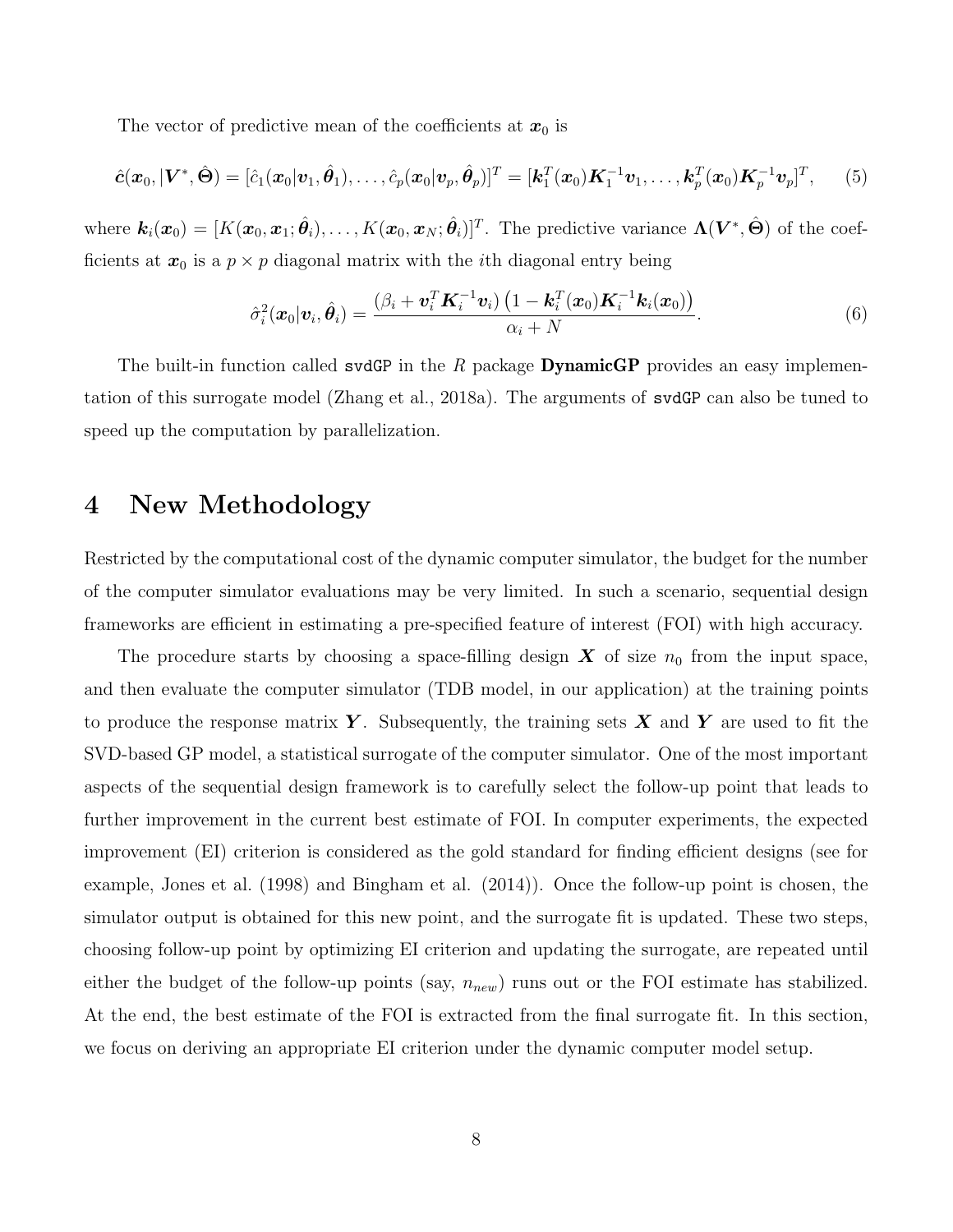The vector of predictive mean of the coefficients at  $x_0$  is

$$
\hat{c}(\mathbf{x}_0,|\mathbf{V}^*,\hat{\Theta}) = [\hat{c}_1(\mathbf{x}_0|\mathbf{v}_1,\hat{\theta}_1),\ldots,\hat{c}_p(\mathbf{x}_0|\mathbf{v}_p,\hat{\theta}_p)]^T = [\mathbf{k}_1^T(\mathbf{x}_0)\mathbf{K}_1^{-1}\mathbf{v}_1,\ldots,\mathbf{k}_p^T(\mathbf{x}_0)\mathbf{K}_p^{-1}\mathbf{v}_p]^T, (5)
$$

where  $\mathbf{k}_i(\bm{x}_0) = [K(\bm{x}_0, \bm{x}_1; \hat{\bm{\theta}}_i), \dots, K(\bm{x}_0, \bm{x}_N; \hat{\bm{\theta}}_i)]^T$ . The predictive variance  $\bm{\Lambda}(\bm{V}^*, \hat{\bm{\Theta}})$  of the coefficients at  $x_0$  is a  $p \times p$  diagonal matrix with the *i*th diagonal entry being

$$
\hat{\sigma}_i^2(\boldsymbol{x}_0|\boldsymbol{v}_i,\hat{\boldsymbol{\theta}}_i) = \frac{(\beta_i + \boldsymbol{v}_i^T \boldsymbol{K}_i^{-1} \boldsymbol{v}_i) \left(1 - \boldsymbol{k}_i^T(\boldsymbol{x}_0) \boldsymbol{K}_i^{-1} \boldsymbol{k}_i(\boldsymbol{x}_0)\right)}{\alpha_i + N}.
$$
\n(6)

The built-in function called svdGP in the R package **DynamicGP** provides an easy implementation of this surrogate model (Zhang et al., 2018a). The arguments of svdGP can also be tuned to speed up the computation by parallelization.

## 4 New Methodology

Restricted by the computational cost of the dynamic computer simulator, the budget for the number of the computer simulator evaluations may be very limited. In such a scenario, sequential design frameworks are efficient in estimating a pre-specified feature of interest (FOI) with high accuracy.

The procedure starts by choosing a space-filling design  $X$  of size  $n_0$  from the input space, and then evaluate the computer simulator (TDB model, in our application) at the training points to produce the response matrix  $Y$ . Subsequently, the training sets  $X$  and  $Y$  are used to fit the SVD-based GP model, a statistical surrogate of the computer simulator. One of the most important aspects of the sequential design framework is to carefully select the follow-up point that leads to further improvement in the current best estimate of FOI. In computer experiments, the expected improvement (EI) criterion is considered as the gold standard for finding efficient designs (see for example, Jones et al. (1998) and Bingham et al. (2014)). Once the follow-up point is chosen, the simulator output is obtained for this new point, and the surrogate fit is updated. These two steps, choosing follow-up point by optimizing EI criterion and updating the surrogate, are repeated until either the budget of the follow-up points (say,  $n_{new}$ ) runs out or the FOI estimate has stabilized. At the end, the best estimate of the FOI is extracted from the final surrogate fit. In this section, we focus on deriving an appropriate EI criterion under the dynamic computer model setup.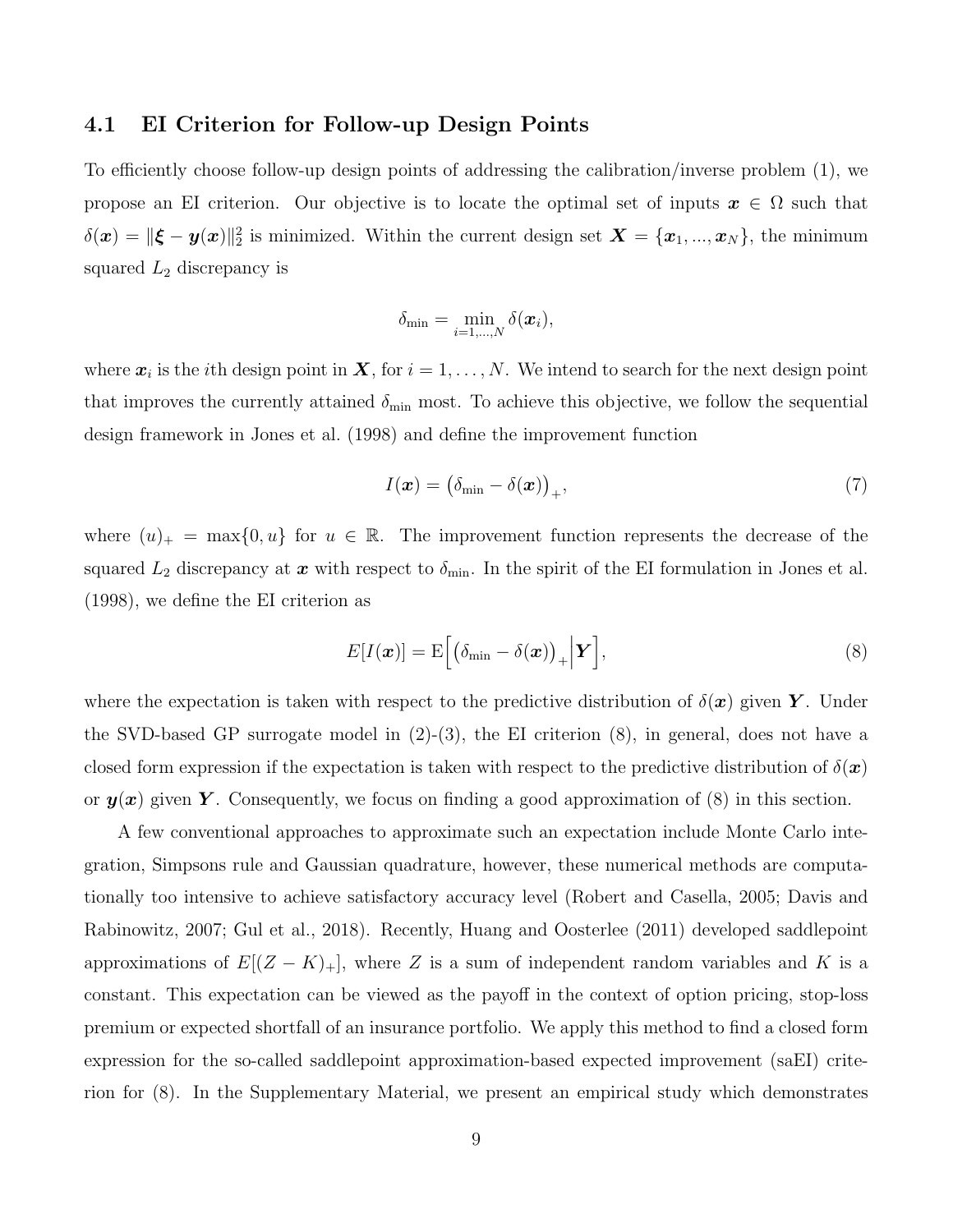#### 4.1 EI Criterion for Follow-up Design Points

To efficiently choose follow-up design points of addressing the calibration/inverse problem (1), we propose an EI criterion. Our objective is to locate the optimal set of inputs  $x \in \Omega$  such that  $\delta(\bm{x}) = \|\bm{\xi} - \bm{y}(\bm{x})\|_2^2$  is minimized. Within the current design set  $\bm{X} = \{\bm{x}_1, ..., \bm{x}_N\}$ , the minimum squared  $L_2$  discrepancy is

$$
\delta_{\min} = \min_{i=1,\dots,N} \delta(\boldsymbol{x}_i),
$$

where  $x_i$  is the *i*th design point in  $X$ , for  $i = 1, ..., N$ . We intend to search for the next design point that improves the currently attained  $\delta_{\min}$  most. To achieve this objective, we follow the sequential design framework in Jones et al. (1998) and define the improvement function

$$
I(\boldsymbol{x}) = (\delta_{\min} - \delta(\boldsymbol{x}))_+, \tag{7}
$$

where  $(u)_+$  = max $\{0, u\}$  for  $u \in \mathbb{R}$ . The improvement function represents the decrease of the squared  $L_2$  discrepancy at  $\boldsymbol{x}$  with respect to  $\delta_{\min}$ . In the spirit of the EI formulation in Jones et al. (1998), we define the EI criterion as

$$
E[I(\boldsymbol{x})] = \mathrm{E}\Big[\big(\delta_{\min} - \delta(\boldsymbol{x})\big)_+\Big|\boldsymbol{Y}\Big],\tag{8}
$$

where the expectation is taken with respect to the predictive distribution of  $\delta(\mathbf{x})$  given Y. Under the SVD-based GP surrogate model in  $(2)-(3)$ , the EI criterion  $(8)$ , in general, does not have a closed form expression if the expectation is taken with respect to the predictive distribution of  $\delta(x)$ or  $y(x)$  given Y. Consequently, we focus on finding a good approximation of (8) in this section.

A few conventional approaches to approximate such an expectation include Monte Carlo integration, Simpsons rule and Gaussian quadrature, however, these numerical methods are computationally too intensive to achieve satisfactory accuracy level (Robert and Casella, 2005; Davis and Rabinowitz, 2007; Gul et al., 2018). Recently, Huang and Oosterlee (2011) developed saddlepoint approximations of  $E[(Z - K)_+]$ , where Z is a sum of independent random variables and K is a constant. This expectation can be viewed as the payoff in the context of option pricing, stop-loss premium or expected shortfall of an insurance portfolio. We apply this method to find a closed form expression for the so-called saddlepoint approximation-based expected improvement (saEI) criterion for (8). In the Supplementary Material, we present an empirical study which demonstrates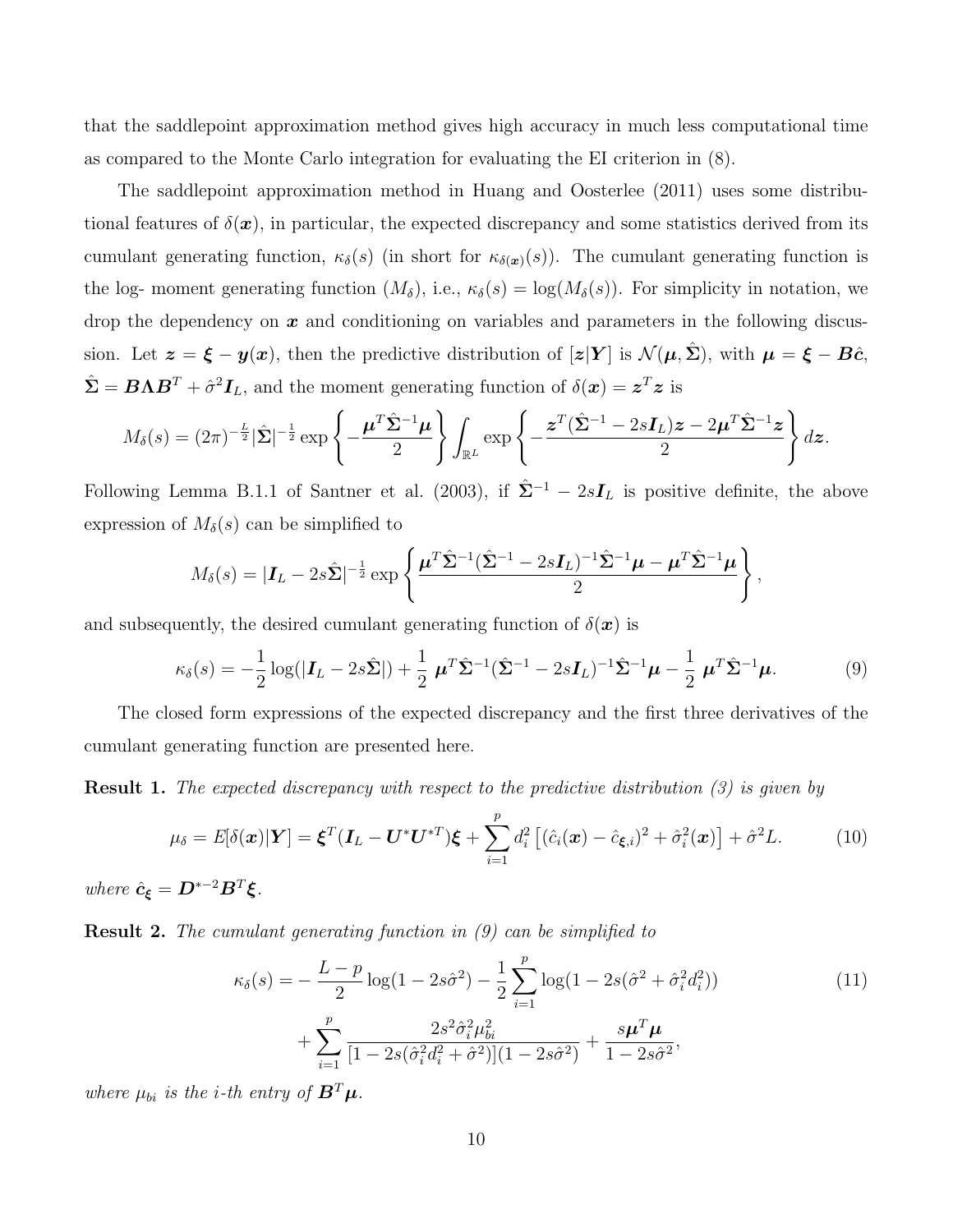that the saddlepoint approximation method gives high accuracy in much less computational time as compared to the Monte Carlo integration for evaluating the EI criterion in (8).

The saddlepoint approximation method in Huang and Oosterlee (2011) uses some distributional features of  $\delta(\mathbf{x})$ , in particular, the expected discrepancy and some statistics derived from its cumulant generating function,  $\kappa_{\delta}(s)$  (in short for  $\kappa_{\delta(x)}(s)$ ). The cumulant generating function is the log- moment generating function  $(M_\delta)$ , i.e.,  $\kappa_\delta(s) = \log(M_\delta(s))$ . For simplicity in notation, we drop the dependency on  $x$  and conditioning on variables and parameters in the following discussion. Let  $z = \xi - y(x)$ , then the predictive distribution of  $[z|Y]$  is  $\mathcal{N}(\mu, \Sigma)$ , with  $\mu = \xi - B\hat{c}$ ,  $\hat{\mathbf{\Sigma}} = \mathbf{B} \mathbf{\Lambda} \mathbf{B}^T + \hat{\sigma}^2 \mathbf{I}_L$ , and the moment generating function of  $\delta(\mathbf{x}) = \mathbf{z}^T \mathbf{z}$  is

$$
M_{\delta}(s) = (2\pi)^{-\frac{L}{2}}|\hat{\Sigma}|^{-\frac{1}{2}}\exp\left\{-\frac{\boldsymbol{\mu}^{T}\hat{\Sigma}^{-1}\boldsymbol{\mu}}{2}\right\}\int_{\mathbb{R}^{L}}\exp\left\{-\frac{\boldsymbol{z}^{T}(\hat{\Sigma}^{-1}-2s\boldsymbol{I}_{L})\boldsymbol{z}-2\boldsymbol{\mu}^{T}\hat{\Sigma}^{-1}\boldsymbol{z}}{2}\right\}d\boldsymbol{z}.
$$

Following Lemma B.1.1 of Santner et al. (2003), if  $\hat{\Sigma}^{-1} - 2sI_L$  is positive definite, the above expression of  $M_\delta(s)$  can be simplified to

$$
M_{\delta}(s) = |\mathbf{I}_L - 2s\hat{\Sigma}|^{-\frac{1}{2}} \exp\left\{\frac{\boldsymbol{\mu}^T \hat{\Sigma}^{-1} (\hat{\Sigma}^{-1} - 2s\mathbf{I}_L)^{-1} \hat{\Sigma}^{-1} \boldsymbol{\mu} - \boldsymbol{\mu}^T \hat{\Sigma}^{-1} \boldsymbol{\mu}}{2}\right\},\,
$$

and subsequently, the desired cumulant generating function of  $\delta(\mathbf{x})$  is

$$
\kappa_{\delta}(s) = -\frac{1}{2}\log(|\mathbf{I}_L - 2s\hat{\boldsymbol{\Sigma}}|) + \frac{1}{2}\boldsymbol{\mu}^T\hat{\boldsymbol{\Sigma}}^{-1}(\hat{\boldsymbol{\Sigma}}^{-1} - 2s\mathbf{I}_L)^{-1}\hat{\boldsymbol{\Sigma}}^{-1}\boldsymbol{\mu} - \frac{1}{2}\boldsymbol{\mu}^T\hat{\boldsymbol{\Sigma}}^{-1}\boldsymbol{\mu}.
$$
 (9)

The closed form expressions of the expected discrepancy and the first three derivatives of the cumulant generating function are presented here.

Result 1. *The expected discrepancy with respect to the predictive distribution (3) is given by*

$$
\mu_{\delta} = E[\delta(\boldsymbol{x})|\boldsymbol{Y}] = \boldsymbol{\xi}^{T}(\boldsymbol{I}_{L} - \boldsymbol{U}^{*}\boldsymbol{U}^{*T})\boldsymbol{\xi} + \sum_{i=1}^{p} d_{i}^{2} \left[ (\hat{c}_{i}(\boldsymbol{x}) - \hat{c}_{\boldsymbol{\xi},i})^{2} + \hat{\sigma}_{i}^{2}(\boldsymbol{x}) \right] + \hat{\sigma}^{2} L.
$$
 (10)

*where*  $\hat{c}_{\xi} = D^{*-2}B^T\xi$ .

Result 2. *The cumulant generating function in (9) can be simplified to*

$$
\kappa_{\delta}(s) = -\frac{L-p}{2}\log(1-2s\hat{\sigma}^2) - \frac{1}{2}\sum_{i=1}^{p}\log(1-2s(\hat{\sigma}^2+\hat{\sigma}_i^2d_i^2)) + \sum_{i=1}^{p}\frac{2s^2\hat{\sigma}_i^2\mu_{bi}^2}{[1-2s(\hat{\sigma}_i^2d_i^2+\hat{\sigma}^2)](1-2s\hat{\sigma}^2)} + \frac{s\boldsymbol{\mu}^T\boldsymbol{\mu}}{1-2s\hat{\sigma}^2},
$$
\n(11)

*where*  $\mu_{bi}$  *is the i-th entry of*  $\mathbf{B}^T \boldsymbol{\mu}$ *.*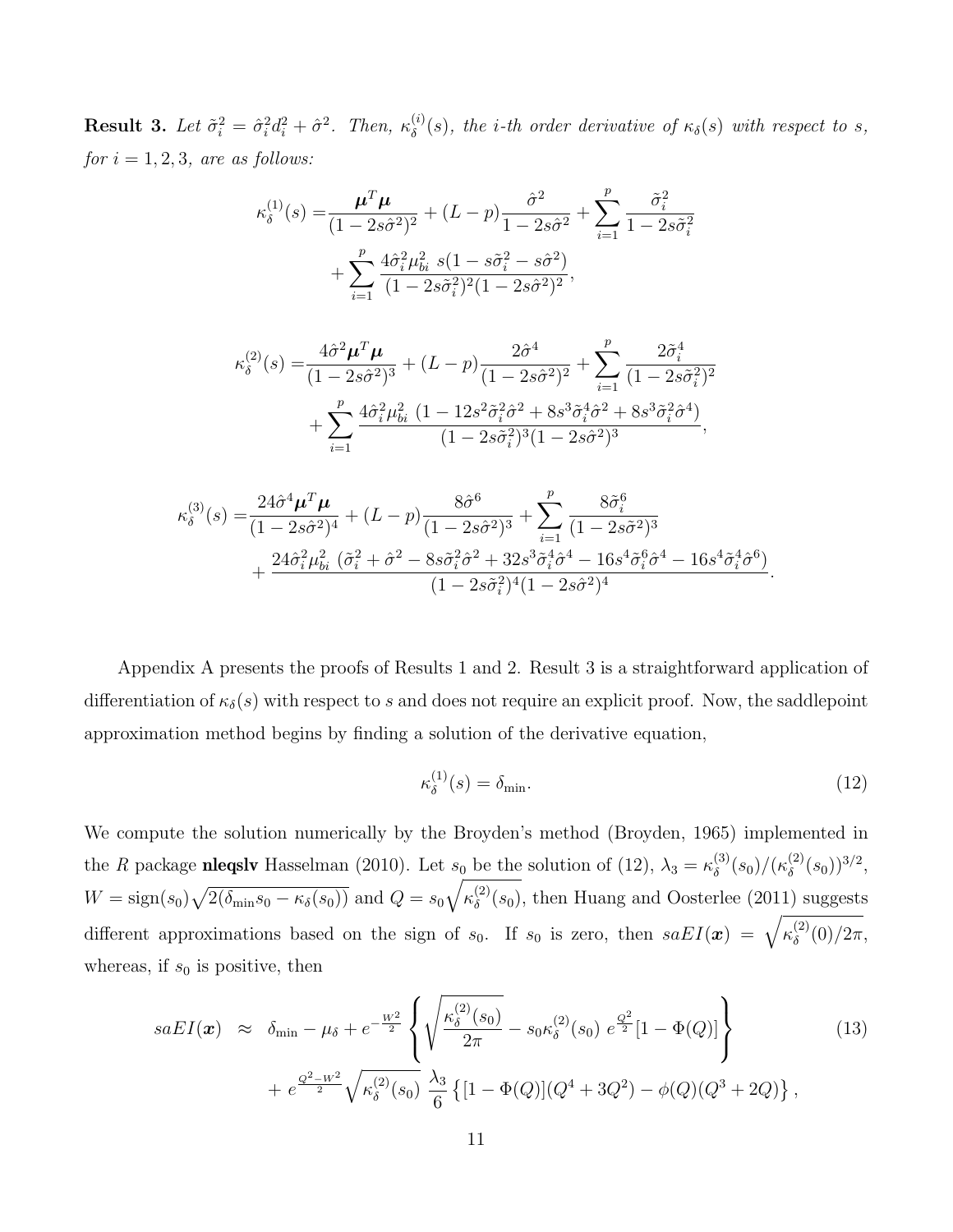**Result 3.** Let  $\tilde{\sigma}_i^2 = \hat{\sigma}_i^2 d_i^2 + \hat{\sigma}^2$ . Then,  $\kappa_\delta^{(i)}$  $\delta^{(s)}(s)$ , the *i*-th order derivative of  $\kappa_{\delta}(s)$  with respect to *s*,  $for i = 1, 2, 3, are as follows:$ 

$$
\kappa_{\delta}^{(1)}(s) = \frac{\mu^T \mu}{(1 - 2s\hat{\sigma}^2)^2} + (L - p)\frac{\hat{\sigma}^2}{1 - 2s\hat{\sigma}^2} + \sum_{i=1}^p \frac{\tilde{\sigma}_i^2}{1 - 2s\tilde{\sigma}_i^2} + \sum_{i=1}^p \frac{4\hat{\sigma}_i^2 \mu_{bi}^2 s (1 - s\tilde{\sigma}_i^2 - s\hat{\sigma}^2)}{(1 - 2s\tilde{\sigma}_i^2)^2 (1 - 2s\hat{\sigma}^2)^2},
$$

$$
\kappa_{\delta}^{(2)}(s) = \frac{4\hat{\sigma}^2 \mu^T \mu}{(1 - 2s\hat{\sigma}^2)^3} + (L - p) \frac{2\hat{\sigma}^4}{(1 - 2s\hat{\sigma}^2)^2} + \sum_{i=1}^p \frac{2\tilde{\sigma}_i^4}{(1 - 2s\tilde{\sigma}_i^2)^2} + \sum_{i=1}^p \frac{4\hat{\sigma}_i^2 \mu_{bi}^2 (1 - 12s^2 \tilde{\sigma}_i^2 \hat{\sigma}^2 + 8s^3 \tilde{\sigma}_i^4 \hat{\sigma}^2 + 8s^3 \tilde{\sigma}_i^2 \hat{\sigma}^4)}{(1 - 2s\tilde{\sigma}_i^2)^3 (1 - 2s\hat{\sigma}^2)^3},
$$

$$
\kappa_{\delta}^{(3)}(s) = \frac{24\hat{\sigma}^4 \mu^T \mu}{(1 - 2s\hat{\sigma}^2)^4} + (L - p) \frac{8\hat{\sigma}^6}{(1 - 2s\hat{\sigma}^2)^3} + \sum_{i=1}^p \frac{8\tilde{\sigma}_i^6}{(1 - 2s\tilde{\sigma}^2)^3} + \frac{24\hat{\sigma}_i^2 \mu_{bi}^2 (\tilde{\sigma}_i^2 + \hat{\sigma}^2 - 8s\tilde{\sigma}_i^2 \hat{\sigma}^2 + 32s^3 \tilde{\sigma}_i^4 \hat{\sigma}^4 - 16s^4 \tilde{\sigma}_i^6 \hat{\sigma}^4 - 16s^4 \tilde{\sigma}_i^4 \hat{\sigma}^6)}{(1 - 2s\tilde{\sigma}_i^2)^4 (1 - 2s\hat{\sigma}^2)^4}
$$

Appendix A presents the proofs of Results 1 and 2. Result 3 is a straightforward application of differentiation of  $\kappa_{\delta}(s)$  with respect to s and does not require an explicit proof. Now, the saddlepoint approximation method begins by finding a solution of the derivative equation,

$$
\kappa_{\delta}^{(1)}(s) = \delta_{\min}.\tag{12}
$$

.

We compute the solution numerically by the Broyden's method (Broyden, 1965) implemented in the *R* package **nleqslv** Hasselman (2010). Let  $s_0$  be the solution of (12),  $\lambda_3 = \kappa_\delta^{(3)}$  $\binom{3)}{\delta}(s_0)/(\kappa^{(2)}_\delta)$  $\binom{2}{\delta}(s_0)^{3/2},$  $W = \text{sign}(s_0) \sqrt{2(\delta_{\text{min}} s_0 - \kappa_{\delta}(s_0))}$  and  $Q = s_0 \sqrt{\kappa_{\delta}^{(2)}}$  $\delta^{(2)}(s_0)$ , then Huang and Oosterlee (2011) suggests different approximations based on the sign of  $s_0$ . If  $s_0$  is zero, then  $saEI(\mathbf{x}) = \sqrt{\kappa_\delta^{(2)}}$  $\int_{\delta}^{(2)}(0)/2\pi,$ whereas, if  $s_0$  is positive, then

$$
saEI(\mathbf{x}) \approx \delta_{\min} - \mu_{\delta} + e^{-\frac{W^2}{2}} \left\{ \sqrt{\frac{\kappa_{\delta}^{(2)}(s_0)}{2\pi}} - s_0 \kappa_{\delta}^{(2)}(s_0) e^{\frac{Q^2}{2}} [1 - \Phi(Q)] \right\} + e^{\frac{Q^2 - W^2}{2}} \sqrt{\kappa_{\delta}^{(2)}(s_0)} \frac{\lambda_3}{6} \left\{ [1 - \Phi(Q)] (Q^4 + 3Q^2) - \phi(Q) (Q^3 + 2Q) \right\},
$$
\n(13)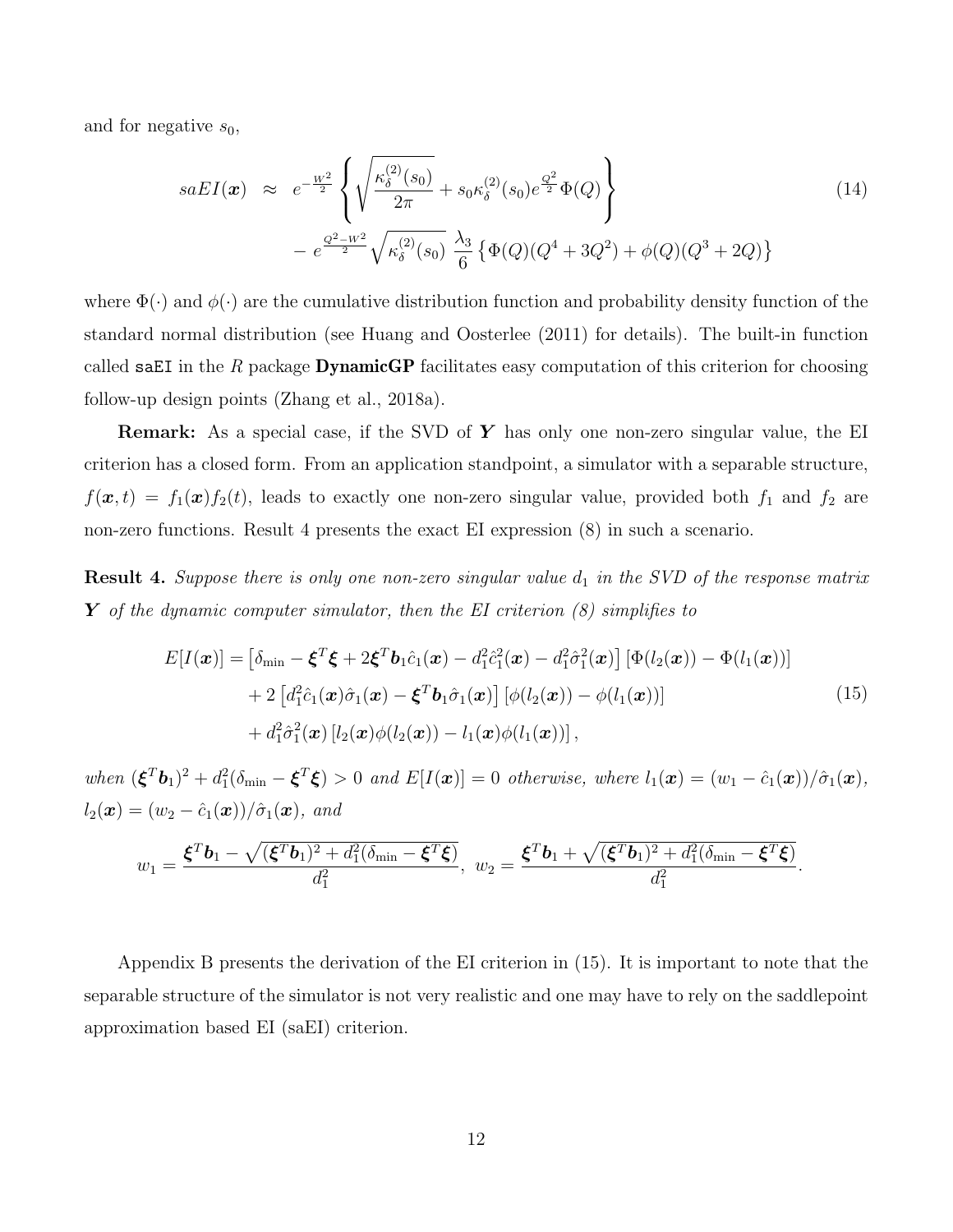and for negative  $s_0$ ,

$$
saEI(\boldsymbol{x}) \approx e^{-\frac{W^2}{2}} \left\{ \sqrt{\frac{\kappa_{\delta}^{(2)}(s_0)}{2\pi}} + s_0 \kappa_{\delta}^{(2)}(s_0) e^{\frac{Q^2}{2}} \Phi(Q) \right\} - e^{\frac{Q^2 - W^2}{2}} \sqrt{\kappa_{\delta}^{(2)}(s_0)} \frac{\lambda_3}{6} \left\{ \Phi(Q)(Q^4 + 3Q^2) + \phi(Q)(Q^3 + 2Q) \right\}
$$
(14)

where  $\Phi(\cdot)$  and  $\phi(\cdot)$  are the cumulative distribution function and probability density function of the standard normal distribution (see Huang and Oosterlee (2011) for details). The built-in function called saEI in the *R* package DynamicGP facilitates easy computation of this criterion for choosing follow-up design points (Zhang et al., 2018a).

**Remark:** As a special case, if the SVD of  $\boldsymbol{Y}$  has only one non-zero singular value, the EI criterion has a closed form. From an application standpoint, a simulator with a separable structure,  $f(\mathbf{x}, t) = f_1(\mathbf{x})f_2(t)$ , leads to exactly one non-zero singular value, provided both  $f_1$  and  $f_2$  are non-zero functions. Result 4 presents the exact EI expression (8) in such a scenario.

Result 4. Suppose there is only one non-zero singular value  $d_1$  in the SVD of the response matrix Y *of the dynamic computer simulator, then the EI criterion (8) simplifies to*

$$
E[I(\boldsymbol{x})] = \left[\delta_{\min} - \boldsymbol{\xi}^T \boldsymbol{\xi} + 2 \boldsymbol{\xi}^T \boldsymbol{b}_1 \hat{c}_1(\boldsymbol{x}) - d_1^2 \hat{c}_1^2(\boldsymbol{x}) - d_1^2 \hat{\sigma}_1^2(\boldsymbol{x})\right] \left[\Phi(l_2(\boldsymbol{x})) - \Phi(l_1(\boldsymbol{x}))\right] + 2\left[d_1^2 \hat{c}_1(\boldsymbol{x}) \hat{\sigma}_1(\boldsymbol{x}) - \boldsymbol{\xi}^T \boldsymbol{b}_1 \hat{\sigma}_1(\boldsymbol{x})\right] \left[\phi(l_2(\boldsymbol{x})) - \phi(l_1(\boldsymbol{x}))\right] + d_1^2 \hat{\sigma}_1^2(\boldsymbol{x}) \left[l_2(\boldsymbol{x}) \phi(l_2(\boldsymbol{x})) - l_1(\boldsymbol{x}) \phi(l_1(\boldsymbol{x}))\right],
$$
\n(15)

 $when \, (\boldsymbol{\xi}^T \boldsymbol{b}_1)^2 + d_1^2(\delta_{\min} - \boldsymbol{\xi}^T \boldsymbol{\xi}) > 0 \, and \, E[I(\boldsymbol{x})] = 0 \, otherwise, \, where \, l_1(\boldsymbol{x}) = (w_1 - \hat{c}_1(\boldsymbol{x}))/\hat{\sigma}_1(\boldsymbol{x}),$  $l_2(\bm{x}) = (w_2 - \hat{c}_1(\bm{x}))/\hat{\sigma}_1(\bm{x}), \text{ and}$ 

$$
w_1 = \frac{\boldsymbol{\xi}^T \boldsymbol{b}_1 - \sqrt{(\boldsymbol{\xi}^T \boldsymbol{b}_1)^2 + d_1^2(\delta_{\min} - \boldsymbol{\xi}^T \boldsymbol{\xi})}}{d_1^2}, \ w_2 = \frac{\boldsymbol{\xi}^T \boldsymbol{b}_1 + \sqrt{(\boldsymbol{\xi}^T \boldsymbol{b}_1)^2 + d_1^2(\delta_{\min} - \boldsymbol{\xi}^T \boldsymbol{\xi})}}{d_1^2}.
$$

Appendix B presents the derivation of the EI criterion in (15). It is important to note that the separable structure of the simulator is not very realistic and one may have to rely on the saddlepoint approximation based EI (saEI) criterion.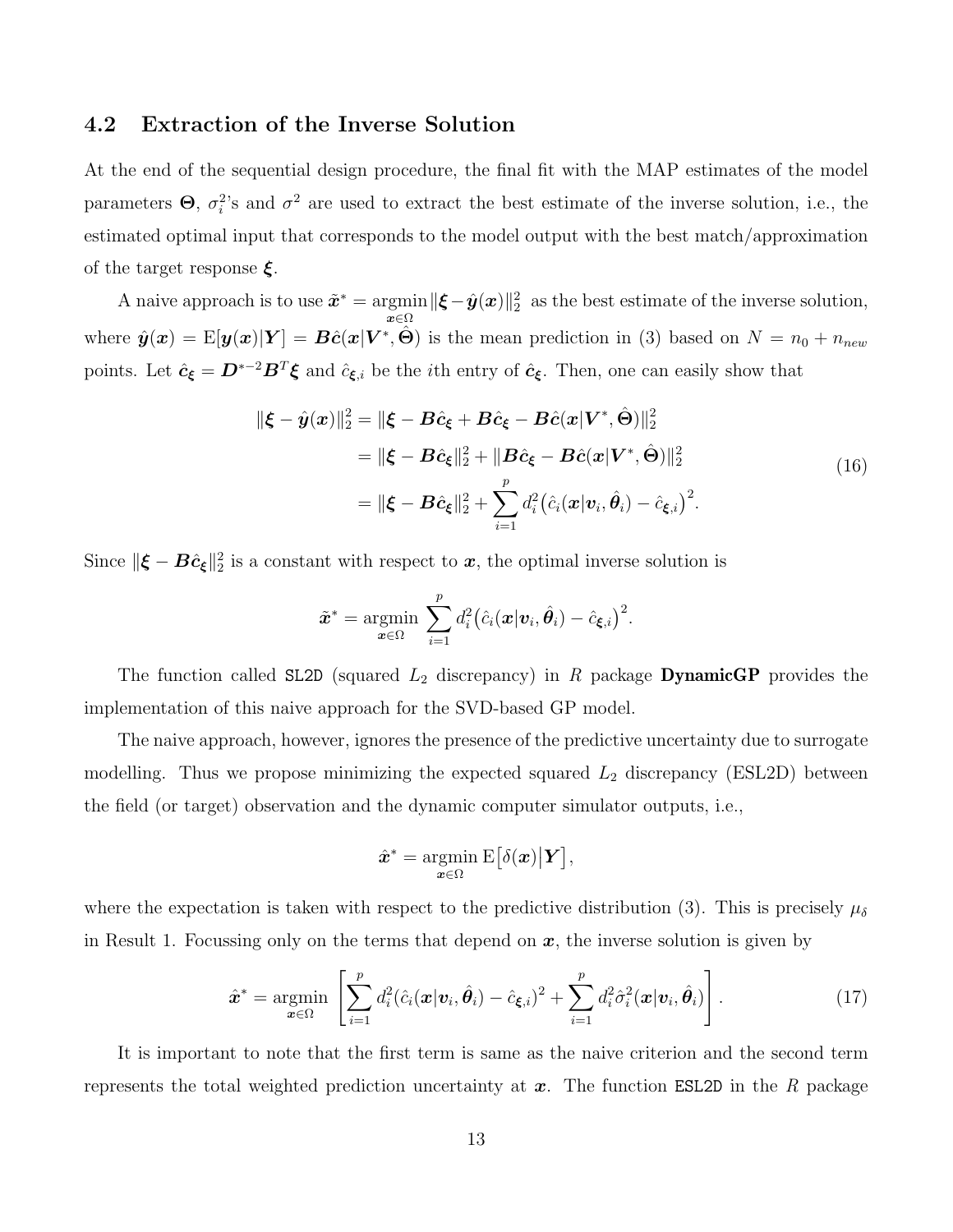#### 4.2 Extraction of the Inverse Solution

At the end of the sequential design procedure, the final fit with the MAP estimates of the model parameters  $\Theta$ ,  $\sigma_i^2$ 's and  $\sigma^2$  are used to extract the best estimate of the inverse solution, i.e., the estimated optimal input that corresponds to the model output with the best match/approximation of the target response  $\xi$ .

A naive approach is to use  $\tilde{x}^* = \text{argmin}$  $\lim_{\bm{x}\in\Omega} \|\bm{\xi}-\hat{\bm{y}}(\bm{x})\|_2^2$  as the best estimate of the inverse solution, where  $\hat{\bm{y}}(\bm{x}) = \text{E}[\bm{y}(\bm{x}) | \bm{Y}] = \bm{B}\hat{\bm{c}}(\bm{x} | \bm{V}^*, \hat{\bm{\Theta}})$  is the mean prediction in (3) based on  $N = n_0 + n_{new}$ points. Let  $\hat{c}_{\xi} = D^{*-2}B^T\xi$  and  $\hat{c}_{\xi,i}$  be the *i*th entry of  $\hat{c}_{\xi}$ . Then, one can easily show that

$$
\|\boldsymbol{\xi} - \hat{\boldsymbol{y}}(\boldsymbol{x})\|_{2}^{2} = \|\boldsymbol{\xi} - \boldsymbol{B}\hat{c}_{\boldsymbol{\xi}} + \boldsymbol{B}\hat{c}_{\boldsymbol{\xi}} - \boldsymbol{B}\hat{c}(\boldsymbol{x}|\boldsymbol{V}^{*}, \hat{\boldsymbol{\Theta}})\|_{2}^{2}
$$
  
\n
$$
= \|\boldsymbol{\xi} - \boldsymbol{B}\hat{c}_{\boldsymbol{\xi}}\|_{2}^{2} + \|\boldsymbol{B}\hat{c}_{\boldsymbol{\xi}} - \boldsymbol{B}\hat{c}(\boldsymbol{x}|\boldsymbol{V}^{*}, \hat{\boldsymbol{\Theta}})\|_{2}^{2}
$$
  
\n
$$
= \|\boldsymbol{\xi} - \boldsymbol{B}\hat{c}_{\boldsymbol{\xi}}\|_{2}^{2} + \sum_{i=1}^{p} d_{i}^{2} (\hat{c}_{i}(\boldsymbol{x}|\boldsymbol{v}_{i}, \hat{\boldsymbol{\theta}}_{i}) - \hat{c}_{\boldsymbol{\xi}, i})^{2}.
$$
\n(16)

Since  $\|\boldsymbol{\xi} - \boldsymbol{B}\hat{\boldsymbol{c}}_{\boldsymbol{\xi}}\|_2^2$  is a constant with respect to  $\boldsymbol{x}$ , the optimal inverse solution is

$$
\tilde{\boldsymbol{x}}^* = \operatorname*{argmin}_{\boldsymbol{x} \in \Omega} \ \sum_{i=1}^p d_i^2 (\hat{c}_i(\boldsymbol{x}|\boldsymbol{v}_i, \hat{\boldsymbol{\theta}}_i) - \hat{c}_{\boldsymbol{\xi},i})^2.
$$

The function called SL2D (squared  $L_2$  discrepancy) in  $R$  package **DynamicGP** provides the implementation of this naive approach for the SVD-based GP model.

The naive approach, however, ignores the presence of the predictive uncertainty due to surrogate modelling. Thus we propose minimizing the expected squared  $L_2$  discrepancy (ESL2D) between the field (or target) observation and the dynamic computer simulator outputs, i.e.,

$$
\hat{\boldsymbol{x}}^* = \operatornamewithlimits{argmin}_{\boldsymbol{x} \in \Omega} \mathrm{E}\big[\delta(\boldsymbol{x}) \big| \boldsymbol{Y} \big],
$$

where the expectation is taken with respect to the predictive distribution (3). This is precisely  $\mu_{\delta}$ in Result 1. Focussing only on the terms that depend on  $x$ , the inverse solution is given by

$$
\hat{\boldsymbol{x}}^* = \underset{\boldsymbol{x} \in \Omega}{\operatorname{argmin}} \left[ \sum_{i=1}^p d_i^2 (\hat{c}_i(\boldsymbol{x}|\boldsymbol{v}_i, \hat{\boldsymbol{\theta}}_i) - \hat{c}_{\boldsymbol{\xi},i})^2 + \sum_{i=1}^p d_i^2 \hat{\sigma}_i^2(\boldsymbol{x}|\boldsymbol{v}_i, \hat{\boldsymbol{\theta}}_i) \right]. \tag{17}
$$

It is important to note that the first term is same as the naive criterion and the second term represents the total weighted prediction uncertainty at  $x$ . The function ESL2D in the  $R$  package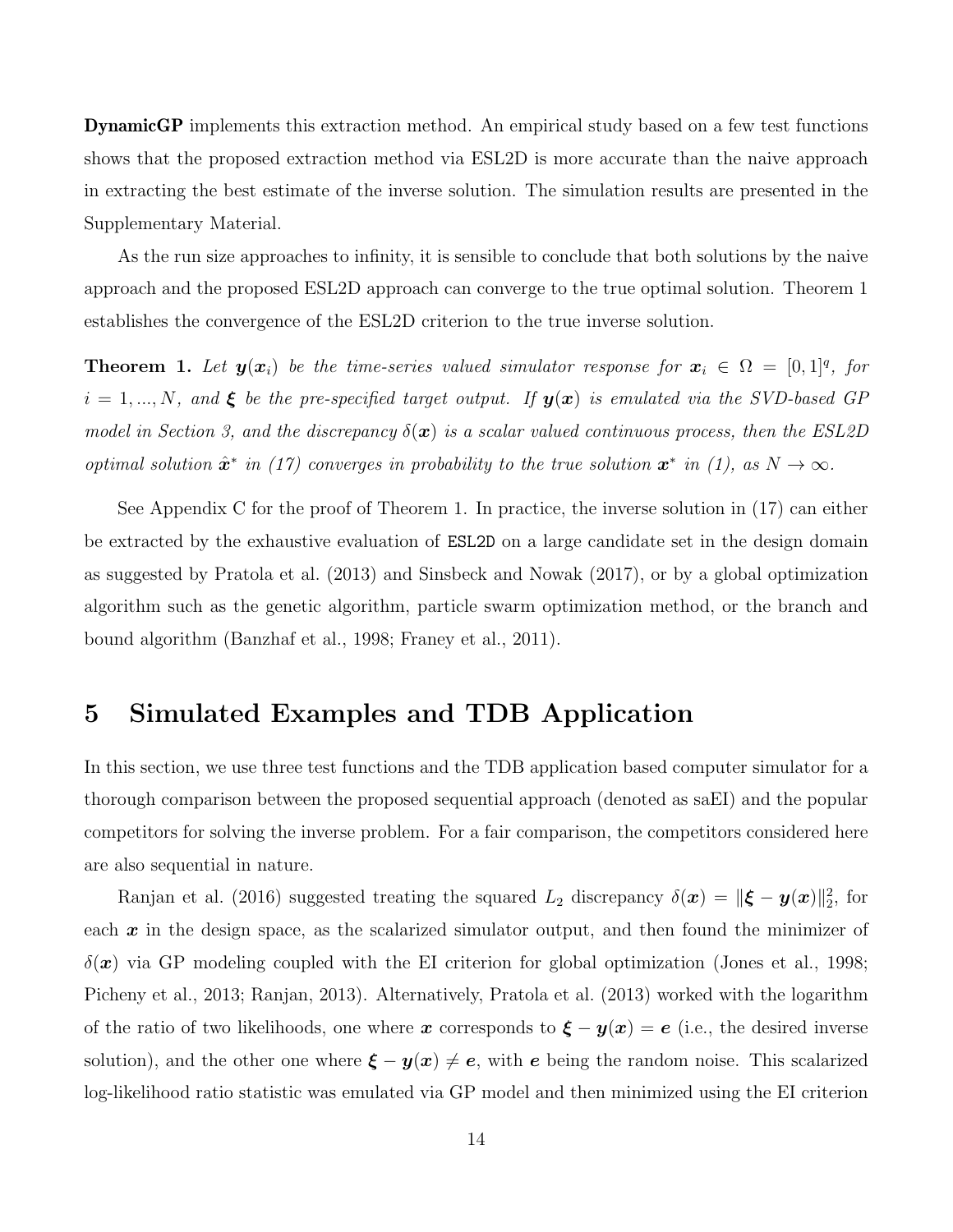**DynamicGP** implements this extraction method. An empirical study based on a few test functions shows that the proposed extraction method via ESL2D is more accurate than the naive approach in extracting the best estimate of the inverse solution. The simulation results are presented in the Supplementary Material.

As the run size approaches to infinity, it is sensible to conclude that both solutions by the naive approach and the proposed ESL2D approach can converge to the true optimal solution. Theorem 1 establishes the convergence of the ESL2D criterion to the true inverse solution.

**Theorem 1.** Let  $y(x_i)$  be the time-series valued simulator response for  $x_i \in \Omega = [0,1]^q$ , for  $i = 1, ..., N$ , and  $\xi$  be the pre-specified target output. If  $y(x)$  is emulated via the SVD-based GP *model in Section 3, and the discrepancy*  $\delta(\mathbf{x})$  *is a scalar valued continuous process, then the ESL2D optimal solution*  $\hat{\mathbf{x}}^*$  *in (17) converges in probability to the true solution*  $\mathbf{x}^*$  *in (1), as*  $N \to \infty$ *.* 

See Appendix C for the proof of Theorem 1. In practice, the inverse solution in (17) can either be extracted by the exhaustive evaluation of ESL2D on a large candidate set in the design domain as suggested by Pratola et al. (2013) and Sinsbeck and Nowak (2017), or by a global optimization algorithm such as the genetic algorithm, particle swarm optimization method, or the branch and bound algorithm (Banzhaf et al., 1998; Franey et al., 2011).

## 5 Simulated Examples and TDB Application

In this section, we use three test functions and the TDB application based computer simulator for a thorough comparison between the proposed sequential approach (denoted as saEI) and the popular competitors for solving the inverse problem. For a fair comparison, the competitors considered here are also sequential in nature.

Ranjan et al. (2016) suggested treating the squared  $L_2$  discrepancy  $\delta(\bm{x}) = ||\bm{\xi} - \bm{y}(\bm{x})||_2^2$ , for each  $x$  in the design space, as the scalarized simulator output, and then found the minimizer of  $\delta(\mathbf{x})$  via GP modeling coupled with the EI criterion for global optimization (Jones et al., 1998; Picheny et al., 2013; Ranjan, 2013). Alternatively, Pratola et al. (2013) worked with the logarithm of the ratio of two likelihoods, one where x corresponds to  $\xi - y(x) = e$  (i.e., the desired inverse solution), and the other one where  $\xi - y(x) \neq e$ , with e being the random noise. This scalarized log-likelihood ratio statistic was emulated via GP model and then minimized using the EI criterion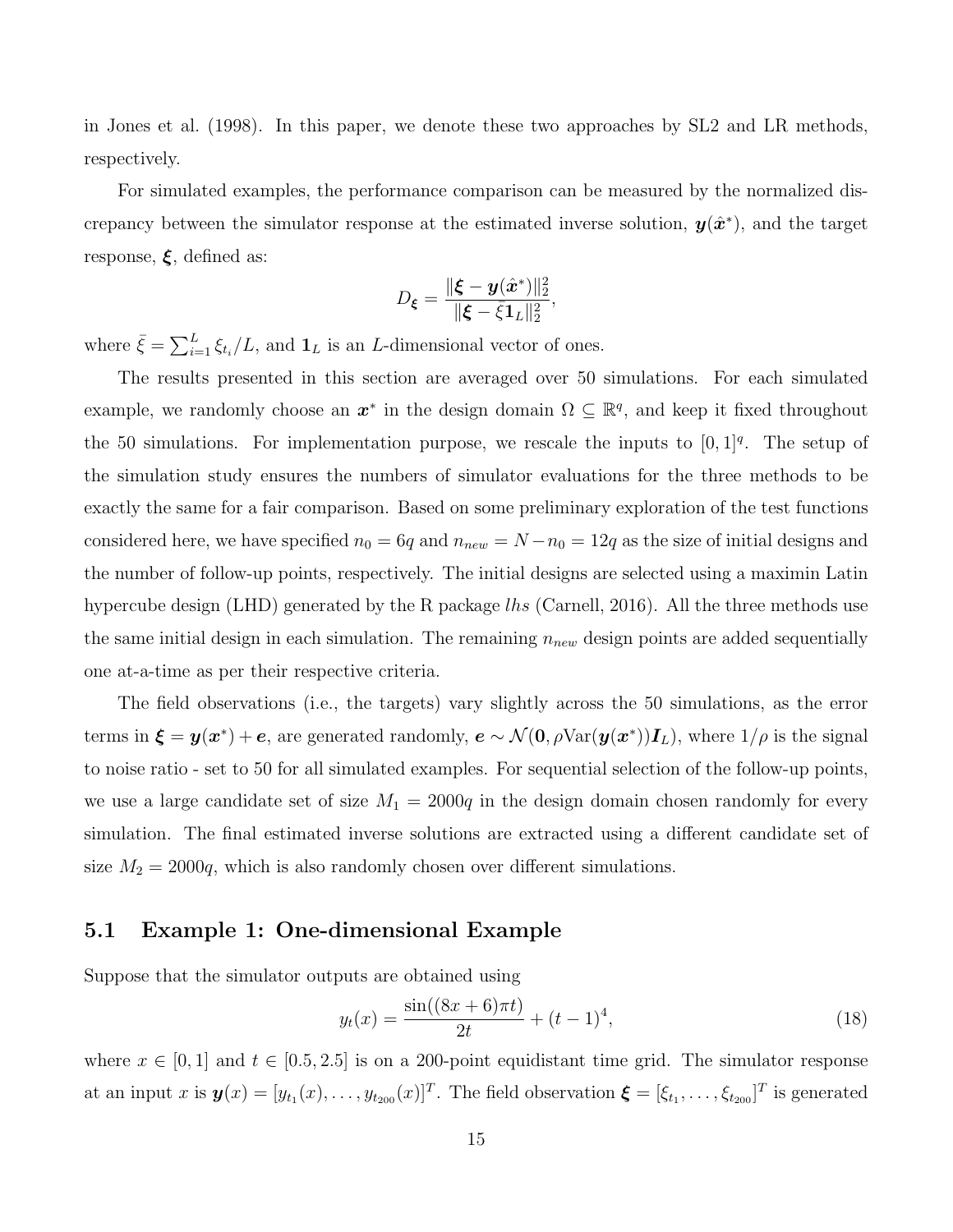in Jones et al. (1998). In this paper, we denote these two approaches by SL2 and LR methods, respectively.

For simulated examples, the performance comparison can be measured by the normalized discrepancy between the simulator response at the estimated inverse solution,  $y(\hat{x}^*)$ , and the target response,  $\xi$ , defined as:

$$
D_{\xi} = \frac{\|\xi - \mathbf{y}(\hat{\mathbf{x}}^*)\|_2^2}{\|\xi - \bar{\xi}\mathbf{1}_L\|_2^2}
$$

,

where  $\bar{\xi} = \sum_{i=1}^{L} \xi_{t_i}/L$ , and  $\mathbf{1}_L$  is an L-dimensional vector of ones.

The results presented in this section are averaged over 50 simulations. For each simulated example, we randomly choose an  $x^*$  in the design domain  $\Omega \subseteq \mathbb{R}^q$ , and keep it fixed throughout the 50 simulations. For implementation purpose, we rescale the inputs to  $[0,1]^q$ . The setup of the simulation study ensures the numbers of simulator evaluations for the three methods to be exactly the same for a fair comparison. Based on some preliminary exploration of the test functions considered here, we have specified  $n_0 = 6q$  and  $n_{new} = N - n_0 = 12q$  as the size of initial designs and the number of follow-up points, respectively. The initial designs are selected using a maximin Latin hypercube design (LHD) generated by the R package lhs (Carnell, 2016). All the three methods use the same initial design in each simulation. The remaining  $n_{new}$  design points are added sequentially one at-a-time as per their respective criteria.

The field observations (i.e., the targets) vary slightly across the 50 simulations, as the error terms in  $\xi = y(x^*) + e$ , are generated randomly,  $e \sim \mathcal{N}(0, \rho \text{Var}(y(x^*))\mathbf{I}_L)$ , where  $1/\rho$  is the signal to noise ratio - set to 50 for all simulated examples. For sequential selection of the follow-up points, we use a large candidate set of size  $M_1 = 2000q$  in the design domain chosen randomly for every simulation. The final estimated inverse solutions are extracted using a different candidate set of size  $M_2 = 2000q$ , which is also randomly chosen over different simulations.

#### 5.1 Example 1: One-dimensional Example

Suppose that the simulator outputs are obtained using

$$
y_t(x) = \frac{\sin((8x+6)\pi t)}{2t} + (t-1)^4,
$$
\n(18)

where  $x \in [0, 1]$  and  $t \in [0.5, 2.5]$  is on a 200-point equidistant time grid. The simulator response at an input x is  $\mathbf{y}(x) = [y_{t_1}(x), \dots, y_{t_{200}}(x)]^T$ . The field observation  $\boldsymbol{\xi} = [\xi_{t_1}, \dots, \xi_{t_{200}}]^T$  is generated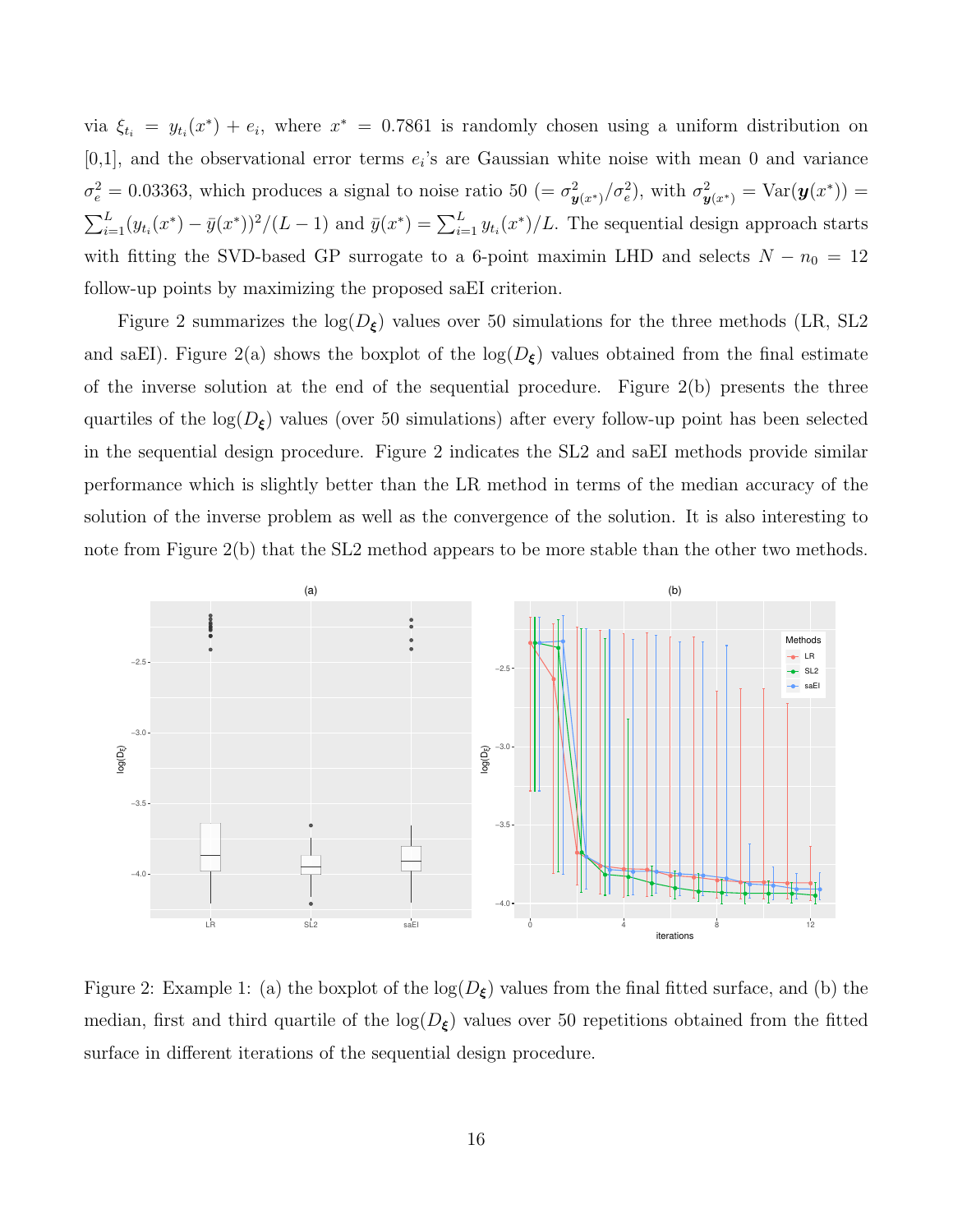via  $\xi_{t_i} = y_{t_i}(x^*) + e_i$ , where  $x^* = 0.7861$  is randomly chosen using a uniform distribution on  $[0,1]$ , and the observational error terms  $e_i$ 's are Gaussian white noise with mean 0 and variance  $\sigma_e^2 = 0.03363$ , which produces a signal to noise ratio 50 (=  $\sigma_{\mathbf{y}(x^*)}^2/\sigma_e^2$ ), with  $\sigma_{\mathbf{y}(x^*)}^2 = \text{Var}(\mathbf{y}(x^*))$  =  $\sum_{i=1}^{L} (y_{t_i}(x^*) - \bar{y}(x^*))^2 / (L-1)$  and  $\bar{y}(x^*) = \sum_{i=1}^{L} y_{t_i}(x^*) / L$ . The sequential design approach starts with fitting the SVD-based GP surrogate to a 6-point maximin LHD and selects  $N - n_0 = 12$ follow-up points by maximizing the proposed saEI criterion.

Figure 2 summarizes the  $log(D_{\xi})$  values over 50 simulations for the three methods (LR, SL2 and saEI). Figure 2(a) shows the boxplot of the  $log(D_{\xi})$  values obtained from the final estimate of the inverse solution at the end of the sequential procedure. Figure 2(b) presents the three quartiles of the  $log(D_{\xi})$  values (over 50 simulations) after every follow-up point has been selected in the sequential design procedure. Figure 2 indicates the SL2 and saEI methods provide similar performance which is slightly better than the LR method in terms of the median accuracy of the solution of the inverse problem as well as the convergence of the solution. It is also interesting to note from Figure 2(b) that the SL2 method appears to be more stable than the other two methods.



Figure 2: Example 1: (a) the boxplot of the  $log(D_{\xi})$  values from the final fitted surface, and (b) the median, first and third quartile of the  $log(D_{\xi})$  values over 50 repetitions obtained from the fitted surface in different iterations of the sequential design procedure.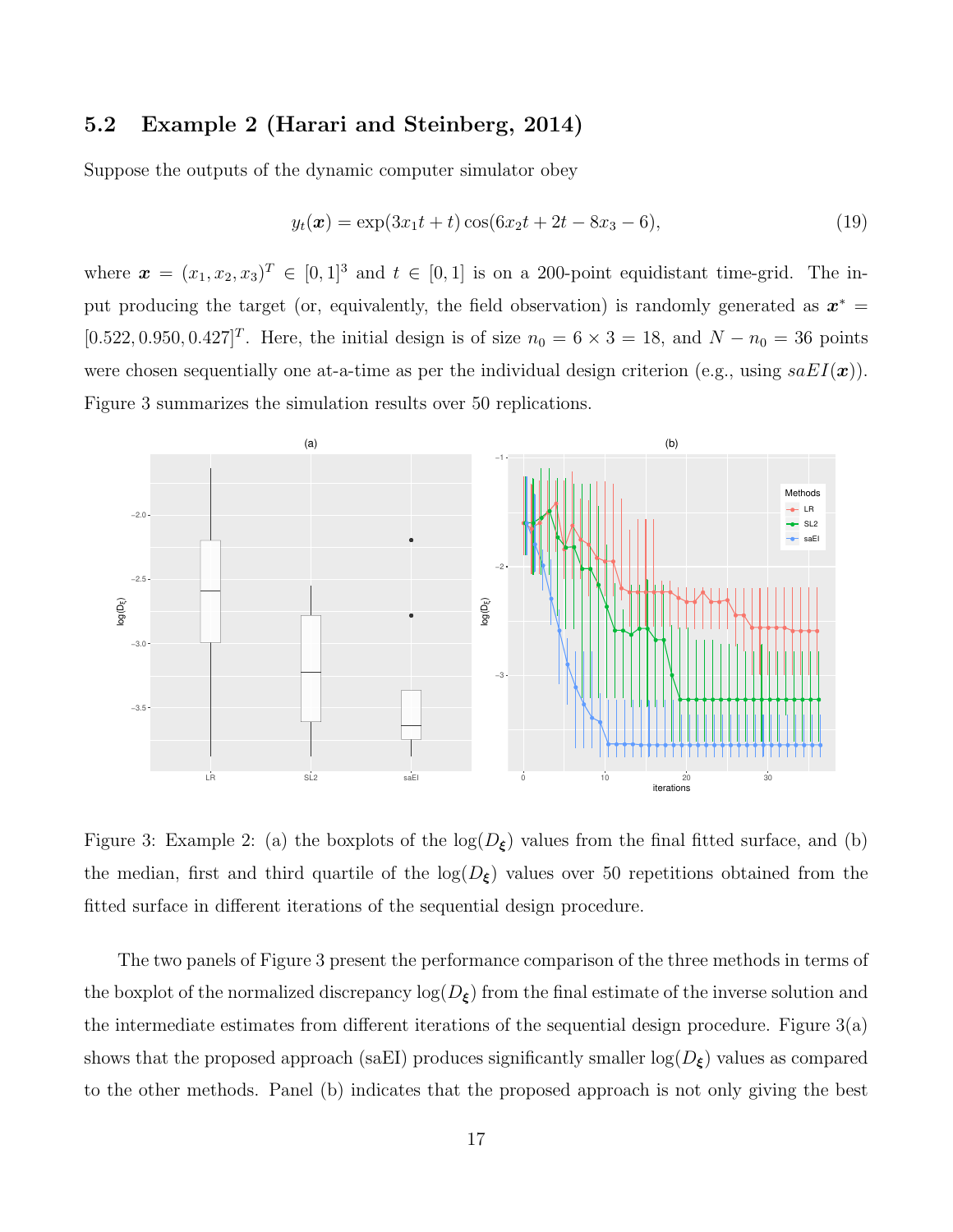#### 5.2 Example 2 (Harari and Steinberg, 2014)

Suppose the outputs of the dynamic computer simulator obey

$$
y_t(\boldsymbol{x}) = \exp(3x_1t + t)\cos(6x_2t + 2t - 8x_3 - 6),\tag{19}
$$

where  $\boldsymbol{x} = (x_1, x_2, x_3)^T \in [0, 1]^3$  and  $t \in [0, 1]$  is on a 200-point equidistant time-grid. The input producing the target (or, equivalently, the field observation) is randomly generated as  $x^* =$  $[0.522, 0.950, 0.427]^T$ . Here, the initial design is of size  $n_0 = 6 \times 3 = 18$ , and  $N - n_0 = 36$  points were chosen sequentially one at-a-time as per the individual design criterion (e.g., using  $saEI(x)$ ). Figure 3 summarizes the simulation results over 50 replications.



Figure 3: Example 2: (a) the boxplots of the  $log(D_{\xi})$  values from the final fitted surface, and (b) the median, first and third quartile of the  $log(D_{\xi})$  values over 50 repetitions obtained from the fitted surface in different iterations of the sequential design procedure.

The two panels of Figure 3 present the performance comparison of the three methods in terms of the boxplot of the normalized discrepancy  $\log(D_{\xi})$  from the final estimate of the inverse solution and the intermediate estimates from different iterations of the sequential design procedure. Figure 3(a) shows that the proposed approach (saEI) produces significantly smaller  $log(D_{\xi})$  values as compared to the other methods. Panel (b) indicates that the proposed approach is not only giving the best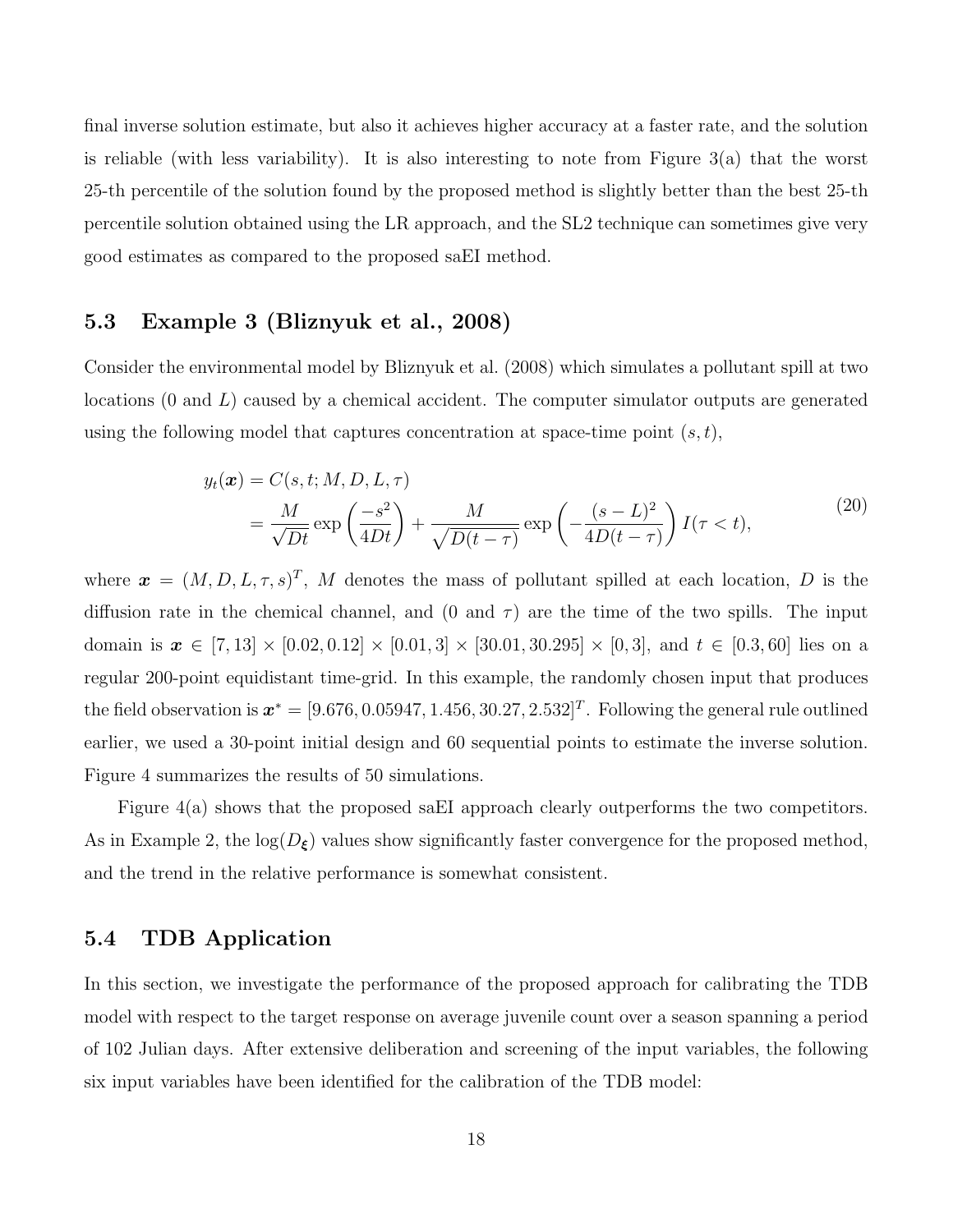final inverse solution estimate, but also it achieves higher accuracy at a faster rate, and the solution is reliable (with less variability). It is also interesting to note from Figure 3(a) that the worst 25-th percentile of the solution found by the proposed method is slightly better than the best 25-th percentile solution obtained using the LR approach, and the SL2 technique can sometimes give very good estimates as compared to the proposed saEI method.

#### 5.3 Example 3 (Bliznyuk et al., 2008)

Consider the environmental model by Bliznyuk et al. (2008) which simulates a pollutant spill at two locations  $(0 \text{ and } L)$  caused by a chemical accident. The computer simulator outputs are generated using the following model that captures concentration at space-time point  $(s, t)$ ,

$$
y_t(\boldsymbol{x}) = C(s, t; M, D, L, \tau)
$$
  
=  $\frac{M}{\sqrt{Dt}} \exp\left(\frac{-s^2}{4Dt}\right) + \frac{M}{\sqrt{D(t-\tau)}} \exp\left(-\frac{(s-L)^2}{4D(t-\tau)}\right) I(\tau < t),$  (20)

where  $\boldsymbol{x} = (M, D, L, \tau, s)^T$ , M denotes the mass of pollutant spilled at each location, D is the diffusion rate in the chemical channel, and (0 and  $\tau$ ) are the time of the two spills. The input domain is  $x \in [7, 13] \times [0.02, 0.12] \times [0.01, 3] \times [30.01, 30.295] \times [0, 3]$ , and  $t \in [0.3, 60]$  lies on a regular 200-point equidistant time-grid. In this example, the randomly chosen input that produces the field observation is  $x^* = [9.676, 0.05947, 1.456, 30.27, 2.532]^T$ . Following the general rule outlined earlier, we used a 30-point initial design and 60 sequential points to estimate the inverse solution. Figure 4 summarizes the results of 50 simulations.

Figure 4(a) shows that the proposed saEI approach clearly outperforms the two competitors. As in Example 2, the  $log(D_{\xi})$  values show significantly faster convergence for the proposed method, and the trend in the relative performance is somewhat consistent.

#### 5.4 TDB Application

In this section, we investigate the performance of the proposed approach for calibrating the TDB model with respect to the target response on average juvenile count over a season spanning a period of 102 Julian days. After extensive deliberation and screening of the input variables, the following six input variables have been identified for the calibration of the TDB model: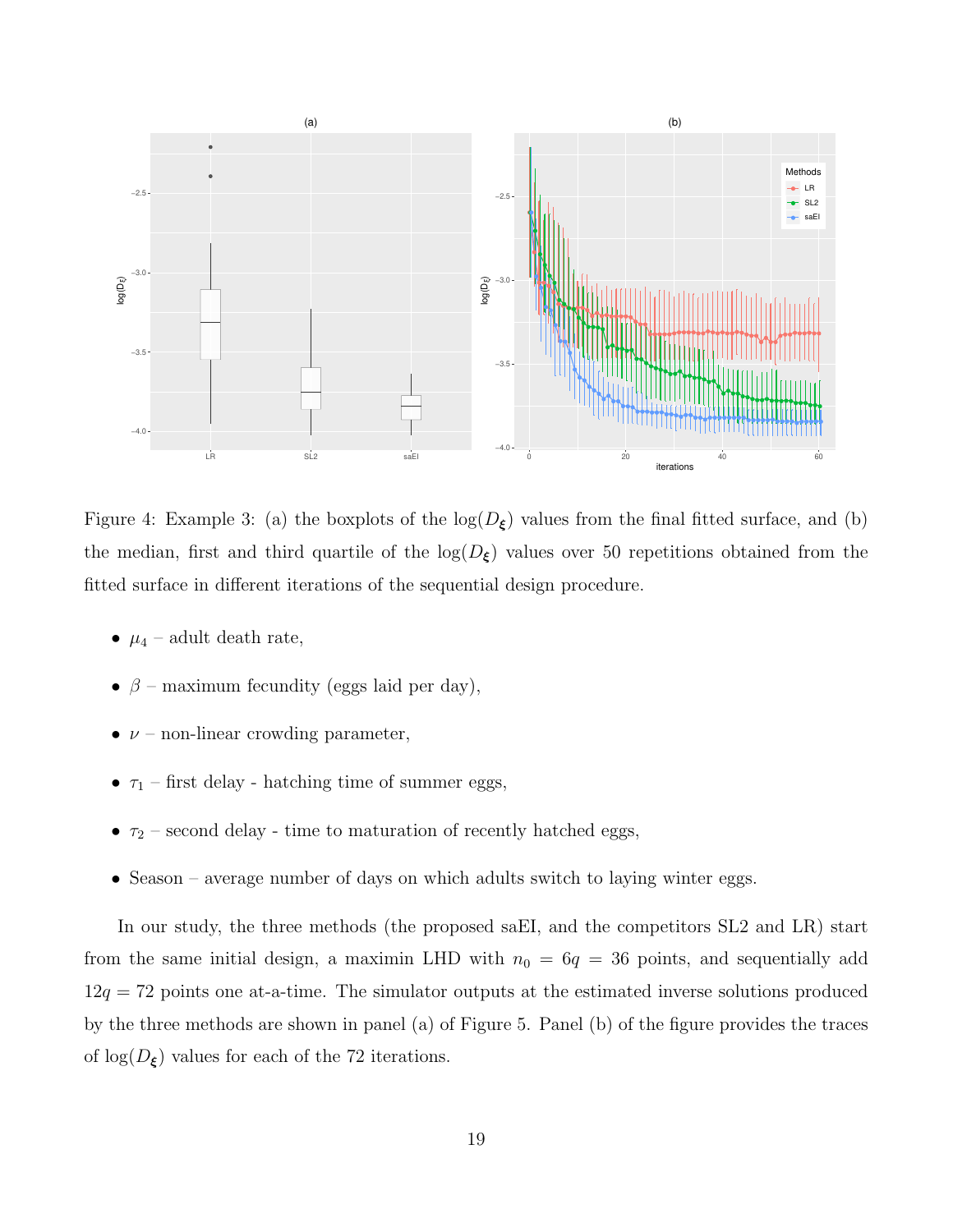

Figure 4: Example 3: (a) the boxplots of the  $log(D_{\xi})$  values from the final fitted surface, and (b) the median, first and third quartile of the  $log(D_{\xi})$  values over 50 repetitions obtained from the fitted surface in different iterations of the sequential design procedure.

- $\mu_4$  adult death rate,
- $\beta$  maximum fecundity (eggs laid per day),
- $\nu$  non-linear crowding parameter,
- $\bullet \ \tau_1$  first delay hatching time of summer eggs,
- $\tau_2$  second delay time to maturation of recently hatched eggs,
- Season average number of days on which adults switch to laying winter eggs.

In our study, the three methods (the proposed saEI, and the competitors SL2 and LR) start from the same initial design, a maximin LHD with  $n_0 = 6q = 36$  points, and sequentially add  $12q = 72$  points one at-a-time. The simulator outputs at the estimated inverse solutions produced by the three methods are shown in panel (a) of Figure 5. Panel (b) of the figure provides the traces of  $\log(D_{\xi})$  values for each of the 72 iterations.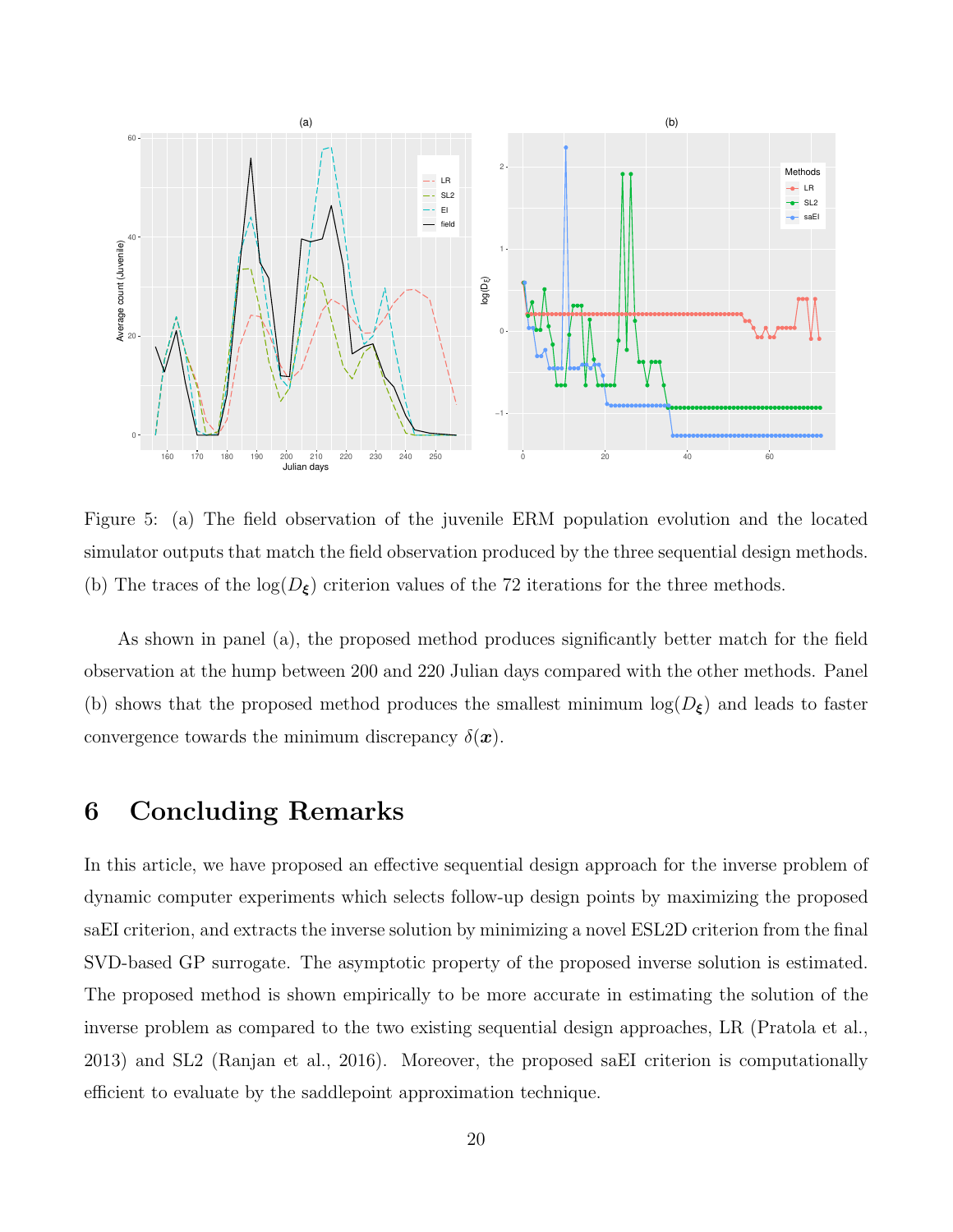

Figure 5: (a) The field observation of the juvenile ERM population evolution and the located simulator outputs that match the field observation produced by the three sequential design methods. (b) The traces of the  $log(D_{\xi})$  criterion values of the 72 iterations for the three methods.

As shown in panel (a), the proposed method produces significantly better match for the field observation at the hump between 200 and 220 Julian days compared with the other methods. Panel (b) shows that the proposed method produces the smallest minimum  $\log(D_{\xi})$  and leads to faster convergence towards the minimum discrepancy  $\delta(\boldsymbol{x})$ .

### 6 Concluding Remarks

In this article, we have proposed an effective sequential design approach for the inverse problem of dynamic computer experiments which selects follow-up design points by maximizing the proposed saEI criterion, and extracts the inverse solution by minimizing a novel ESL2D criterion from the final SVD-based GP surrogate. The asymptotic property of the proposed inverse solution is estimated. The proposed method is shown empirically to be more accurate in estimating the solution of the inverse problem as compared to the two existing sequential design approaches, LR (Pratola et al., 2013) and SL2 (Ranjan et al., 2016). Moreover, the proposed saEI criterion is computationally efficient to evaluate by the saddlepoint approximation technique.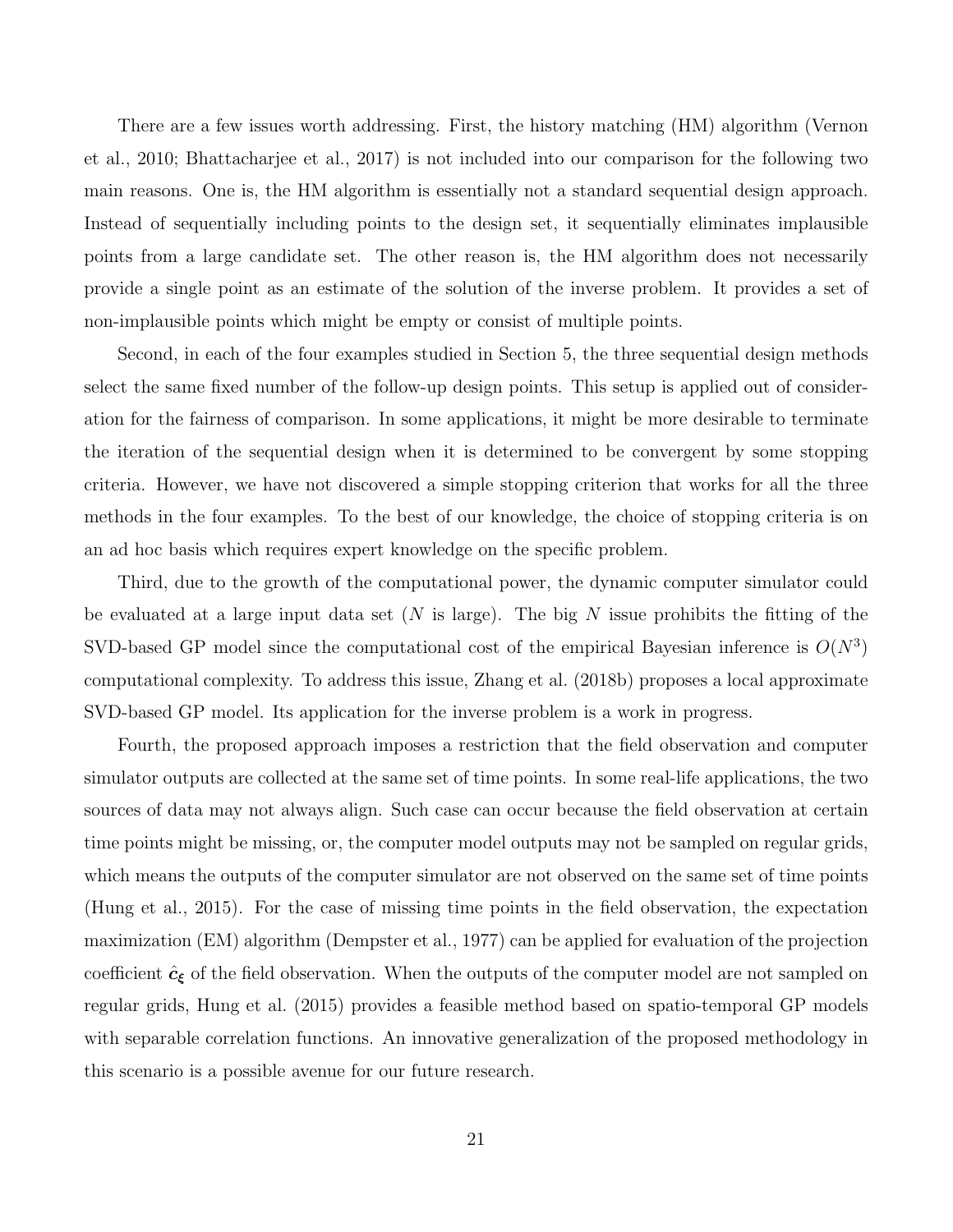There are a few issues worth addressing. First, the history matching (HM) algorithm (Vernon et al., 2010; Bhattacharjee et al., 2017) is not included into our comparison for the following two main reasons. One is, the HM algorithm is essentially not a standard sequential design approach. Instead of sequentially including points to the design set, it sequentially eliminates implausible points from a large candidate set. The other reason is, the HM algorithm does not necessarily provide a single point as an estimate of the solution of the inverse problem. It provides a set of non-implausible points which might be empty or consist of multiple points.

Second, in each of the four examples studied in Section 5, the three sequential design methods select the same fixed number of the follow-up design points. This setup is applied out of consideration for the fairness of comparison. In some applications, it might be more desirable to terminate the iteration of the sequential design when it is determined to be convergent by some stopping criteria. However, we have not discovered a simple stopping criterion that works for all the three methods in the four examples. To the best of our knowledge, the choice of stopping criteria is on an ad hoc basis which requires expert knowledge on the specific problem.

Third, due to the growth of the computational power, the dynamic computer simulator could be evaluated at a large input data set (N is large). The big N issue prohibits the fitting of the SVD-based GP model since the computational cost of the empirical Bayesian inference is  $O(N^3)$ computational complexity. To address this issue, Zhang et al. (2018b) proposes a local approximate SVD-based GP model. Its application for the inverse problem is a work in progress.

Fourth, the proposed approach imposes a restriction that the field observation and computer simulator outputs are collected at the same set of time points. In some real-life applications, the two sources of data may not always align. Such case can occur because the field observation at certain time points might be missing, or, the computer model outputs may not be sampled on regular grids, which means the outputs of the computer simulator are not observed on the same set of time points (Hung et al., 2015). For the case of missing time points in the field observation, the expectation maximization (EM) algorithm (Dempster et al., 1977) can be applied for evaluation of the projection coefficient  $\hat{c}_{\xi}$  of the field observation. When the outputs of the computer model are not sampled on regular grids, Hung et al. (2015) provides a feasible method based on spatio-temporal GP models with separable correlation functions. An innovative generalization of the proposed methodology in this scenario is a possible avenue for our future research.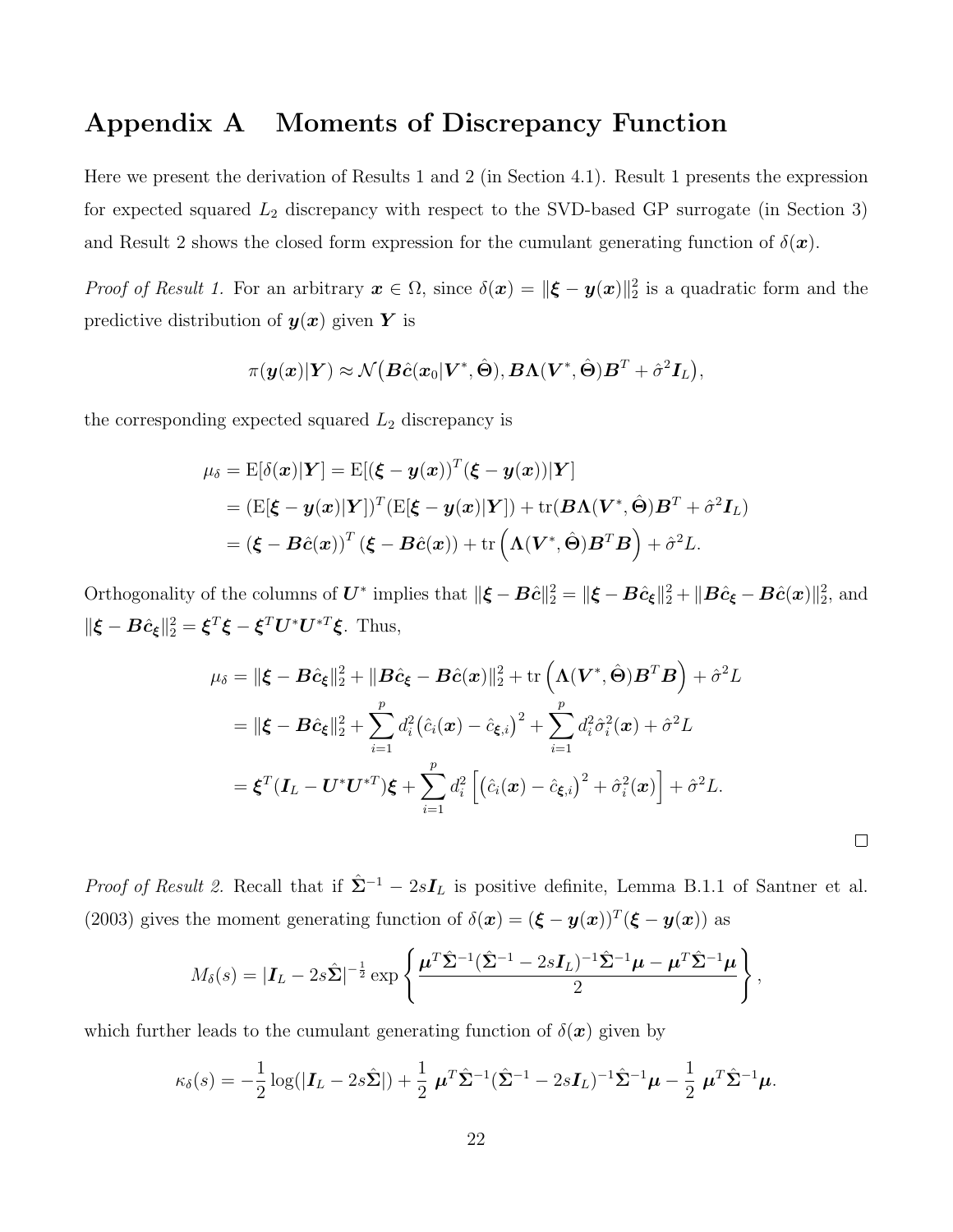## Appendix A Moments of Discrepancy Function

Here we present the derivation of Results 1 and 2 (in Section 4.1). Result 1 presents the expression for expected squared  $L_2$  discrepancy with respect to the SVD-based GP surrogate (in Section 3) and Result 2 shows the closed form expression for the cumulant generating function of  $\delta(\mathbf{x})$ .

*Proof of Result 1.* For an arbitrary  $x \in \Omega$ , since  $\delta(x) = ||\boldsymbol{\xi} - \boldsymbol{y}(x)||_2^2$  is a quadratic form and the predictive distribution of  $y(x)$  given Y is

$$
\pi(\boldsymbol{y}(\boldsymbol{x})|\boldsymbol{Y}) \approx \mathcal{N}\big(\boldsymbol{B}\hat{\boldsymbol{c}}(\boldsymbol{x}_0|\boldsymbol{V}^*,\hat{\boldsymbol{\Theta}}),\boldsymbol{B}\boldsymbol{\Lambda}(\boldsymbol{V}^*,\hat{\boldsymbol{\Theta}})\boldsymbol{B}^T + \hat{\sigma}^2\boldsymbol{I}_L\big),
$$

the corresponding expected squared  $L_2$  discrepancy is

$$
\mu_{\delta} = \mathrm{E}[\delta(\boldsymbol{x})|\boldsymbol{Y}] = \mathrm{E}[(\boldsymbol{\xi} - \boldsymbol{y}(\boldsymbol{x}))^T(\boldsymbol{\xi} - \boldsymbol{y}(\boldsymbol{x}))|\boldsymbol{Y}] \n= (\mathrm{E}[\boldsymbol{\xi} - \boldsymbol{y}(\boldsymbol{x})|\boldsymbol{Y}])^T(\mathrm{E}[\boldsymbol{\xi} - \boldsymbol{y}(\boldsymbol{x})|\boldsymbol{Y}]) + \mathrm{tr}(\boldsymbol{B}\boldsymbol{\Lambda}(\boldsymbol{V}^*, \hat{\boldsymbol{\Theta}})\boldsymbol{B}^T + \hat{\sigma}^2 \boldsymbol{I}_L) \n= (\boldsymbol{\xi} - \boldsymbol{B}\hat{\boldsymbol{c}}(\boldsymbol{x}))^T(\boldsymbol{\xi} - \boldsymbol{B}\hat{\boldsymbol{c}}(\boldsymbol{x})) + \mathrm{tr}(\boldsymbol{\Lambda}(\boldsymbol{V}^*, \hat{\boldsymbol{\Theta}})\boldsymbol{B}^T\boldsymbol{B}) + \hat{\sigma}^2 L.
$$

Orthogonality of the columns of  $\boldsymbol{U}^*$  implies that  $\|\boldsymbol{\xi} - \boldsymbol{B}\hat{\boldsymbol{c}}\|_2^2 = \|\boldsymbol{\xi} - \boldsymbol{B}\hat{\boldsymbol{c}}_{\boldsymbol{\xi}}\|_2^2 + \|\boldsymbol{B}\hat{\boldsymbol{c}}_{\boldsymbol{\xi}} - \boldsymbol{B}\hat{\boldsymbol{c}}(\boldsymbol{x})\|_2^2$ , and  $\|\boldsymbol{\xi} - \boldsymbol{B}\hat{\boldsymbol{c}}_{\boldsymbol{\xi}}\|_2^2 = \boldsymbol{\xi}^T\boldsymbol{\xi} - \boldsymbol{\xi}^T\boldsymbol{U}^*\boldsymbol{U}^{*T}\boldsymbol{\xi}$ . Thus,

$$
\mu_{\delta} = \|\boldsymbol{\xi} - \boldsymbol{B}\hat{c}_{\boldsymbol{\xi}}\|_{2}^{2} + \|\boldsymbol{B}\hat{c}_{\boldsymbol{\xi}} - \boldsymbol{B}\hat{c}(\boldsymbol{x})\|_{2}^{2} + \text{tr}\left(\boldsymbol{\Lambda}(\boldsymbol{V}^{*},\hat{\boldsymbol{\Theta}})\boldsymbol{B}^{T}\boldsymbol{B}\right) + \hat{\sigma}^{2}L
$$
\n
$$
= \|\boldsymbol{\xi} - \boldsymbol{B}\hat{c}_{\boldsymbol{\xi}}\|_{2}^{2} + \sum_{i=1}^{p} d_{i}^{2}(\hat{c}_{i}(\boldsymbol{x}) - \hat{c}_{\boldsymbol{\xi},i})^{2} + \sum_{i=1}^{p} d_{i}^{2}\hat{\sigma}_{i}^{2}(\boldsymbol{x}) + \hat{\sigma}^{2}L
$$
\n
$$
= \boldsymbol{\xi}^{T}(\boldsymbol{I}_{L} - \boldsymbol{U}^{*}\boldsymbol{U}^{*T})\boldsymbol{\xi} + \sum_{i=1}^{p} d_{i}^{2}\left[(\hat{c}_{i}(\boldsymbol{x}) - \hat{c}_{\boldsymbol{\xi},i})^{2} + \hat{\sigma}_{i}^{2}(\boldsymbol{x})\right] + \hat{\sigma}^{2}L.
$$

 $\Box$ 

*Proof of Result 2.* Recall that if  $\hat{\Sigma}^{-1} - 2sI_L$  is positive definite, Lemma B.1.1 of Santner et al. (2003) gives the moment generating function of  $\delta(\mathbf{x}) = (\boldsymbol{\xi} - \boldsymbol{y}(\mathbf{x}))^T (\boldsymbol{\xi} - \boldsymbol{y}(\mathbf{x}))$  as

$$
M_{\delta}(s) = |\mathbf{I}_L - 2s\hat{\boldsymbol{\Sigma}}|^{-\frac{1}{2}}\exp\left\{\frac{\boldsymbol{\mu}^T\hat{\boldsymbol{\Sigma}}^{-1}(\hat{\boldsymbol{\Sigma}}^{-1} - 2s\mathbf{I}_L)^{-1}\hat{\boldsymbol{\Sigma}}^{-1}\boldsymbol{\mu} - \boldsymbol{\mu}^T\hat{\boldsymbol{\Sigma}}^{-1}\boldsymbol{\mu}}{2}\right\},\,
$$

which further leads to the cumulant generating function of  $\delta(\mathbf{x})$  given by

$$
\kappa_{\delta}(s) = -\frac{1}{2}\log(|\bm{I}_L - 2s\hat{\bm{\Sigma}}|) + \frac{1}{2}\,\bm{\mu}^T\hat{\bm{\Sigma}}^{-1}(\hat{\bm{\Sigma}}^{-1} - 2s\bm{I}_L)^{-1}\hat{\bm{\Sigma}}^{-1}\bm{\mu} - \frac{1}{2}\,\bm{\mu}^T\hat{\bm{\Sigma}}^{-1}\bm{\mu}.
$$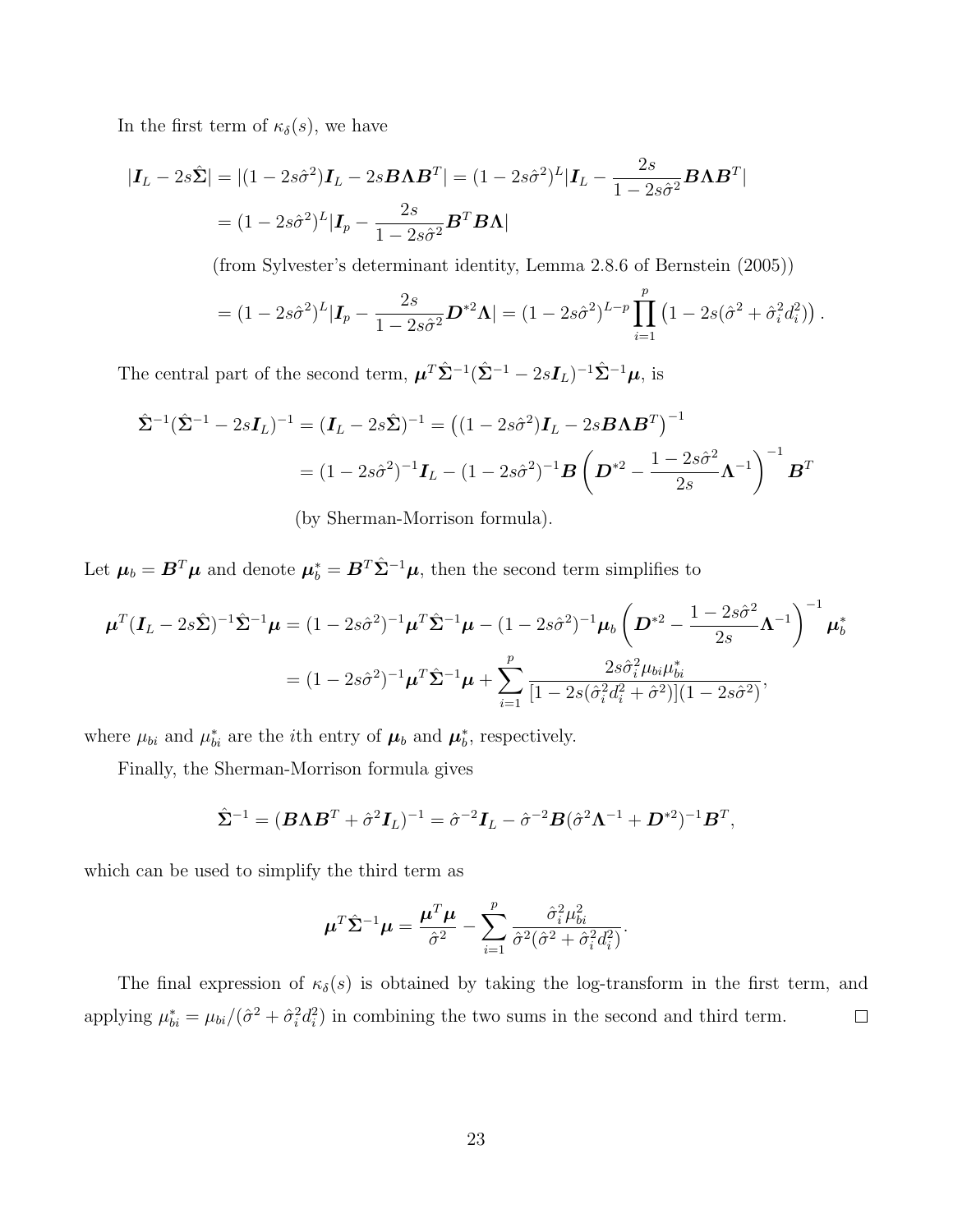In the first term of  $\kappa_{\delta}(s)$ , we have

$$
|\boldsymbol{I}_L - 2s\hat{\boldsymbol{\Sigma}}| = |(1 - 2s\hat{\sigma}^2)\boldsymbol{I}_L - 2s\boldsymbol{B}\boldsymbol{\Lambda}\boldsymbol{B}^T| = (1 - 2s\hat{\sigma}^2)^L |\boldsymbol{I}_L - \frac{2s}{1 - 2s\hat{\sigma}^2}\boldsymbol{B}\boldsymbol{\Lambda}\boldsymbol{B}^T|
$$
  
=  $(1 - 2s\hat{\sigma}^2)^L |\boldsymbol{I}_p - \frac{2s}{1 - 2s\hat{\sigma}^2}\boldsymbol{B}^T\boldsymbol{B}\boldsymbol{\Lambda}|$ 

(from Sylvester's determinant identity, Lemma 2.8.6 of Bernstein (2005))

$$
= (1 - 2s\hat{\sigma}^2)^L | \mathbf{I}_p - \frac{2s}{1 - 2s\hat{\sigma}^2} \mathbf{D}^{*2} \mathbf{\Lambda} | = (1 - 2s\hat{\sigma}^2)^{L-p} \prod_{i=1}^p (1 - 2s(\hat{\sigma}^2 + \hat{\sigma}_i^2 d_i^2)).
$$

The central part of the second term,  $\boldsymbol{\mu}^T \hat{\Sigma}^{-1} (\hat{\Sigma}^{-1} - 2s \boldsymbol{I}_L)^{-1} \hat{\Sigma}^{-1} \boldsymbol{\mu}$ , is

$$
\hat{\Sigma}^{-1}(\hat{\Sigma}^{-1} - 2s\mathbf{I}_L)^{-1} = (\mathbf{I}_L - 2s\hat{\Sigma})^{-1} = ((1 - 2s\hat{\sigma}^2)\mathbf{I}_L - 2s\mathbf{B}\Lambda\mathbf{B}^T)^{-1}
$$
  
=  $(1 - 2s\hat{\sigma}^2)^{-1}\mathbf{I}_L - (1 - 2s\hat{\sigma}^2)^{-1}\mathbf{B}\left(\mathbf{D}^{*2} - \frac{1 - 2s\hat{\sigma}^2}{2s}\Lambda^{-1}\right)^{-1}\mathbf{B}^T$   
(by Sherman-Morrison formula).

Let  $\mu_b = B^T \mu$  and denote  $\mu_b^* = B^T \hat{\Sigma}^{-1} \mu$ , then the second term simplifies to

$$
\boldsymbol{\mu}^T (\boldsymbol{I}_L - 2s\hat{\boldsymbol{\Sigma}})^{-1} \hat{\boldsymbol{\Sigma}}^{-1} \boldsymbol{\mu} = (1 - 2s\hat{\sigma}^2)^{-1} \boldsymbol{\mu}^T \hat{\boldsymbol{\Sigma}}^{-1} \boldsymbol{\mu} - (1 - 2s\hat{\sigma}^2)^{-1} \boldsymbol{\mu}_b \left( \boldsymbol{D}^{*2} - \frac{1 - 2s\hat{\sigma}^2}{2s} \boldsymbol{\Lambda}^{-1} \right)^{-1} \boldsymbol{\mu}_b^*
$$
  
=  $(1 - 2s\hat{\sigma}^2)^{-1} \boldsymbol{\mu}^T \hat{\boldsymbol{\Sigma}}^{-1} \boldsymbol{\mu} + \sum_{i=1}^p \frac{2s\hat{\sigma}_i^2 \mu_{bi} \mu_{bi}^*}{[1 - 2s(\hat{\sigma}_i^2 d_i^2 + \hat{\sigma}^2)] (1 - 2s\hat{\sigma}^2)},$ 

where  $\mu_{bi}$  and  $\mu_{bi}^*$  are the *i*<sup>th</sup> entry of  $\mu_b$  and  $\mu_b^*$  $_{b}^{*}$ , respectively.

Finally, the Sherman-Morrison formula gives

$$
\hat{\Sigma}^{-1} = (\boldsymbol{B} \boldsymbol{\Lambda} \boldsymbol{B}^T + \hat{\sigma}^2 \boldsymbol{I}_L)^{-1} = \hat{\sigma}^{-2} \boldsymbol{I}_L - \hat{\sigma}^{-2} \boldsymbol{B} (\hat{\sigma}^2 \boldsymbol{\Lambda}^{-1} + \boldsymbol{D}^{*2})^{-1} \boldsymbol{B}^T,
$$

which can be used to simplify the third term as

$$
\boldsymbol{\mu}^T \hat{\boldsymbol{\Sigma}}^{-1} \boldsymbol{\mu} = \frac{\boldsymbol{\mu}^T \boldsymbol{\mu}}{\hat{\sigma}^2} - \sum_{i=1}^p \frac{\hat{\sigma}_i^2 \mu_{bi}^2}{\hat{\sigma}^2 (\hat{\sigma}^2 + \hat{\sigma}_i^2 d_i^2)}.
$$

The final expression of  $\kappa_{\delta}(s)$  is obtained by taking the log-transform in the first term, and applying  $\mu_{bi}^* = \mu_{bi}/(\hat{\sigma}^2 + \hat{\sigma}_i^2 d_i^2)$  in combining the two sums in the second and third term.  $\Box$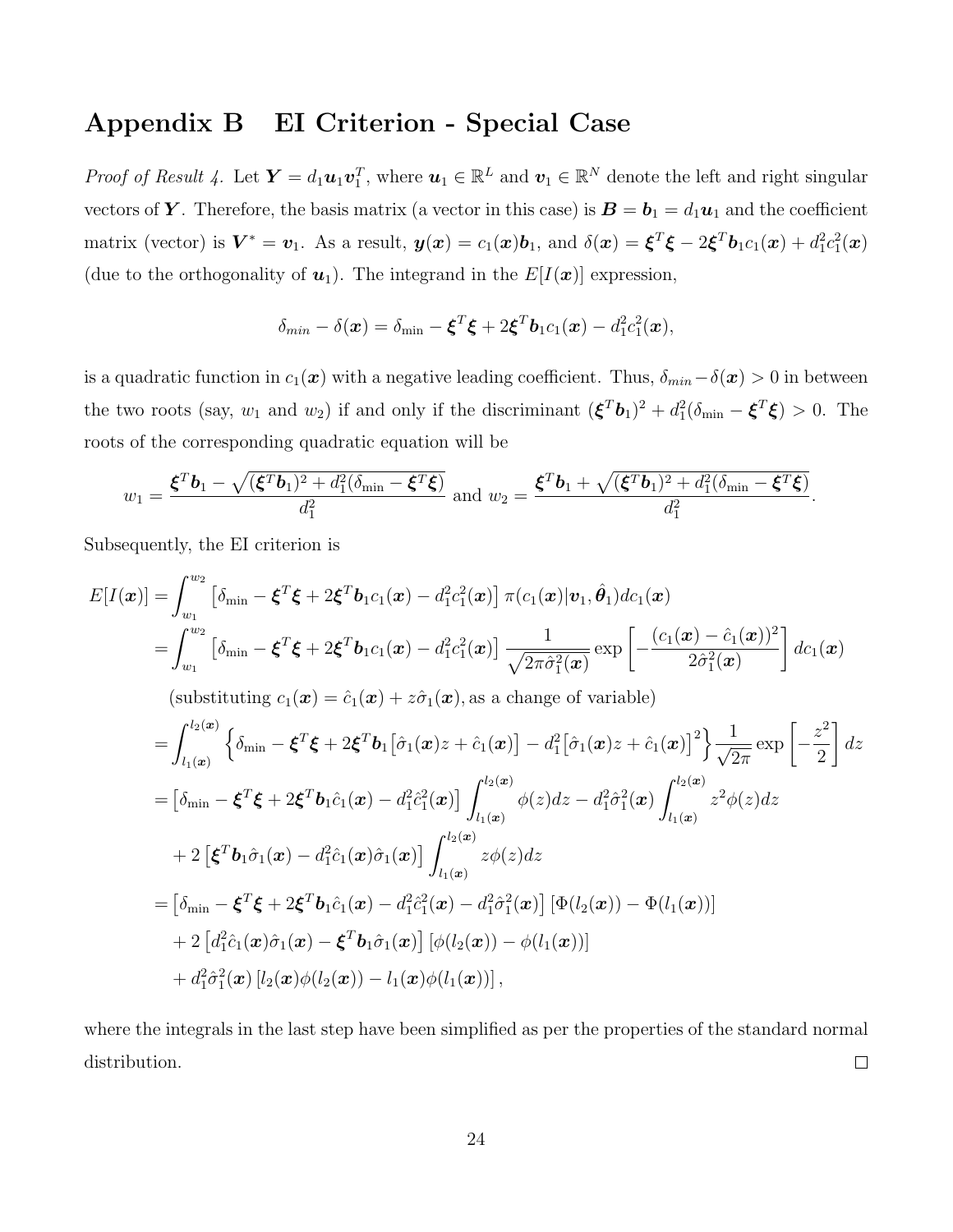## Appendix B EI Criterion - Special Case

*Proof of Result 4.* Let  $\boldsymbol{Y} = d_1 \boldsymbol{u}_1 \boldsymbol{v}_1^T$ , where  $\boldsymbol{u}_1 \in \mathbb{R}^L$  and  $\boldsymbol{v}_1 \in \mathbb{R}^N$  denote the left and right singular vectors of Y. Therefore, the basis matrix (a vector in this case) is  $B = b_1 = d_1u_1$  and the coefficient matrix (vector) is  $\mathbf{V}^* = \mathbf{v}_1$ . As a result,  $\mathbf{y}(\mathbf{x}) = c_1(\mathbf{x})\mathbf{b}_1$ , and  $\delta(\mathbf{x}) = \boldsymbol{\xi}^T\boldsymbol{\xi} - 2\boldsymbol{\xi}^T\mathbf{b}_1c_1(\mathbf{x}) + d_1^2c_1^2(\mathbf{x})$ (due to the orthogonality of  $u_1$ ). The integrand in the  $E[I(\boldsymbol{x})]$  expression,

$$
\delta_{min} - \delta(\boldsymbol{x}) = \delta_{min} - \boldsymbol{\xi}^T \boldsymbol{\xi} + 2 \boldsymbol{\xi}^T \boldsymbol{b}_1 c_1(\boldsymbol{x}) - d_1^2 c_1^2(\boldsymbol{x}),
$$

is a quadratic function in  $c_1(x)$  with a negative leading coefficient. Thus,  $\delta_{min}-\delta(x) > 0$  in between the two roots (say,  $w_1$  and  $w_2$ ) if and only if the discriminant  $(\boldsymbol{\xi}^T \boldsymbol{b}_1)^2 + d_1^2(\delta_{\min} - \boldsymbol{\xi}^T \boldsymbol{\xi}) > 0$ . The roots of the corresponding quadratic equation will be

$$
w_1 = \frac{\boldsymbol{\xi}^T \boldsymbol{b}_1 - \sqrt{(\boldsymbol{\xi}^T \boldsymbol{b}_1)^2 + d_1^2 (\delta_{\min} - \boldsymbol{\xi}^T \boldsymbol{\xi})}}{d_1^2} \text{ and } w_2 = \frac{\boldsymbol{\xi}^T \boldsymbol{b}_1 + \sqrt{(\boldsymbol{\xi}^T \boldsymbol{b}_1)^2 + d_1^2 (\delta_{\min} - \boldsymbol{\xi}^T \boldsymbol{\xi})}}{d_1^2}.
$$

Subsequently, the EI criterion is

$$
E[I(\boldsymbol{x})] = \int_{w_1}^{w_2} \left[ \delta_{\min} - \xi^T \xi + 2 \xi^T b_1 c_1(\boldsymbol{x}) - d_1^2 c_1^2(\boldsymbol{x}) \right] \pi (c_1(\boldsymbol{x}) | \boldsymbol{v}_1, \hat{\boldsymbol{\theta}}_1) d c_1(\boldsymbol{x})
$$
  
\n
$$
= \int_{w_1}^{w_2} \left[ \delta_{\min} - \xi^T \xi + 2 \xi^T b_1 c_1(\boldsymbol{x}) - d_1^2 c_1^2(\boldsymbol{x}) \right] \frac{1}{\sqrt{2\pi \hat{\sigma}_1^2(\boldsymbol{x})}} \exp\left[ -\frac{(c_1(\boldsymbol{x}) - \hat{c}_1(\boldsymbol{x}))^2}{2\hat{\sigma}_1^2(\boldsymbol{x})} \right] d c_1(\boldsymbol{x})
$$
  
\n(substituting  $c_1(\boldsymbol{x}) = \hat{c}_1(\boldsymbol{x}) + z \hat{\sigma}_1(\boldsymbol{x})$ , as a change of variable)  
\n
$$
= \int_{l_1(\boldsymbol{x})}^{l_2(\boldsymbol{x})} \left\{ \delta_{\min} - \xi^T \xi + 2 \xi^T b_1 \left[ \hat{\sigma}_1(\boldsymbol{x}) z + \hat{c}_1(\boldsymbol{x}) \right] - d_1^2 \left[ \hat{\sigma}_1(\boldsymbol{x}) z + \hat{c}_1(\boldsymbol{x}) \right]^2 \right\} \frac{1}{\sqrt{2\pi}} \exp\left[ -\frac{z^2}{2} \right] dz
$$
  
\n
$$
= \left[ \delta_{\min} - \xi^T \xi + 2 \xi^T b_1 \hat{c}_1(\boldsymbol{x}) - d_1^2 \hat{c}_1^2(\boldsymbol{x}) \right] \int_{l_1(\boldsymbol{x})}^{l_2(\boldsymbol{x})} \phi(z) dz - d_1^2 \hat{\sigma}_1^2(\boldsymbol{x}) \int_{l_1(\boldsymbol{x})}^{l_2(\boldsymbol{x})} z^2 \phi(z) dz
$$
  
\n
$$
+ 2 \left[ \xi^T b_1 \hat{\sigma}_1(\boldsymbol{x}) - d_1^2 \hat{c}_1(\boldsymbol{x}) \hat{\sigma}_1(\boldsymbol{x}) \right] \int_{l_1(\boldsymbol{x})}^{l_2(\boldsymbol{x})} z \phi(z) dz
$$
  
\n
$$
= \left[ \delta_{\min} - \xi
$$

where the integrals in the last step have been simplified as per the properties of the standard normal distribution.  $\Box$ 

 $+ d_1^2 \hat{\sigma}_1^2(\boldsymbol{x}) \left[ l_2(\boldsymbol{x}) \phi(l_2(\boldsymbol{x})) - l_1(\boldsymbol{x}) \phi(l_1(\boldsymbol{x})) \right],$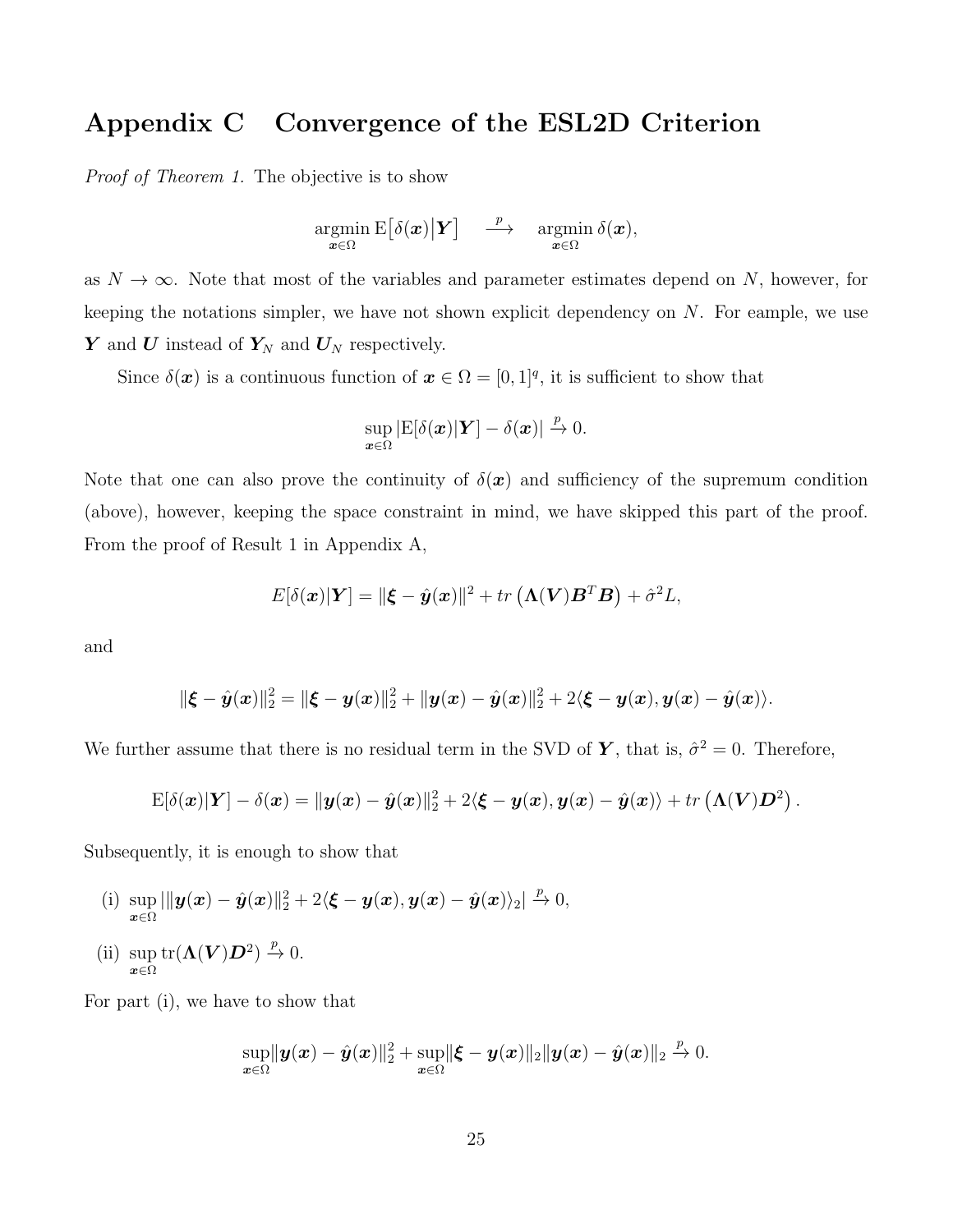## Appendix C Convergence of the ESL2D Criterion

*Proof of Theorem 1.* The objective is to show

$$
\operatornamewithlimits{argmin}_{\bm{x}\in\Omega} \mathrm{E}\big[\delta(\bm{x})\big|\bm{Y}\big] \quad \overset{p}{\longrightarrow} \quad \operatornamewithlimits{argmin}_{\bm{x}\in\Omega} \delta(\bm{x}),
$$

as  $N \to \infty$ . Note that most of the variables and parameter estimates depend on N, however, for keeping the notations simpler, we have not shown explicit dependency on  $N$ . For eample, we use  $Y$  and  $U$  instead of  $Y_N$  and  $U_N$  respectively.

Since  $\delta(\boldsymbol{x})$  is a continuous function of  $\boldsymbol{x} \in \Omega = [0,1]^q$ , it is sufficient to show that

$$
\sup_{\boldsymbol{x}\in\Omega}|\mathrm{E}[\delta(\boldsymbol{x})|\boldsymbol{Y}]-\delta(\boldsymbol{x})|\xrightarrow{p}0.
$$

Note that one can also prove the continuity of  $\delta(\mathbf{x})$  and sufficiency of the supremum condition (above), however, keeping the space constraint in mind, we have skipped this part of the proof. From the proof of Result 1 in Appendix A,

$$
E[\delta(\boldsymbol{x})|\boldsymbol{Y}] = ||\boldsymbol{\xi} - \hat{\boldsymbol{y}}(\boldsymbol{x})||^2 + tr(\boldsymbol{\Lambda}(\boldsymbol{V})\boldsymbol{B}^T\boldsymbol{B}) + \hat{\sigma}^2\boldsymbol{L},
$$

and

$$
\|\xi - \hat{y}(x)\|_2^2 = \|\xi - y(x)\|_2^2 + \|y(x) - \hat{y}(x)\|_2^2 + 2\langle \xi - y(x), y(x) - \hat{y}(x) \rangle.
$$

We further assume that there is no residual term in the SVD of Y, that is,  $\hat{\sigma}^2 = 0$ . Therefore,

$$
\mathrm{E}[\delta(\boldsymbol{x})|\boldsymbol{Y}] - \delta(\boldsymbol{x}) = \|\boldsymbol{y}(\boldsymbol{x}) - \hat{\boldsymbol{y}}(\boldsymbol{x})\|_2^2 + 2\langle \boldsymbol{\xi} - \boldsymbol{y}(\boldsymbol{x}), \boldsymbol{y}(\boldsymbol{x}) - \hat{\boldsymbol{y}}(\boldsymbol{x}) \rangle + tr(\boldsymbol{\Lambda}(\boldsymbol{V})\boldsymbol{D}^2).
$$

Subsequently, it is enough to show that

(i) sup  $\sup_{\boldsymbol{x}\in\Omega}|\|\boldsymbol{y}(\boldsymbol{x})-\hat{\boldsymbol{y}}(\boldsymbol{x})\|_2^2+2\langle \boldsymbol{\xi}-\boldsymbol{y}(\boldsymbol{x}),\boldsymbol{y}(\boldsymbol{x})-\hat{\boldsymbol{y}}(\boldsymbol{x})\rangle_2|\overset{p}{\to} 0,$ (ii) sup  $\boldsymbol{x} \in \Omega$  $\mathrm{tr}(\mathbf{\Lambda}(\boldsymbol{V})\boldsymbol{D}^2) \stackrel{p}{\rightarrow} 0.$ 

For part (i), we have to show that

$$
\sup_{\boldsymbol{x}\in\Omega} \lVert \boldsymbol{y}(\boldsymbol{x}) - \hat{\boldsymbol{y}}(\boldsymbol{x})\rVert_2^2 + \sup_{\boldsymbol{x}\in\Omega} \lVert \boldsymbol{\xi} - \boldsymbol{y}(\boldsymbol{x})\rVert_2 \lVert \boldsymbol{y}(\boldsymbol{x}) - \hat{\boldsymbol{y}}(\boldsymbol{x})\rVert_2 \xrightarrow{p} 0.
$$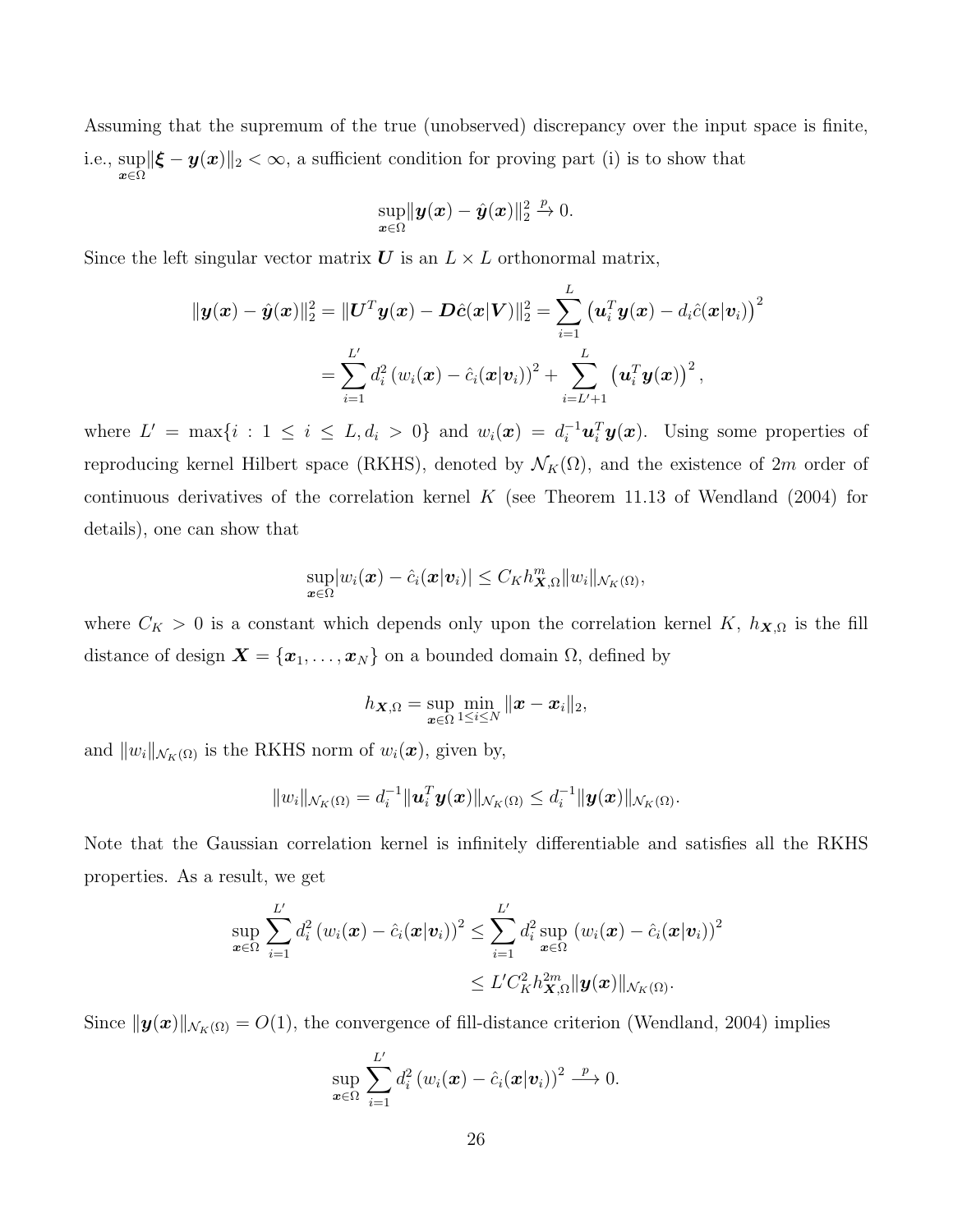Assuming that the supremum of the true (unobserved) discrepancy over the input space is finite, i.e., sup  $\sup_{x\in\Omega} \|\boldsymbol{\xi} - \boldsymbol{y}(\boldsymbol{x})\|_2 < \infty$ , a sufficient condition for proving part (i) is to show that

$$
\sup_{\bm{x}\in\Omega} \lVert \bm{y}(\bm{x}) - \hat{\bm{y}}(\bm{x}) \rVert_2^2 \overset{p}{\to} 0.
$$

Since the left singular vector matrix  $U$  is an  $L \times L$  orthonormal matrix,

$$
\|\bm{y}(\bm{x}) - \hat{\bm{y}}(\bm{x})\|_2^2 = \|\bm{U}^T\bm{y}(\bm{x}) - \bm{D}\hat{\bm{c}}(\bm{x}|\bm{V})\|_2^2 = \sum_{i=1}^L \left(\bm{u}_i^T\bm{y}(\bm{x}) - d_i\hat{c}(\bm{x}|\bm{v}_i)\right)^2
$$
  
= 
$$
\sum_{i=1}^{L'} d_i^2 \left(w_i(\bm{x}) - \hat{c}_i(\bm{x}|\bm{v}_i)\right)^2 + \sum_{i=L'+1}^L \left(\bm{u}_i^T\bm{y}(\bm{x})\right)^2,
$$

where  $L' = \max\{i : 1 \le i \le L, d_i > 0\}$  and  $w_i(\boldsymbol{x}) = d_i^{-1} \boldsymbol{u}_i^T \boldsymbol{y}(\boldsymbol{x})$ . Using some properties of reproducing kernel Hilbert space (RKHS), denoted by  $\mathcal{N}_K(\Omega)$ , and the existence of 2m order of continuous derivatives of the correlation kernel K (see Theorem 11.13 of Wendland  $(2004)$  for details), one can show that

$$
\sup_{\boldsymbol{x}\in\Omega}|w_i(\boldsymbol{x})-\hat{c}_i(\boldsymbol{x}|\boldsymbol{v}_i)|\leq C_Kh_{\boldsymbol{X},\Omega}^m\|w_i\|_{\mathcal{N}_K(\Omega)},
$$

where  $C_K > 0$  is a constant which depends only upon the correlation kernel K,  $h_{\mathbf{X},\Omega}$  is the fill distance of design  $\mathbf{X} = {\mathbf{x}_1, ..., \mathbf{x}_N}$  on a bounded domain  $\Omega$ , defined by

$$
h_{\boldsymbol{X},\Omega}=\sup_{\boldsymbol{x}\in\Omega}\min_{1\leq i\leq N}\|\boldsymbol{x}-\boldsymbol{x}_i\|_2,
$$

and  $||w_i||_{\mathcal{N}_{K}(\Omega)}$  is the RKHS norm of  $w_i(\boldsymbol{x})$ , given by,

$$
||w_i||_{\mathcal{N}_K(\Omega)} = d_i^{-1}||\boldsymbol{u}_i^T\boldsymbol{y}(\boldsymbol{x})||_{\mathcal{N}_K(\Omega)} \leq d_i^{-1}||\boldsymbol{y}(\boldsymbol{x})||_{\mathcal{N}_K(\Omega)}.
$$

Note that the Gaussian correlation kernel is infinitely differentiable and satisfies all the RKHS properties. As a result, we get

$$
\sup_{\boldsymbol{x}\in\Omega}\sum_{i=1}^{L'}d_i^2(w_i(\boldsymbol{x})-\hat{c}_i(\boldsymbol{x}|\boldsymbol{v}_i))^2\leq \sum_{i=1}^{L'}d_i^2\sup_{\boldsymbol{x}\in\Omega}(w_i(\boldsymbol{x})-\hat{c}_i(\boldsymbol{x}|\boldsymbol{v}_i))^2\\ \leq L'C_K^2h_{\boldsymbol{X},\Omega}^{2m}\|\boldsymbol{y}(\boldsymbol{x})\|_{\mathcal{N}_K(\Omega)}.
$$

Since  $\|\mathbf{y}(\mathbf{x})\|_{\mathcal{N}_{K}(\Omega)} = O(1)$ , the convergence of fill-distance criterion (Wendland, 2004) implies

$$
\sup_{\boldsymbol{x}\in\Omega}\sum_{i=1}^{L'}d_i^2\left(w_i(\boldsymbol{x})-\hat{c}_i(\boldsymbol{x}|\boldsymbol{v}_i)\right)^2\stackrel{p}{\longrightarrow}0.
$$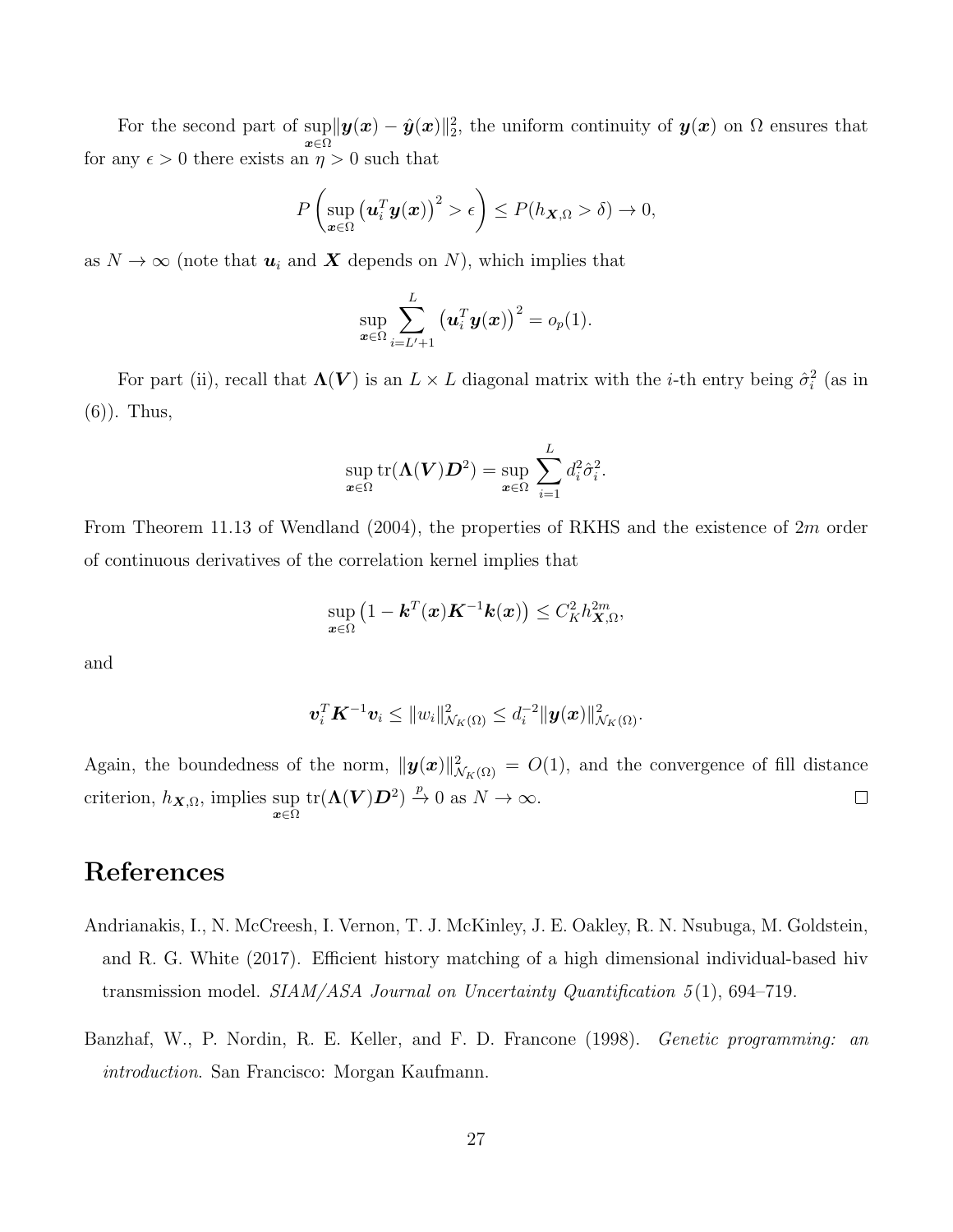For the second part of  $\sup_{\mathbf{x}} ||\mathbf{y}(\mathbf{x}) - \hat{\mathbf{y}}(\mathbf{x})||_2^2$ , the uniform continuity of  $\mathbf{y}(\mathbf{x})$  on  $\Omega$  ensures that x∈Ω for any  $\epsilon > 0$  there exists an  $\eta > 0$  such that

$$
P\left(\sup_{\boldsymbol{x}\in\Omega}\left(\boldsymbol{u}_i^T\boldsymbol{y}(\boldsymbol{x})\right)^2>\epsilon\right)\leq P(h_{\boldsymbol{X},\Omega}>\delta)\to 0,
$$

as  $N \to \infty$  (note that  $u_i$  and  $X$  depends on N), which implies that

$$
\sup_{\boldsymbol{x}\in\Omega}\sum_{i=L'+1}^{L}\left(\boldsymbol{u}_{i}^{T}\boldsymbol{y}(\boldsymbol{x})\right)^{2}=o_{p}(1).
$$

For part (ii), recall that  $\Lambda(V)$  is an  $L \times L$  diagonal matrix with the *i*-th entry being  $\hat{\sigma}_i^2$  (as in (6)). Thus,

$$
\sup_{\boldsymbol{x}\in\Omega}\text{tr}(\boldsymbol{\Lambda}(\boldsymbol{V})\boldsymbol{D}^2)=\sup_{\boldsymbol{x}\in\Omega}\,\sum_{i=1}^L d_i^2\hat{\sigma}_i^2.
$$

From Theorem 11.13 of Wendland (2004), the properties of RKHS and the existence of 2m order of continuous derivatives of the correlation kernel implies that

$$
\sup_{\boldsymbol{x}\in\Omega}\left(1-\boldsymbol{k}^{T}(\boldsymbol{x})\boldsymbol{K}^{-1}\boldsymbol{k}(\boldsymbol{x})\right)\leq C_{K}^{2}h_{\boldsymbol{X},\Omega}^{2m},
$$

and

$$
\boldsymbol{v}_i^T \boldsymbol{K}^{-1} \boldsymbol{v}_i \leq ||w_i||^2_{\mathcal{N}_K(\Omega)} \leq d_i^{-2} ||\boldsymbol{y}(\boldsymbol{x})||^2_{\mathcal{N}_K(\Omega)}.
$$

Again, the boundedness of the norm,  $\|\mathbf{y}(\mathbf{x})\|_{\mathcal{N}_K(\Omega)}^2 = O(1)$ , and the convergence of fill distance  $tr(\mathbf{\Lambda}(\boldsymbol{V})\boldsymbol{D}^2) \stackrel{p}{\to} 0$  as  $N \to \infty$ . criterion,  $h_{\mathbf{X},\Omega}$ , implies sup  $\underset{\mathbf{x}\in\Omega}{\text{sup}}$  $\Box$ 

## References

- Andrianakis, I., N. McCreesh, I. Vernon, T. J. McKinley, J. E. Oakley, R. N. Nsubuga, M. Goldstein, and R. G. White (2017). Efficient history matching of a high dimensional individual-based hiv transmission model. *SIAM/ASA Journal on Uncertainty Quantification 5* (1), 694–719.
- Banzhaf, W., P. Nordin, R. E. Keller, and F. D. Francone (1998). *Genetic programming: an introduction*. San Francisco: Morgan Kaufmann.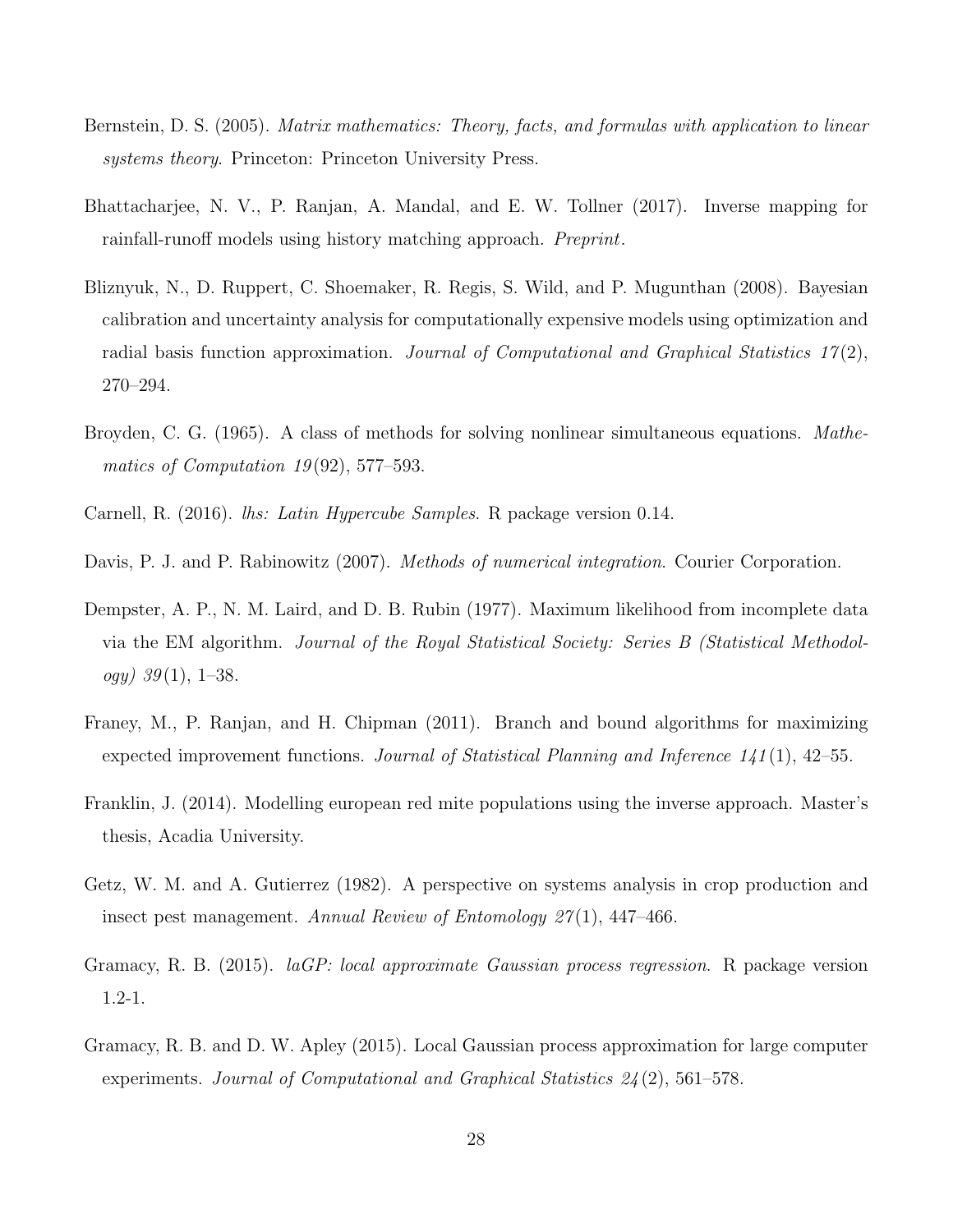- Bernstein, D. S. (2005). *Matrix mathematics: Theory, facts, and formulas with application to linear systems theory*. Princeton: Princeton University Press.
- Bhattacharjee, N. V., P. Ranjan, A. Mandal, and E. W. Tollner (2017). Inverse mapping for rainfall-runoff models using history matching approach. *Preprint*.
- Bliznyuk, N., D. Ruppert, C. Shoemaker, R. Regis, S. Wild, and P. Mugunthan (2008). Bayesian calibration and uncertainty analysis for computationally expensive models using optimization and radial basis function approximation. *Journal of Computational and Graphical Statistics 17* (2), 270–294.
- Broyden, C. G. (1965). A class of methods for solving nonlinear simultaneous equations. *Mathematics of Computation 19* (92), 577–593.
- Carnell, R. (2016). *lhs: Latin Hypercube Samples*. R package version 0.14.
- Davis, P. J. and P. Rabinowitz (2007). *Methods of numerical integration*. Courier Corporation.
- Dempster, A. P., N. M. Laird, and D. B. Rubin (1977). Maximum likelihood from incomplete data via the EM algorithm. *Journal of the Royal Statistical Society: Series B (Statistical Methodology) 39* (1), 1–38.
- Franey, M., P. Ranjan, and H. Chipman (2011). Branch and bound algorithms for maximizing expected improvement functions. *Journal of Statistical Planning and Inference 141* (1), 42–55.
- Franklin, J. (2014). Modelling european red mite populations using the inverse approach. Master's thesis, Acadia University.
- Getz, W. M. and A. Gutierrez (1982). A perspective on systems analysis in crop production and insect pest management. *Annual Review of Entomology 27* (1), 447–466.
- Gramacy, R. B. (2015). *laGP: local approximate Gaussian process regression*. R package version 1.2-1.
- Gramacy, R. B. and D. W. Apley (2015). Local Gaussian process approximation for large computer experiments. *Journal of Computational and Graphical Statistics 24* (2), 561–578.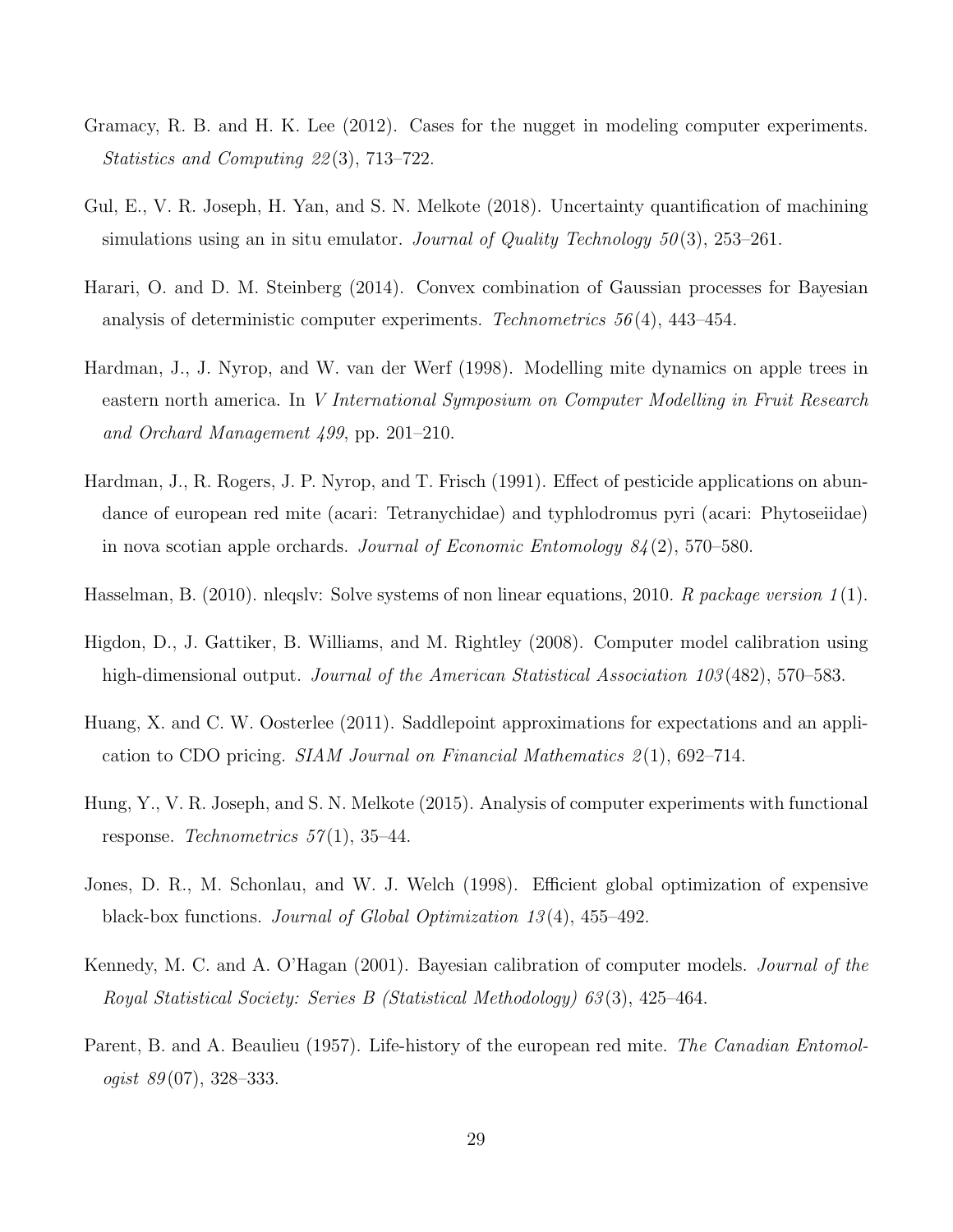- Gramacy, R. B. and H. K. Lee (2012). Cases for the nugget in modeling computer experiments. *Statistics and Computing 22* (3), 713–722.
- Gul, E., V. R. Joseph, H. Yan, and S. N. Melkote (2018). Uncertainty quantification of machining simulations using an in situ emulator. *Journal of Quality Technology 50* (3), 253–261.
- Harari, O. and D. M. Steinberg (2014). Convex combination of Gaussian processes for Bayesian analysis of deterministic computer experiments. *Technometrics 56* (4), 443–454.
- Hardman, J., J. Nyrop, and W. van der Werf (1998). Modelling mite dynamics on apple trees in eastern north america. In *V International Symposium on Computer Modelling in Fruit Research and Orchard Management 499*, pp. 201–210.
- Hardman, J., R. Rogers, J. P. Nyrop, and T. Frisch (1991). Effect of pesticide applications on abundance of european red mite (acari: Tetranychidae) and typhlodromus pyri (acari: Phytoseiidae) in nova scotian apple orchards. *Journal of Economic Entomology 84* (2), 570–580.
- Hasselman, B. (2010). nleqslv: Solve systems of non linear equations, 2010. *R package version 1* (1).
- Higdon, D., J. Gattiker, B. Williams, and M. Rightley (2008). Computer model calibration using high-dimensional output. *Journal of the American Statistical Association 103* (482), 570–583.
- Huang, X. and C. W. Oosterlee (2011). Saddlepoint approximations for expectations and an application to CDO pricing. *SIAM Journal on Financial Mathematics 2* (1), 692–714.
- Hung, Y., V. R. Joseph, and S. N. Melkote (2015). Analysis of computer experiments with functional response. *Technometrics 57* (1), 35–44.
- Jones, D. R., M. Schonlau, and W. J. Welch (1998). Efficient global optimization of expensive black-box functions. *Journal of Global Optimization 13* (4), 455–492.
- Kennedy, M. C. and A. O'Hagan (2001). Bayesian calibration of computer models. *Journal of the Royal Statistical Society: Series B (Statistical Methodology) 63* (3), 425–464.
- Parent, B. and A. Beaulieu (1957). Life-history of the european red mite. *The Canadian Entomologist 89* (07), 328–333.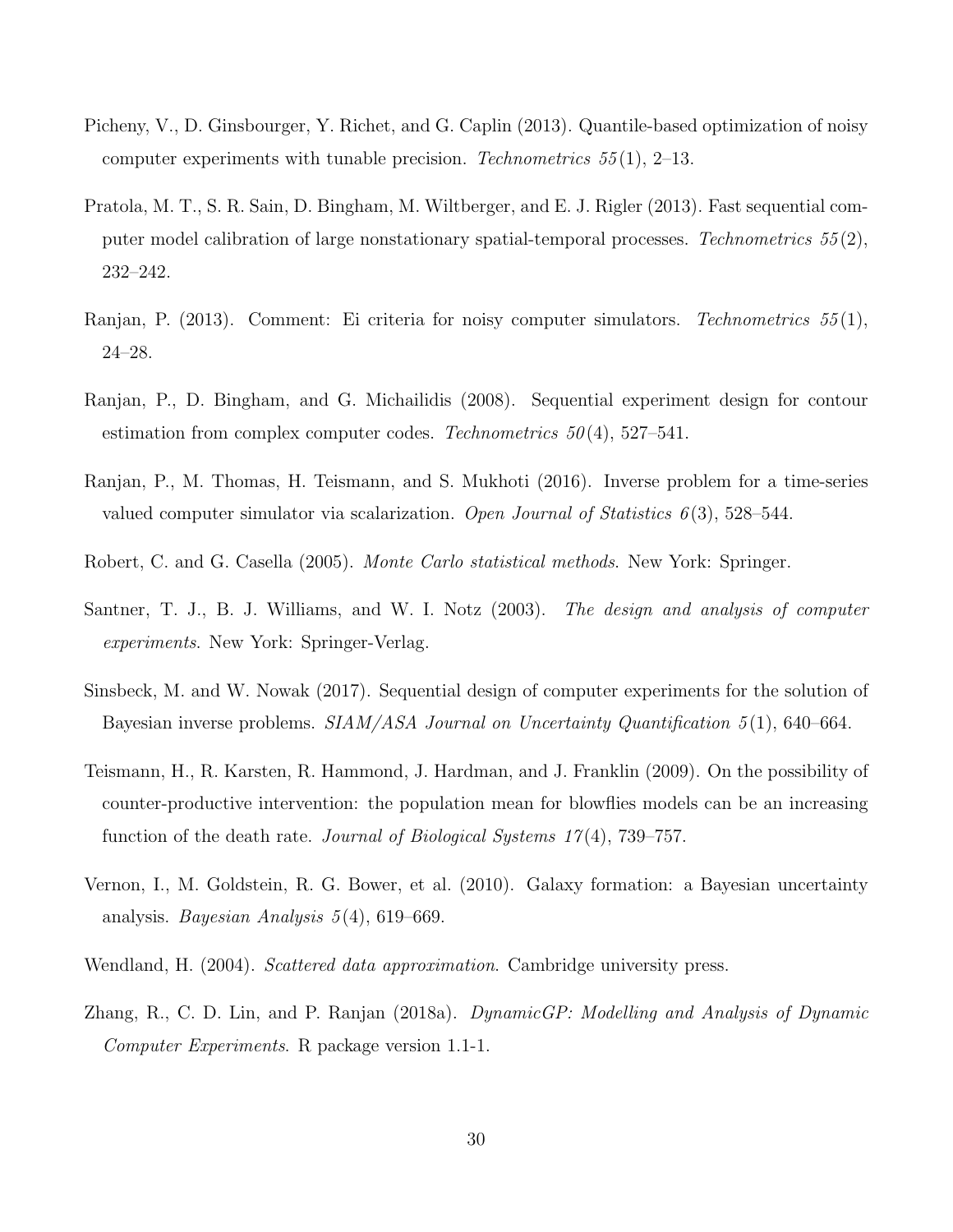- Picheny, V., D. Ginsbourger, Y. Richet, and G. Caplin (2013). Quantile-based optimization of noisy computer experiments with tunable precision. *Technometrics 55* (1), 2–13.
- Pratola, M. T., S. R. Sain, D. Bingham, M. Wiltberger, and E. J. Rigler (2013). Fast sequential computer model calibration of large nonstationary spatial-temporal processes. *Technometrics 55* (2), 232–242.
- Ranjan, P. (2013). Comment: Ei criteria for noisy computer simulators. *Technometrics 55* (1), 24–28.
- Ranjan, P., D. Bingham, and G. Michailidis (2008). Sequential experiment design for contour estimation from complex computer codes. *Technometrics 50* (4), 527–541.
- Ranjan, P., M. Thomas, H. Teismann, and S. Mukhoti (2016). Inverse problem for a time-series valued computer simulator via scalarization. *Open Journal of Statistics 6* (3), 528–544.
- Robert, C. and G. Casella (2005). *Monte Carlo statistical methods*. New York: Springer.
- Santner, T. J., B. J. Williams, and W. I. Notz (2003). *The design and analysis of computer experiments*. New York: Springer-Verlag.
- Sinsbeck, M. and W. Nowak (2017). Sequential design of computer experiments for the solution of Bayesian inverse problems. *SIAM/ASA Journal on Uncertainty Quantification 5* (1), 640–664.
- Teismann, H., R. Karsten, R. Hammond, J. Hardman, and J. Franklin (2009). On the possibility of counter-productive intervention: the population mean for blowflies models can be an increasing function of the death rate. *Journal of Biological Systems 17* (4), 739–757.
- Vernon, I., M. Goldstein, R. G. Bower, et al. (2010). Galaxy formation: a Bayesian uncertainty analysis. *Bayesian Analysis 5* (4), 619–669.
- Wendland, H. (2004). *Scattered data approximation*. Cambridge university press.
- Zhang, R., C. D. Lin, and P. Ranjan (2018a). *DynamicGP: Modelling and Analysis of Dynamic Computer Experiments*. R package version 1.1-1.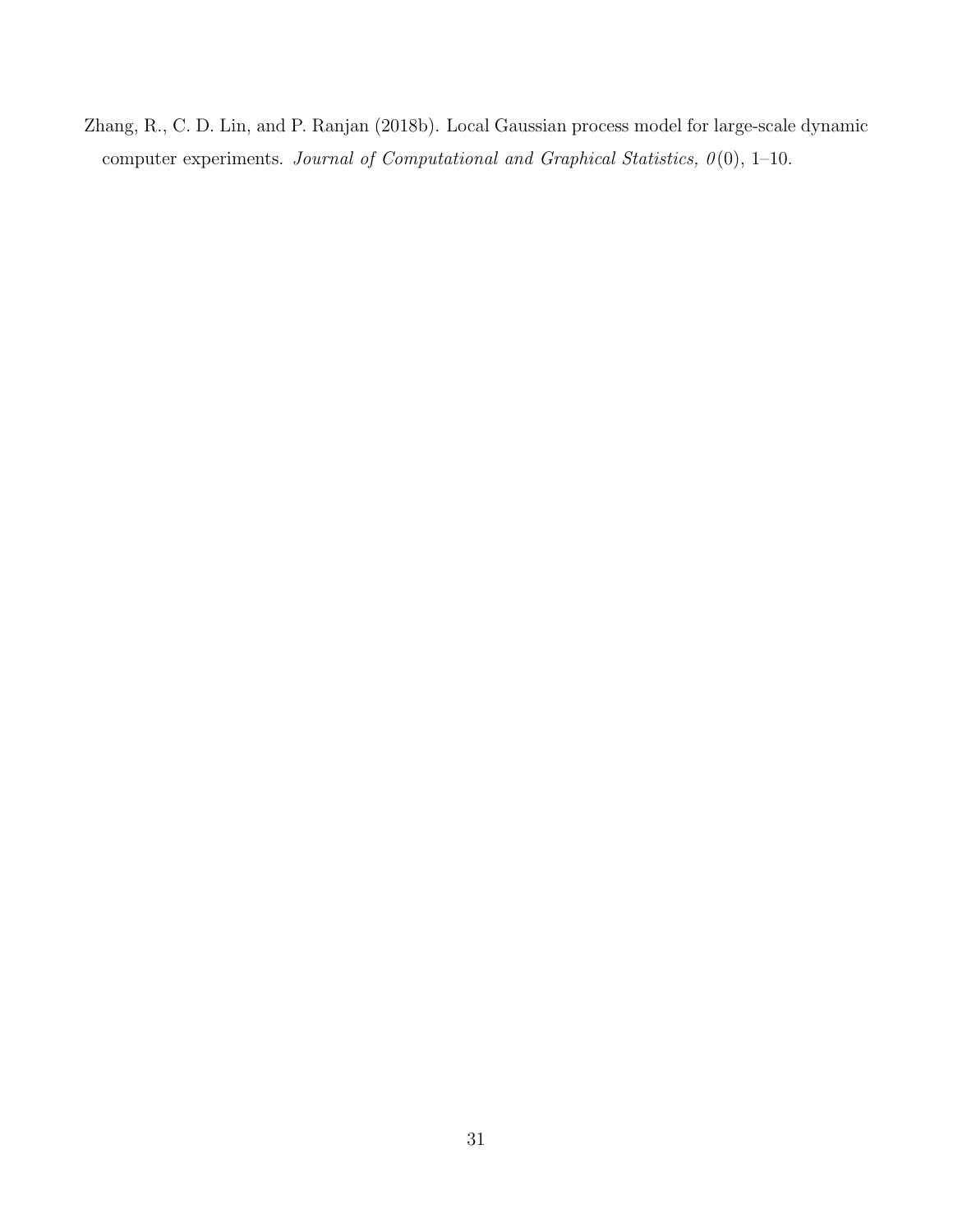Zhang, R., C. D. Lin, and P. Ranjan (2018b). Local Gaussian process model for large-scale dynamic computer experiments. *Journal of Computational and Graphical Statistics, 0* (0), 1–10.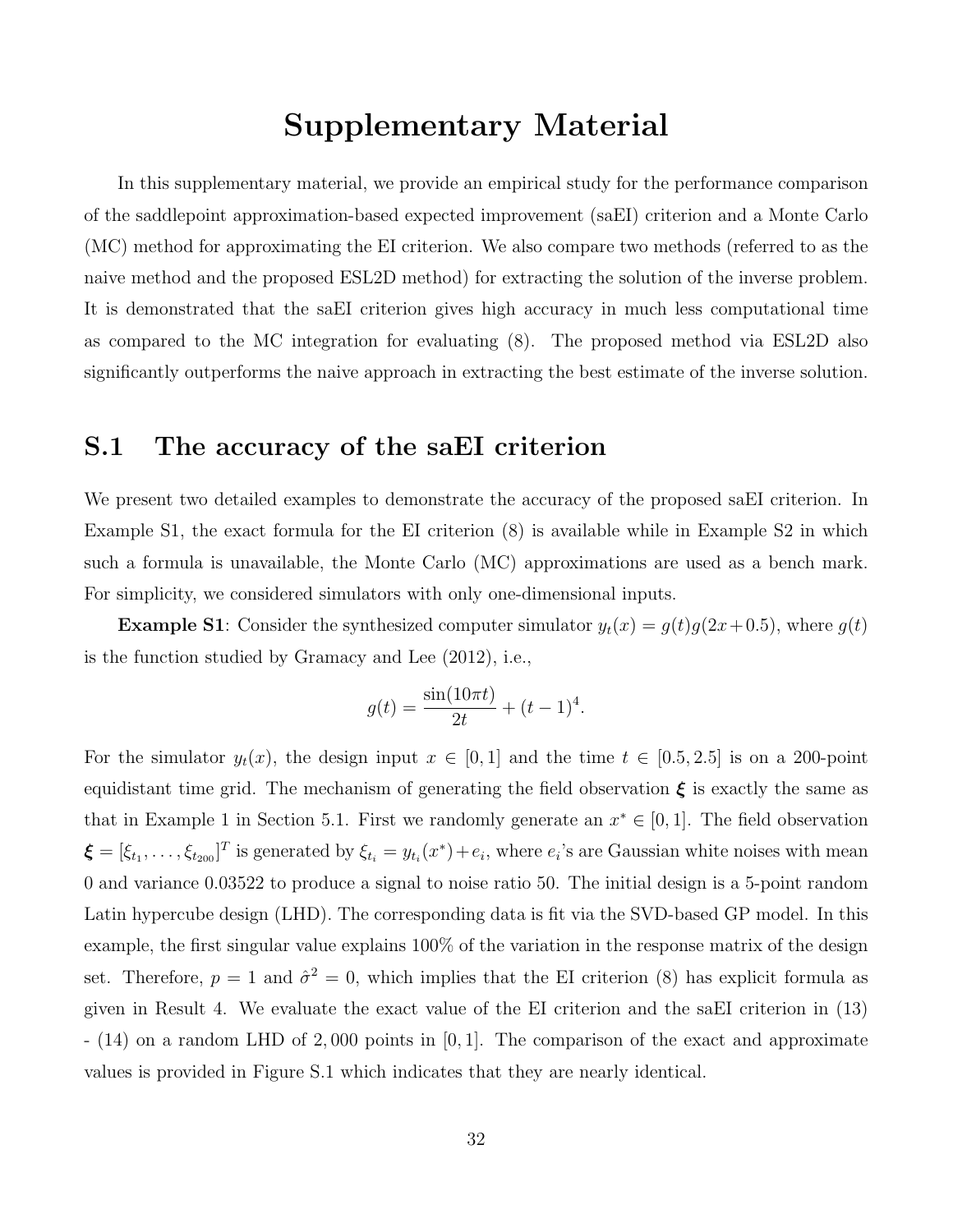# Supplementary Material

In this supplementary material, we provide an empirical study for the performance comparison of the saddlepoint approximation-based expected improvement (saEI) criterion and a Monte Carlo (MC) method for approximating the EI criterion. We also compare two methods (referred to as the naive method and the proposed ESL2D method) for extracting the solution of the inverse problem. It is demonstrated that the saEI criterion gives high accuracy in much less computational time as compared to the MC integration for evaluating (8). The proposed method via ESL2D also significantly outperforms the naive approach in extracting the best estimate of the inverse solution.

## S.1 The accuracy of the saEI criterion

We present two detailed examples to demonstrate the accuracy of the proposed saEI criterion. In Example S1, the exact formula for the EI criterion (8) is available while in Example S2 in which such a formula is unavailable, the Monte Carlo (MC) approximations are used as a bench mark. For simplicity, we considered simulators with only one-dimensional inputs.

**Example S1**: Consider the synthesized computer simulator  $y_t(x) = g(t)g(2x+0.5)$ , where  $g(t)$ is the function studied by Gramacy and Lee (2012), i.e.,

$$
g(t) = \frac{\sin(10\pi t)}{2t} + (t - 1)^4.
$$

For the simulator  $y_t(x)$ , the design input  $x \in [0,1]$  and the time  $t \in [0.5, 2.5]$  is on a 200-point equidistant time grid. The mechanism of generating the field observation  $\xi$  is exactly the same as that in Example 1 in Section 5.1. First we randomly generate an  $x^* \in [0,1]$ . The field observation  $\boldsymbol{\xi} = [\xi_{t_1}, \dots, \xi_{t_{200}}]^T$  is generated by  $\xi_{t_i} = y_{t_i}(x^*) + e_i$ , where  $e_i$ 's are Gaussian white noises with mean 0 and variance 0.03522 to produce a signal to noise ratio 50. The initial design is a 5-point random Latin hypercube design (LHD). The corresponding data is fit via the SVD-based GP model. In this example, the first singular value explains 100% of the variation in the response matrix of the design set. Therefore,  $p = 1$  and  $\hat{\sigma}^2 = 0$ , which implies that the EI criterion (8) has explicit formula as given in Result 4. We evaluate the exact value of the EI criterion and the saEI criterion in (13) - (14) on a random LHD of 2, 000 points in [0, 1]. The comparison of the exact and approximate values is provided in Figure S.1 which indicates that they are nearly identical.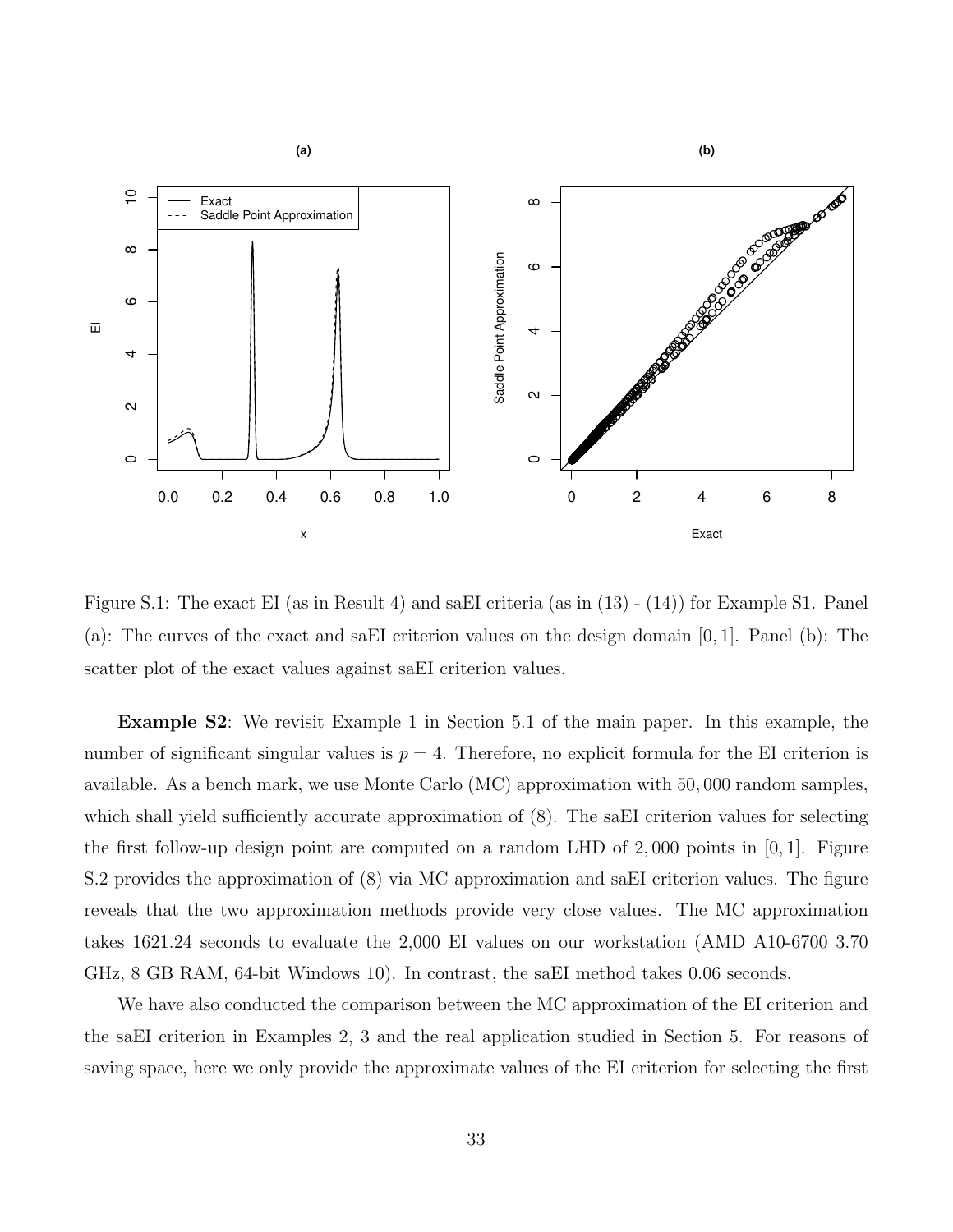

Figure S.1: The exact EI (as in Result 4) and saEI criteria (as in (13) - (14)) for Example S1. Panel (a): The curves of the exact and saEI criterion values on the design domain [0, 1]. Panel (b): The scatter plot of the exact values against saEI criterion values.

Example S2: We revisit Example 1 in Section 5.1 of the main paper. In this example, the number of significant singular values is  $p = 4$ . Therefore, no explicit formula for the EI criterion is available. As a bench mark, we use Monte Carlo (MC) approximation with 50, 000 random samples, which shall yield sufficiently accurate approximation of  $(8)$ . The saEI criterion values for selecting the first follow-up design point are computed on a random LHD of  $2,000$  points in [0, 1]. Figure S.2 provides the approximation of (8) via MC approximation and saEI criterion values. The figure reveals that the two approximation methods provide very close values. The MC approximation takes 1621.24 seconds to evaluate the 2,000 EI values on our workstation (AMD A10-6700 3.70 GHz, 8 GB RAM, 64-bit Windows 10). In contrast, the saEI method takes 0.06 seconds.

We have also conducted the comparison between the MC approximation of the EI criterion and the saEI criterion in Examples 2, 3 and the real application studied in Section 5. For reasons of saving space, here we only provide the approximate values of the EI criterion for selecting the first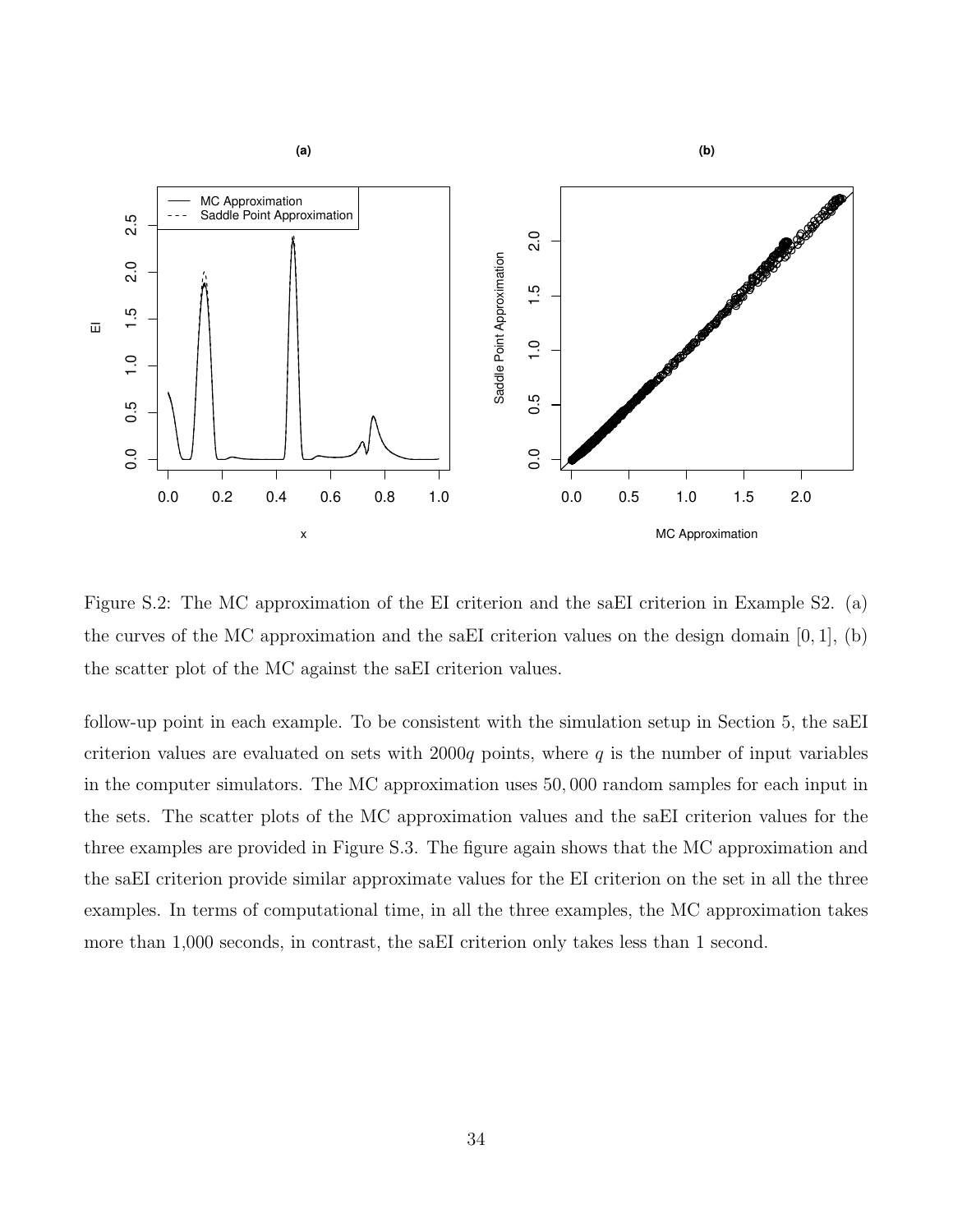

Figure S.2: The MC approximation of the EI criterion and the saEI criterion in Example S2. (a) the curves of the MC approximation and the saEI criterion values on the design domain  $[0, 1]$ ,  $(b)$ the scatter plot of the MC against the saEI criterion values.

follow-up point in each example. To be consistent with the simulation setup in Section 5, the saEI criterion values are evaluated on sets with 2000q points, where q is the number of input variables in the computer simulators. The MC approximation uses 50, 000 random samples for each input in the sets. The scatter plots of the MC approximation values and the saEI criterion values for the three examples are provided in Figure S.3. The figure again shows that the MC approximation and the saEI criterion provide similar approximate values for the EI criterion on the set in all the three examples. In terms of computational time, in all the three examples, the MC approximation takes more than 1,000 seconds, in contrast, the saEI criterion only takes less than 1 second.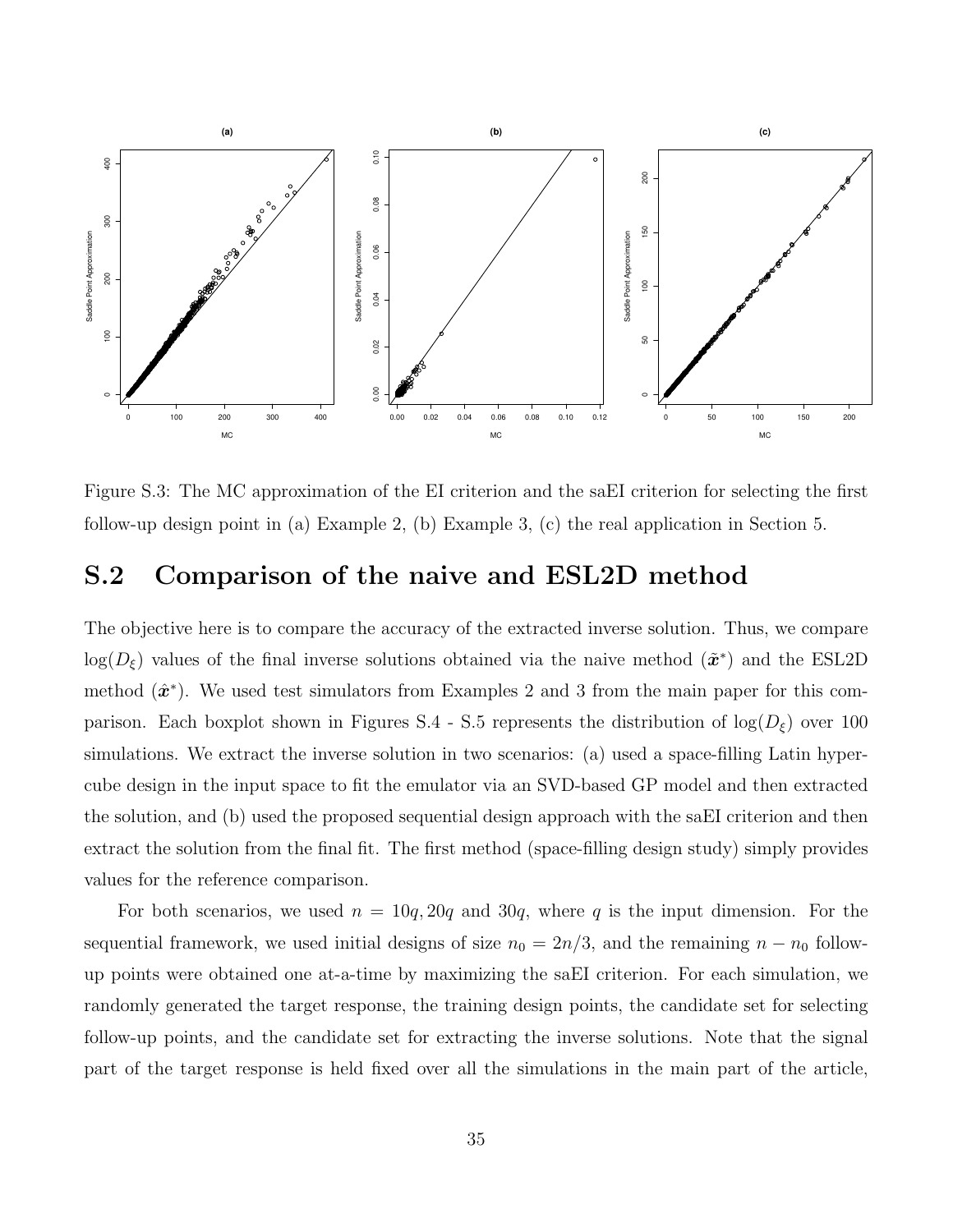

Figure S.3: The MC approximation of the EI criterion and the saEI criterion for selecting the first follow-up design point in (a) Example 2, (b) Example 3, (c) the real application in Section 5.

## S.2 Comparison of the naive and ESL2D method

The objective here is to compare the accuracy of the extracted inverse solution. Thus, we compare  $log(D_{\xi})$  values of the final inverse solutions obtained via the naive method  $(\tilde{\boldsymbol{x}}^*)$  and the ESL2D method  $(\hat{\mathbf{x}}^*)$ . We used test simulators from Examples 2 and 3 from the main paper for this comparison. Each boxplot shown in Figures S.4 - S.5 represents the distribution of  $log(D_{\xi})$  over 100 simulations. We extract the inverse solution in two scenarios: (a) used a space-filling Latin hypercube design in the input space to fit the emulator via an SVD-based GP model and then extracted the solution, and (b) used the proposed sequential design approach with the saEI criterion and then extract the solution from the final fit. The first method (space-filling design study) simply provides values for the reference comparison.

For both scenarios, we used  $n = 10q, 20q$  and  $30q$ , where q is the input dimension. For the sequential framework, we used initial designs of size  $n_0 = 2n/3$ , and the remaining  $n - n_0$  followup points were obtained one at-a-time by maximizing the saEI criterion. For each simulation, we randomly generated the target response, the training design points, the candidate set for selecting follow-up points, and the candidate set for extracting the inverse solutions. Note that the signal part of the target response is held fixed over all the simulations in the main part of the article,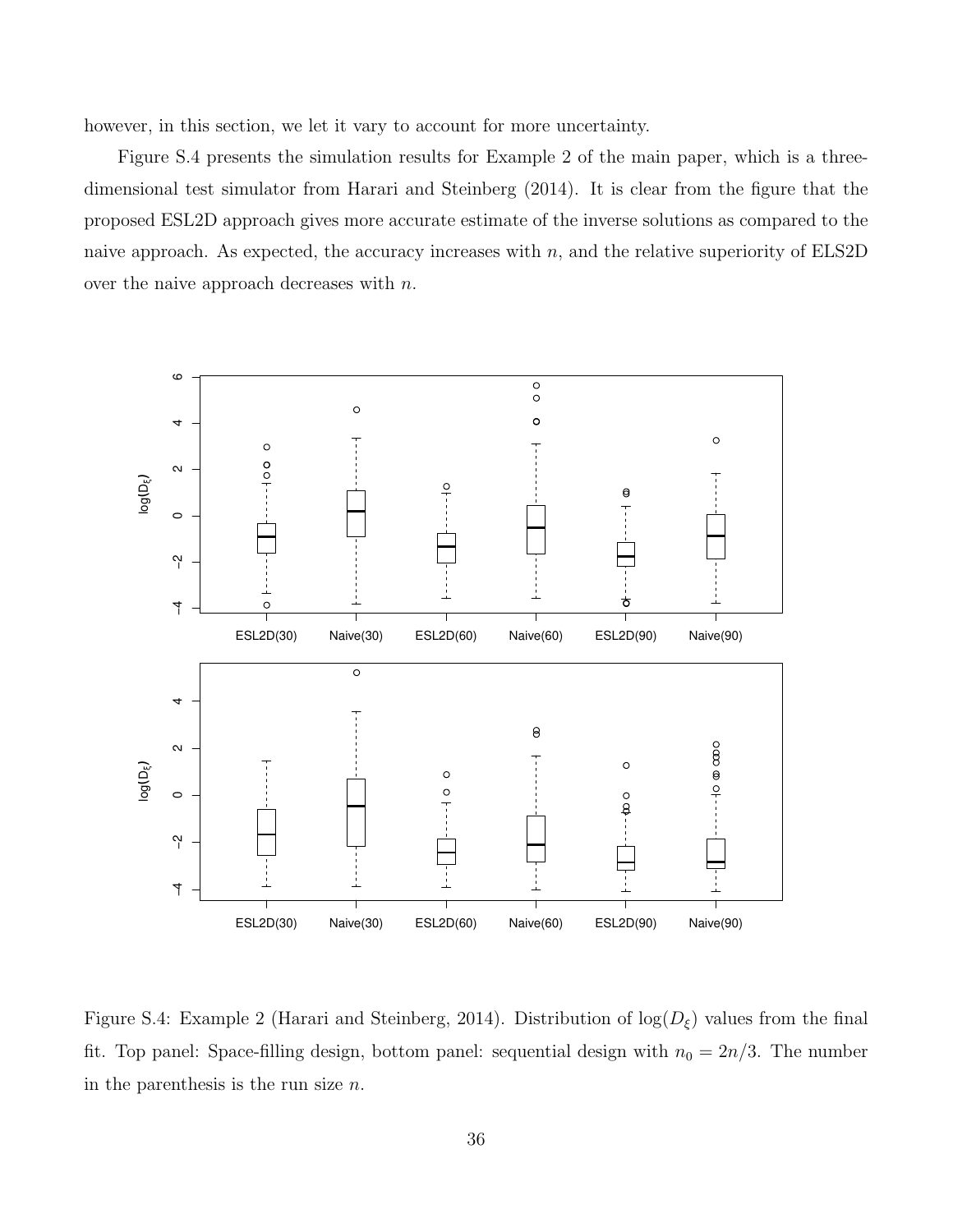however, in this section, we let it vary to account for more uncertainty.

Figure S.4 presents the simulation results for Example 2 of the main paper, which is a threedimensional test simulator from Harari and Steinberg (2014). It is clear from the figure that the proposed ESL2D approach gives more accurate estimate of the inverse solutions as compared to the naive approach. As expected, the accuracy increases with  $n$ , and the relative superiority of ELS2D over the naive approach decreases with n.



Figure S.4: Example 2 (Harari and Steinberg, 2014). Distribution of  $log(D_{\xi})$  values from the final fit. Top panel: Space-filling design, bottom panel: sequential design with  $n_0 = 2n/3$ . The number in the parenthesis is the run size  $n$ .